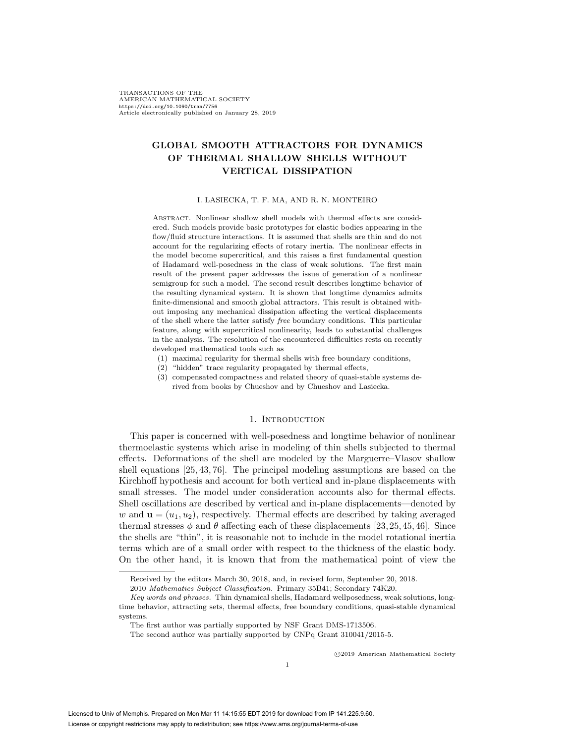TRANSACTIONS OF THE AMERICAN MATHEMATICAL SOCIETY https://doi.org/10.1090/tran/7756 Article electronically published on January 28, 2019

# **GLOBAL SMOOTH ATTRACTORS FOR DYNAMICS OF THERMAL SHALLOW SHELLS WITHOUT VERTICAL DISSIPATION**

#### I. LASIECKA, T. F. MA, AND R. N. MONTEIRO

ABSTRACT. Nonlinear shallow shell models with thermal effects are considered. Such models provide basic prototypes for elastic bodies appearing in the flow/fluid structure interactions. It is assumed that shells are thin and do not account for the regularizing effects of rotary inertia. The nonlinear effects in the model become supercritical, and this raises a first fundamental question of Hadamard well-posedness in the class of weak solutions. The first main result of the present paper addresses the issue of generation of a nonlinear semigroup for such a model. The second result describes longtime behavior of the resulting dynamical system. It is shown that longtime dynamics admits finite-dimensional and smooth global attractors. This result is obtained without imposing any mechanical dissipation affecting the vertical displacements of the shell where the latter satisfy free boundary conditions. This particular feature, along with supercritical nonlinearity, leads to substantial challenges in the analysis. The resolution of the encountered difficulties rests on recently developed mathematical tools such as

- (1) maximal regularity for thermal shells with free boundary conditions,
- (2) "hidden" trace regularity propagated by thermal effects,
- (3) compensated compactness and related theory of quasi-stable systems derived from books by Chueshov and by Chueshov and Lasiecka.

# 1. Introduction

This paper is concerned with well-posedness and longtime behavior of nonlinear thermoelastic systems which arise in modeling of thin shells subjected to thermal effects. Deformations of the shell are modeled by the Marguerre–Vlasov shallow shell equations [25, 43, 76]. The principal modeling assumptions are based on the Kirchhoff hypothesis and account for both vertical and in-plane displacements with small stresses. The model under consideration accounts also for thermal effects. Shell oscillations are described by vertical and in-plane displacements—denoted by w and  $\mathbf{u} = (u_1, u_2)$ , respectively. Thermal effects are described by taking averaged thermal stresses  $\phi$  and  $\theta$  affecting each of these displacements [23, 25, 45, 46]. Since the shells are "thin", it is reasonable not to include in the model rotational inertia terms which are of a small order with respect to the thickness of the elastic body. On the other hand, it is known that from the mathematical point of view the

-c 2019 American Mathematical Society

Received by the editors March 30, 2018, and, in revised form, September 20, 2018.

<sup>2010</sup> Mathematics Subject Classification. Primary 35B41; Secondary 74K20.

Key words and phrases. Thin dynamical shells, Hadamard wellposedness, weak solutions, longtime behavior, attracting sets, thermal effects, free boundary conditions, quasi-stable dynamical systems.

The first author was partially supported by NSF Grant DMS-1713506.

The second author was partially supported by CNPq Grant 310041/2015-5.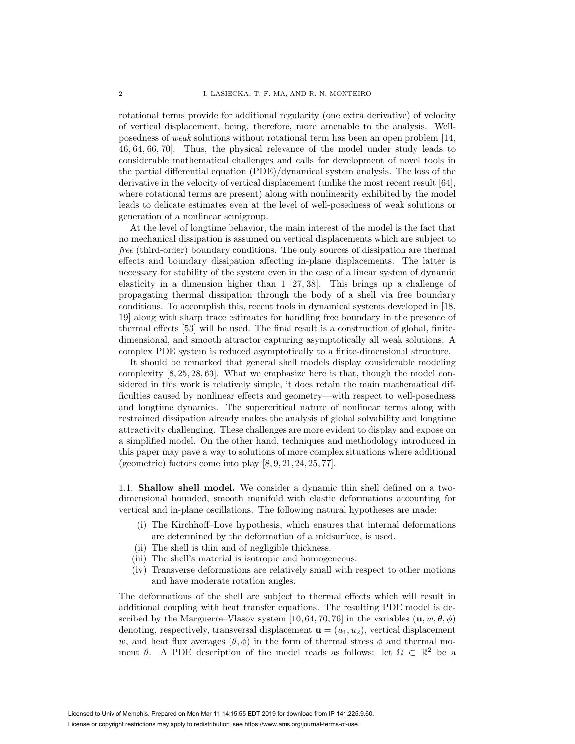rotational terms provide for additional regularity (one extra derivative) of velocity of vertical displacement, being, therefore, more amenable to the analysis. Wellposedness of weak solutions without rotational term has been an open problem [14, 46, 64, 66, 70]. Thus, the physical relevance of the model under study leads to considerable mathematical challenges and calls for development of novel tools in the partial differential equation (PDE)/dynamical system analysis. The loss of the derivative in the velocity of vertical displacement (unlike the most recent result [64], where rotational terms are present) along with nonlinearity exhibited by the model leads to delicate estimates even at the level of well-posedness of weak solutions or generation of a nonlinear semigroup.

At the level of longtime behavior, the main interest of the model is the fact that no mechanical dissipation is assumed on vertical displacements which are subject to free (third-order) boundary conditions. The only sources of dissipation are thermal effects and boundary dissipation affecting in-plane displacements. The latter is necessary for stability of the system even in the case of a linear system of dynamic elasticity in a dimension higher than 1 [27, 38]. This brings up a challenge of propagating thermal dissipation through the body of a shell via free boundary conditions. To accomplish this, recent tools in dynamical systems developed in [18, 19] along with sharp trace estimates for handling free boundary in the presence of thermal effects [53] will be used. The final result is a construction of global, finitedimensional, and smooth attractor capturing asymptotically all weak solutions. A complex PDE system is reduced asymptotically to a finite-dimensional structure.

It should be remarked that general shell models display considerable modeling complexity [8, 25, 28, 63]. What we emphasize here is that, though the model considered in this work is relatively simple, it does retain the main mathematical difficulties caused by nonlinear effects and geometry—with respect to well-posedness and longtime dynamics. The supercritical nature of nonlinear terms along with restrained dissipation already makes the analysis of global solvability and longtime attractivity challenging. These challenges are more evident to display and expose on a simplified model. On the other hand, techniques and methodology introduced in this paper may pave a way to solutions of more complex situations where additional (geometric) factors come into play  $[8, 9, 21, 24, 25, 77]$ .

1.1. **Shallow shell model.** We consider a dynamic thin shell defined on a twodimensional bounded, smooth manifold with elastic deformations accounting for vertical and in-plane oscillations. The following natural hypotheses are made:

- (i) The Kirchhoff–Love hypothesis, which ensures that internal deformations are determined by the deformation of a midsurface, is used.
- (ii) The shell is thin and of negligible thickness.
- (iii) The shell's material is isotropic and homogeneous.
- (iv) Transverse deformations are relatively small with respect to other motions and have moderate rotation angles.

The deformations of the shell are subject to thermal effects which will result in additional coupling with heat transfer equations. The resulting PDE model is described by the Marguerre–Vlasov system [10, 64, 70, 76] in the variables  $(\mathbf{u}, w, \theta, \phi)$ denoting, respectively, transversal displacement  $\mathbf{u} = (u_1, u_2)$ , vertical displacement w, and heat flux averages  $(\theta, \phi)$  in the form of thermal stress  $\phi$  and thermal moment  $\theta$ . A PDE description of the model reads as follows: let  $\Omega \subset \mathbb{R}^2$  be a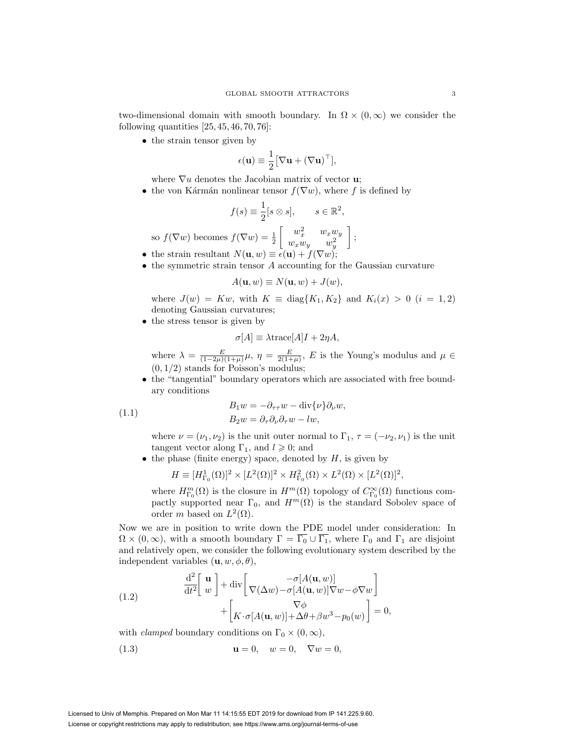two-dimensional domain with smooth boundary. In  $\Omega \times (0,\infty)$  we consider the following quantities  $[25, 45, 46, 70, 76]$ :

• the strain tensor given by

$$
\epsilon(\mathbf{u}) \equiv \frac{1}{2} \big[ \nabla \mathbf{u} + (\nabla \mathbf{u})^{\top} \big],
$$

where  $\nabla u$  denotes the Jacobian matrix of vector **u**;

• the von Kármán nonlinear tensor  $f(\nabla w)$ , where f is defined by

$$
f(s) \equiv \frac{1}{2}[s \otimes s], \qquad s \in \mathbb{R}^2,
$$

so 
$$
f(\nabla w)
$$
 becomes  $f(\nabla w) = \frac{1}{2} \begin{bmatrix} w_x^2 & w_x w_y \\ w_x w_y & w_y^2 \end{bmatrix}$ ;

- the strain resultant  $N(\mathbf{u}, w) \equiv \epsilon(\mathbf{u}) + f(\nabla w);$
- the symmetric strain tensor A accounting for the Gaussian curvature

$$
A(\mathbf{u},w) \equiv N(\mathbf{u},w) + J(w),
$$

where  $J(w) = Kw$ , with  $K \equiv \text{diag}\{K_1, K_2\}$  and  $K_i(x) > 0$   $(i = 1, 2)$ denoting Gaussian curvatures;

• the stress tensor is given by

$$
\sigma[A] \equiv \lambda \text{trace}[A]I + 2\eta A,
$$

where  $\lambda = \frac{E}{(1-2\mu)(1+\mu)}\mu$ ,  $\eta = \frac{E}{2(1+\mu)}$ , E is the Young's modulus and  $\mu \in$  $(0, 1/2)$  stands for Poisson's modulus;

• the "tangential" boundary operators which are associated with free boundary conditions

(1.1) 
$$
B_1 w = -\partial_{\tau \tau} w - \text{div}{\nu} \partial_{\nu} w,
$$

$$
B_2 w = \partial_{\tau} \partial_{\nu} \partial_{\tau} w - lw,
$$

where  $\nu = (\nu_1, \nu_2)$  is the unit outer normal to  $\Gamma_1$ ,  $\tau = (-\nu_2, \nu_1)$  is the unit tangent vector along  $\Gamma_1$ , and  $l \geqslant 0$ ; and

• the phase (finite energy) space, denoted by  $H$ , is given by

$$
H \equiv [H_{\Gamma_0}^1(\Omega)]^2 \times [L^2(\Omega)]^2 \times H_{\Gamma_0}^2(\Omega) \times L^2(\Omega) \times [L^2(\Omega)]^2,
$$

where  $H^m_{\Gamma_0}(\Omega)$  is the closure in  $H^m(\Omega)$  topology of  $C^{\infty}_{\Gamma_0}(\Omega)$  functions compactly supported near  $\Gamma_0$ , and  $H^m(\Omega)$  is the standard Sobolev space of order m based on  $L^2(\Omega)$ .

Now we are in position to write down the PDE model under consideration: In  $\Omega \times (0,\infty)$ , with a smooth boundary  $\Gamma = \overline{\Gamma_0} \cup \overline{\Gamma_1}$ , where  $\Gamma_0$  and  $\Gamma_1$  are disjoint and relatively open, we consider the following evolutionary system described by the independent variables  $(\mathbf{u}, w, \phi, \theta)$ ,

(1.2) 
$$
\frac{\mathrm{d}^{2}}{\mathrm{d}t^{2}} \begin{bmatrix} \mathbf{u} \\ w \end{bmatrix} + \mathrm{div} \begin{bmatrix} -\sigma[A(\mathbf{u}, w)] \\ \nabla(\Delta w) - \sigma[A(\mathbf{u}, w)] \nabla w - \phi \nabla w \end{bmatrix} + \begin{bmatrix} \nabla \phi \\ K \cdot \sigma[A(\mathbf{u}, w)] + \Delta \theta + \beta w^{3} - p_{0}(w) \end{bmatrix} = 0,
$$

with *clamped* boundary conditions on  $\Gamma_0 \times (0, \infty)$ ,

(1.3) 
$$
\mathbf{u} = 0, \quad w = 0, \quad \nabla w = 0,
$$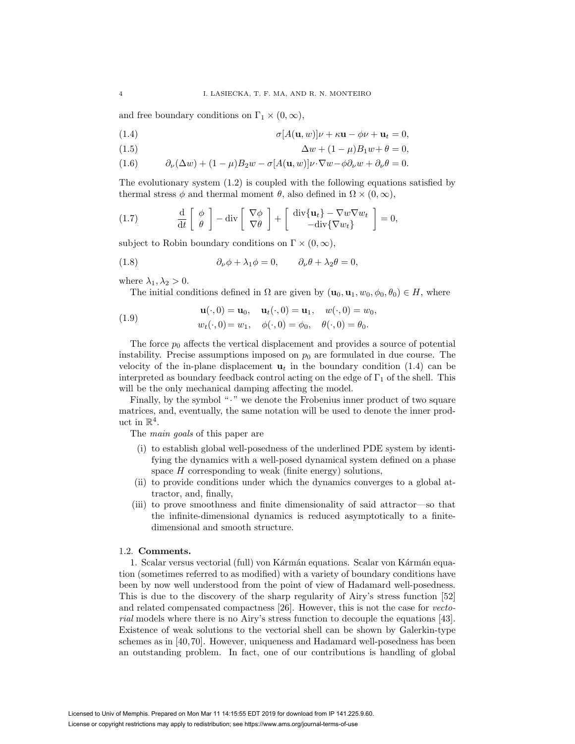and free boundary conditions on  $\Gamma_1 \times (0, \infty)$ ,

- (1.4)  $\sigma[A(\mathbf{u}, w)]\nu + \kappa \mathbf{u} \phi \nu + \mathbf{u}_t = 0,$
- (1.5)  $\Delta w + (1 \mu)B_1w + \theta = 0,$
- (1.6)  $\partial_{\nu}(\Delta w) + (1 \mu)B_2w \sigma[A(\mathbf{u}, w)]\nu \cdot \nabla w \phi \partial_{\nu}w + \partial_{\nu}\theta = 0.$

The evolutionary system (1.2) is coupled with the following equations satisfied by thermal stress  $\phi$  and thermal moment  $\theta$ , also defined in  $\Omega \times (0, \infty)$ ,

(1.7) 
$$
\frac{\mathrm{d}}{\mathrm{d}t} \left[ \begin{array}{c} \phi \\ \theta \end{array} \right] - \mathrm{div} \left[ \begin{array}{c} \nabla \phi \\ \nabla \theta \end{array} \right] + \left[ \begin{array}{c} \mathrm{div} \{ \mathbf{u}_t \} - \nabla w \nabla w_t \\ - \mathrm{div} \{ \nabla w_t \} \end{array} \right] = 0,
$$

subject to Robin boundary conditions on  $\Gamma \times (0, \infty)$ ,

(1.8) 
$$
\partial_{\nu}\phi + \lambda_1\phi = 0, \qquad \partial_{\nu}\theta + \lambda_2\theta = 0,
$$

where  $\lambda_1, \lambda_2 > 0$ .

The initial conditions defined in  $\Omega$  are given by  $(\mathbf{u}_0, \mathbf{u}_1, w_0, \phi_0, \theta_0) \in H$ , where

(1.9) 
$$
\mathbf{u}(\cdot,0) = \mathbf{u}_0, \quad \mathbf{u}_t(\cdot,0) = \mathbf{u}_1, \quad w(\cdot,0) = w_0,
$$

$$
w_t(\cdot,0) = w_1, \quad \phi(\cdot,0) = \phi_0, \quad \theta(\cdot,0) = \theta_0.
$$

The force  $p_0$  affects the vertical displacement and provides a source of potential instability. Precise assumptions imposed on  $p_0$  are formulated in due course. The velocity of the in-plane displacement  $\mathbf{u}_t$  in the boundary condition (1.4) can be interpreted as boundary feedback control acting on the edge of  $\Gamma_1$  of the shell. This will be the only mechanical damping affecting the model.

Finally, by the symbol "." we denote the Frobenius inner product of two square matrices, and, eventually, the same notation will be used to denote the inner product in  $\mathbb{R}^4$ .

The *main goals* of this paper are

- (i) to establish global well-posedness of the underlined PDE system by identifying the dynamics with a well-posed dynamical system defined on a phase space  $H$  corresponding to weak (finite energy) solutions,
- (ii) to provide conditions under which the dynamics converges to a global attractor, and, finally,
- (iii) to prove smoothness and finite dimensionality of said attractor—so that the infinite-dimensional dynamics is reduced asymptotically to a finitedimensional and smooth structure.

# 1.2. **Comments.**

1. Scalar versus vectorial (full) von Kármán equations. Scalar von Kármán equation (sometimes referred to as modified) with a variety of boundary conditions have been by now well understood from the point of view of Hadamard well-posedness. This is due to the discovery of the sharp regularity of Airy's stress function [52] and related compensated compactness [26]. However, this is not the case for vectorial models where there is no Airy's stress function to decouple the equations [43]. Existence of weak solutions to the vectorial shell can be shown by Galerkin-type schemes as in [40, 70]. However, uniqueness and Hadamard well-posedness has been an outstanding problem. In fact, one of our contributions is handling of global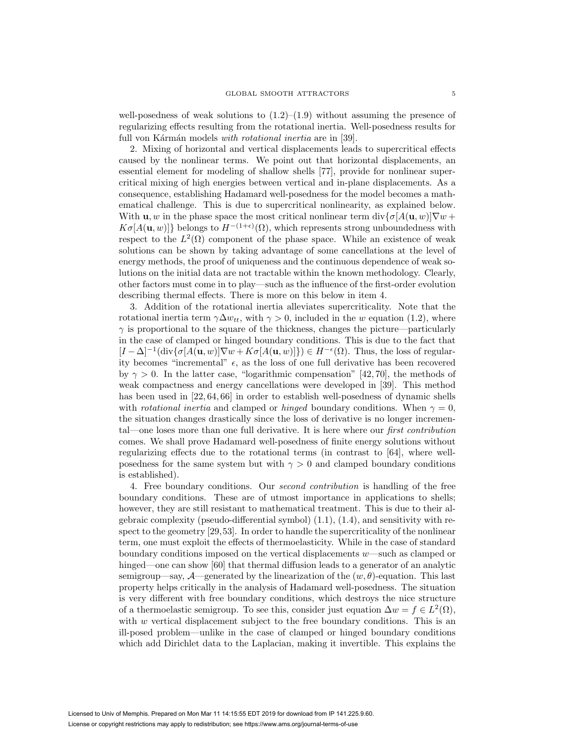well-posedness of weak solutions to  $(1.2)$ – $(1.9)$  without assuming the presence of regularizing effects resulting from the rotational inertia. Well-posedness results for full von Kármán models with rotational inertia are in [39].

2. Mixing of horizontal and vertical displacements leads to supercritical effects caused by the nonlinear terms. We point out that horizontal displacements, an essential element for modeling of shallow shells [77], provide for nonlinear supercritical mixing of high energies between vertical and in-plane displacements. As a consequence, establishing Hadamard well-posedness for the model becomes a mathematical challenge. This is due to supercritical nonlinearity, as explained below. With **u**, w in the phase space the most critical nonlinear term  $\text{div}\{\sigma[A(\mathbf{u}, w)]\nabla w + \sigma[b(\mathbf{u}, w)]\nabla w\}$  $K\sigma[A(\mathbf{u}, w)]$  belongs to  $H^{-(1+\epsilon)}(\Omega)$ , which represents strong unboundedness with respect to the  $L^2(\Omega)$  component of the phase space. While an existence of weak solutions can be shown by taking advantage of some cancellations at the level of energy methods, the proof of uniqueness and the continuous dependence of weak solutions on the initial data are not tractable within the known methodology. Clearly, other factors must come in to play—such as the influence of the first-order evolution describing thermal effects. There is more on this below in item 4.

3. Addition of the rotational inertia alleviates supercriticality. Note that the rotational inertia term  $\gamma \Delta w_{tt}$ , with  $\gamma > 0$ , included in the w equation (1.2), where  $\gamma$  is proportional to the square of the thickness, changes the picture—particularly in the case of clamped or hinged boundary conditions. This is due to the fact that  $[I - \Delta]^{-1}(\text{div}\{\sigma[A(\mathbf{u}, w)]\nabla w + K\sigma[A(\mathbf{u}, w)]\}) \in H^{-\epsilon}(\Omega)$ . Thus, the loss of regularity becomes "incremental"  $\epsilon$ , as the loss of one full derivative has been recovered by  $\gamma > 0$ . In the latter case, "logarithmic compensation" [42, 70], the methods of weak compactness and energy cancellations were developed in [39]. This method has been used in [22, 64, 66] in order to establish well-posedness of dynamic shells with rotational inertia and clamped or hinged boundary conditions. When  $\gamma = 0$ , the situation changes drastically since the loss of derivative is no longer incremental—one loses more than one full derivative. It is here where our first contribution comes. We shall prove Hadamard well-posedness of finite energy solutions without regularizing effects due to the rotational terms (in contrast to [64], where wellposedness for the same system but with  $\gamma > 0$  and clamped boundary conditions is established).

4. Free boundary conditions. Our second contribution is handling of the free boundary conditions. These are of utmost importance in applications to shells; however, they are still resistant to mathematical treatment. This is due to their algebraic complexity (pseudo-differential symbol) (1.1), (1.4), and sensitivity with respect to the geometry [29,53]. In order to handle the supercriticality of the nonlinear term, one must exploit the effects of thermoelasticity. While in the case of standard boundary conditions imposed on the vertical displacements w—such as clamped or hinged—one can show [60] that thermal diffusion leads to a generator of an analytic semigroup—say,  $\mathcal{A}$ —generated by the linearization of the  $(w, \theta)$ -equation. This last property helps critically in the analysis of Hadamard well-posedness. The situation is very different with free boundary conditions, which destroys the nice structure of a thermoelastic semigroup. To see this, consider just equation  $\Delta w = f \in L^2(\Omega)$ , with  $w$  vertical displacement subject to the free boundary conditions. This is an ill-posed problem—unlike in the case of clamped or hinged boundary conditions which add Dirichlet data to the Laplacian, making it invertible. This explains the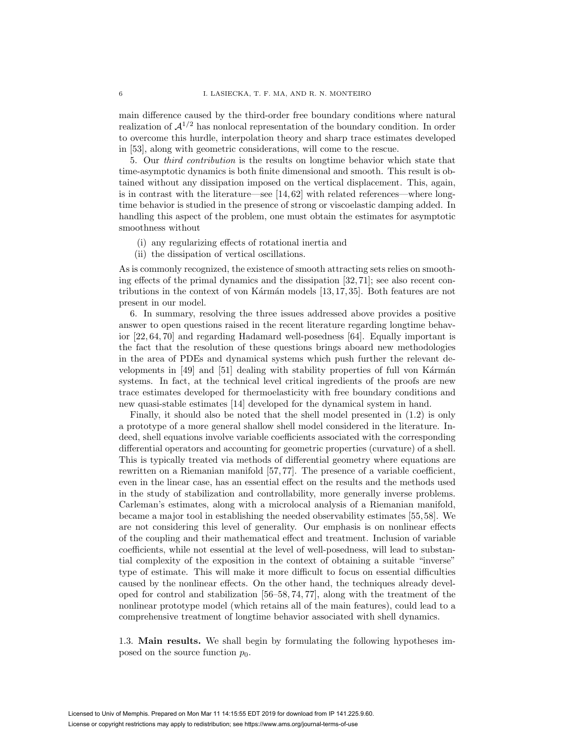main difference caused by the third-order free boundary conditions where natural realization of  $\mathcal{A}^{1/2}$  has nonlocal representation of the boundary condition. In order to overcome this hurdle, interpolation theory and sharp trace estimates developed in [53], along with geometric considerations, will come to the rescue.

5. Our third contribution is the results on longtime behavior which state that time-asymptotic dynamics is both finite dimensional and smooth. This result is obtained without any dissipation imposed on the vertical displacement. This, again, is in contrast with the literature—see [14, 62] with related references—where longtime behavior is studied in the presence of strong or viscoelastic damping added. In handling this aspect of the problem, one must obtain the estimates for asymptotic smoothness without

- (i) any regularizing effects of rotational inertia and
- (ii) the dissipation of vertical oscillations.

As is commonly recognized, the existence of smooth attracting sets relies on smoothing effects of the primal dynamics and the dissipation [32, 71]; see also recent contributions in the context of von Kármán models  $[13, 17, 35]$ . Both features are not present in our model.

6. In summary, resolving the three issues addressed above provides a positive answer to open questions raised in the recent literature regarding longtime behavior [22, 64, 70] and regarding Hadamard well-posedness [64]. Equally important is the fact that the resolution of these questions brings aboard new methodologies in the area of PDEs and dynamical systems which push further the relevant developments in  $[49]$  and  $[51]$  dealing with stability properties of full von Kármán systems. In fact, at the technical level critical ingredients of the proofs are new trace estimates developed for thermoelasticity with free boundary conditions and new quasi-stable estimates [14] developed for the dynamical system in hand.

Finally, it should also be noted that the shell model presented in (1.2) is only a prototype of a more general shallow shell model considered in the literature. Indeed, shell equations involve variable coefficients associated with the corresponding differential operators and accounting for geometric properties (curvature) of a shell. This is typically treated via methods of differential geometry where equations are rewritten on a Riemanian manifold [57, 77]. The presence of a variable coefficient, even in the linear case, has an essential effect on the results and the methods used in the study of stabilization and controllability, more generally inverse problems. Carleman's estimates, along with a microlocal analysis of a Riemanian manifold, became a major tool in establishing the needed observability estimates [55, 58]. We are not considering this level of generality. Our emphasis is on nonlinear effects of the coupling and their mathematical effect and treatment. Inclusion of variable coefficients, while not essential at the level of well-posedness, will lead to substantial complexity of the exposition in the context of obtaining a suitable "inverse" type of estimate. This will make it more difficult to focus on essential difficulties caused by the nonlinear effects. On the other hand, the techniques already developed for control and stabilization [56–58, 74, 77], along with the treatment of the nonlinear prototype model (which retains all of the main features), could lead to a comprehensive treatment of longtime behavior associated with shell dynamics.

1.3. **Main results.** We shall begin by formulating the following hypotheses imposed on the source function  $p_0$ .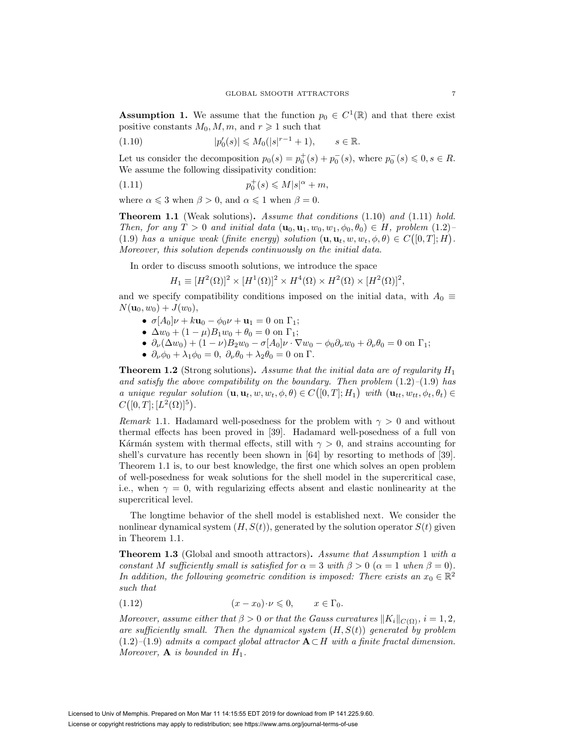**Assumption 1.** We assume that the function  $p_0 \in C^1(\mathbb{R})$  and that there exist positive constants  $M_0, M, m$ , and  $r \geq 1$  such that

(1.10) 
$$
|p'_0(s)| \leq M_0(|s|^{r-1}+1), \qquad s \in \mathbb{R}.
$$

Let us consider the decomposition  $p_0(s) = p_0^+(s) + p_0^-(s)$ , where  $p_0^-(s) \leq 0, s \in R$ . We assume the following dissipativity condition:

$$
(1.11)\t\t\t\t\t p_0^+(s) \leqslant M|s|^\alpha + m,
$$

where  $\alpha \leq 3$  when  $\beta > 0$ , and  $\alpha \leq 1$  when  $\beta = 0$ .

**Theorem 1.1** (Weak solutions)**.** Assume that conditions (1.10) and (1.11) hold. Then, for any  $T > 0$  and initial data  $(\mathbf{u}_0, \mathbf{u}_1, w_0, w_1, \phi_0, \theta_0) \in H$ , problem  $(1.2)$ (1.9) has a unique weak (finite energy) solution  $(\mathbf{u}, \mathbf{u}_t, w, w_t, \phi, \theta) \in C([0, T]; H)$ . Moreover, this solution depends continuously on the initial data.

In order to discuss smooth solutions, we introduce the space

$$
H_1 \equiv [H^2(\Omega)]^2 \times [H^1(\Omega)]^2 \times H^4(\Omega) \times H^2(\Omega) \times [H^2(\Omega)]^2,
$$

and we specify compatibility conditions imposed on the initial data, with  $A_0 \equiv$  $N(\mathbf{u}_0, w_0) + J(w_0),$ 

- $\sigma[A_0]\nu + k\mathbf{u}_0 \phi_0\nu + \mathbf{u}_1 = 0$  on  $\Gamma_1$ ;
- $\Delta w_0 + (1 \mu)B_1w_0 + \theta_0 = 0$  on  $\Gamma_1$ ;
- $\partial_{\nu}(\Delta w_0) + (1 \nu)B_2w_0 \sigma[A_0]\nu \cdot \nabla w_0 \phi_0\partial_{\nu}w_0 + \partial_{\nu}\theta_0 = 0$  on  $\Gamma_1$ ;
- $\partial_{\nu}\phi_0 + \lambda_1\phi_0 = 0$ ,  $\partial_{\nu}\theta_0 + \lambda_2\theta_0 = 0$  on  $\Gamma$ .

**Theorem 1.2** (Strong solutions). Assume that the initial data are of regularity  $H_1$ and satisfy the above compatibility on the boundary. Then problem  $(1.2)$ – $(1.9)$  has a unique regular solution  $(\mathbf{u}, \mathbf{u}_t, w, w_t, \phi, \theta) \in C([0, T]; H_1)$  with  $(\mathbf{u}_{tt}, w_{tt}, \phi_t, \theta_t) \in$  $C([0,T]; [L^2(\Omega)]^5)$ .

*Remark* 1.1. Hadamard well-posedness for the problem with  $\gamma > 0$  and without thermal effects has been proved in [39]. Hadamard well-posedness of a full von Kármán system with thermal effects, still with  $\gamma > 0$ , and strains accounting for shell's curvature has recently been shown in [64] by resorting to methods of [39]. Theorem 1.1 is, to our best knowledge, the first one which solves an open problem of well-posedness for weak solutions for the shell model in the supercritical case, i.e., when  $\gamma = 0$ , with regularizing effects absent and elastic nonlinearity at the supercritical level.

The longtime behavior of the shell model is established next. We consider the nonlinear dynamical system  $(H, S(t))$ , generated by the solution operator  $S(t)$  given in Theorem 1.1.

**Theorem 1.3** (Global and smooth attractors)**.** Assume that Assumption 1 with a constant M sufficiently small is satisfied for  $\alpha = 3$  with  $\beta > 0$  ( $\alpha = 1$  when  $\beta = 0$ ). In addition, the following geometric condition is imposed: There exists an  $x_0 \in \mathbb{R}^2$ such that

$$
(1.12) \t\t\t (x-x_0)\cdot \nu \leq 0, \t x \in \Gamma_0.
$$

Moreover, assume either that  $\beta > 0$  or that the Gauss curvatures  $||K_i||_{C(\Omega)}, i = 1, 2$ , are sufficiently small. Then the dynamical system  $(H, S(t))$  generated by problem (1.2)–(1.9) admits a compact global attractor **A**⊂H with a finite fractal dimension. Moreover,  $\mathbf{A}$  is bounded in  $H_1$ .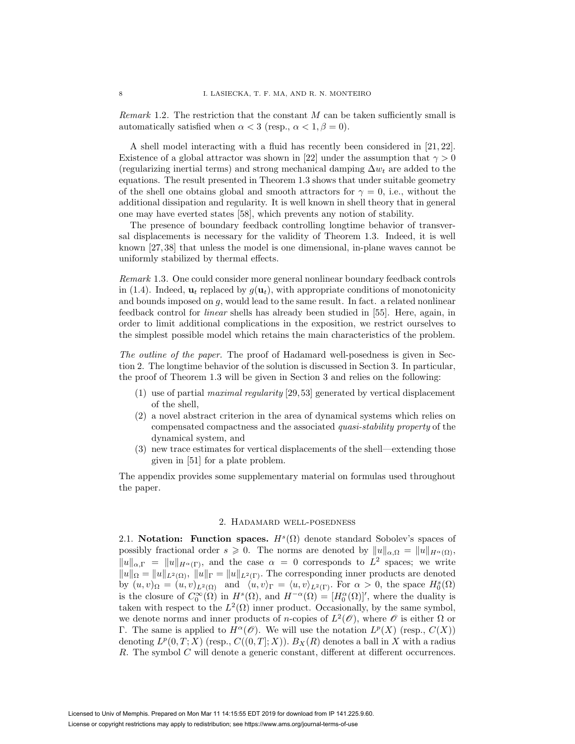*Remark* 1.2. The restriction that the constant  $M$  can be taken sufficiently small is automatically satisfied when  $\alpha < 3$  (resp.,  $\alpha < 1, \beta = 0$ ).

A shell model interacting with a fluid has recently been considered in [21, 22]. Existence of a global attractor was shown in [22] under the assumption that  $\gamma > 0$ (regularizing inertial terms) and strong mechanical damping  $\Delta w_t$  are added to the equations. The result presented in Theorem 1.3 shows that under suitable geometry of the shell one obtains global and smooth attractors for  $\gamma = 0$ , i.e., without the additional dissipation and regularity. It is well known in shell theory that in general one may have everted states [58], which prevents any notion of stability.

The presence of boundary feedback controlling longtime behavior of transversal displacements is necessary for the validity of Theorem 1.3. Indeed, it is well known [27, 38] that unless the model is one dimensional, in-plane waves cannot be uniformly stabilized by thermal effects.

Remark 1.3. One could consider more general nonlinear boundary feedback controls in (1.4). Indeed,  $\mathbf{u}_t$  replaced by  $g(\mathbf{u}_t)$ , with appropriate conditions of monotonicity and bounds imposed on  $q$ , would lead to the same result. In fact. a related nonlinear feedback control for linear shells has already been studied in [55]. Here, again, in order to limit additional complications in the exposition, we restrict ourselves to the simplest possible model which retains the main characteristics of the problem.

The outline of the paper. The proof of Hadamard well-posedness is given in Section 2. The longtime behavior of the solution is discussed in Section 3. In particular, the proof of Theorem 1.3 will be given in Section 3 and relies on the following:

- (1) use of partial maximal regularity [29, 53] generated by vertical displacement of the shell,
- (2) a novel abstract criterion in the area of dynamical systems which relies on compensated compactness and the associated quasi-stability property of the dynamical system, and
- (3) new trace estimates for vertical displacements of the shell—extending those given in [51] for a plate problem.

The appendix provides some supplementary material on formulas used throughout the paper.

## 2. Hadamard well-posedness

2.1. **Notation:** Function spaces.  $H<sup>s</sup>(\Omega)$  denote standard Sobolev's spaces of possibly fractional order  $s \geq 0$ . The norms are denoted by  $||u||_{\alpha,\Omega} = ||u||_{H^{\alpha}(\Omega)}$ ,  $||u||_{\alpha,\Gamma} = ||u||_{H^{\alpha}(\Gamma)}$ , and the case  $\alpha = 0$  corresponds to  $L^2$  spaces; we write  $||u||_{\Omega} = ||u||_{L^2(\Omega)},$   $||u||_{\Gamma} = ||u||_{L^2(\Gamma)}$ . The corresponding inner products are denoted by  $(u, v)_{\Omega} = (u, v)_{L^2(\Omega)}$  and  $\langle u, v \rangle_{\Gamma} = \langle u, v \rangle_{L^2(\Gamma)}$ . For  $\alpha > 0$ , the space  $H_0^s(\Omega)$ is the closure of  $C_0^{\infty}(\Omega)$  in  $H^s(\Omega)$ , and  $H^{-\alpha}(\Omega) = [H_0^{\alpha}(\Omega)]'$ , where the duality is taken with respect to the  $L^2(\Omega)$  inner product. Occasionally, by the same symbol, we denote norms and inner products of n-copies of  $L^2(\mathscr{O})$ , where  $\mathscr{O}$  is either  $\Omega$  or Γ. The same is applied to  $H^{\alpha}(\mathscr{O})$ . We will use the notation  $L^{p}(X)$  (resp.,  $C(X)$ ) denoting  $L^p(0,T;X)$  (resp.,  $C((0,T;X))$ ).  $B_X(R)$  denotes a ball in X with a radius R. The symbol C will denote a generic constant, different at different occurrences.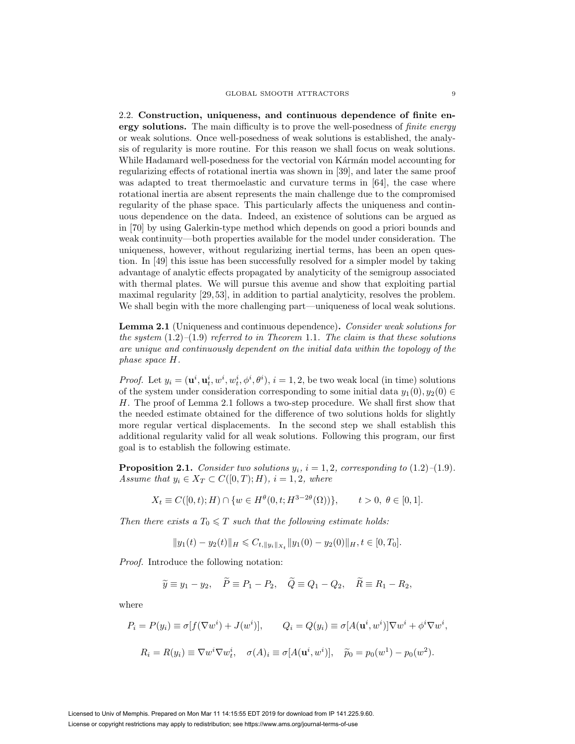2.2. **Construction, uniqueness, and continuous dependence of finite energy solutions.** The main difficulty is to prove the well-posedness of *finite energy* or weak solutions. Once well-posedness of weak solutions is established, the analysis of regularity is more routine. For this reason we shall focus on weak solutions. While Hadamard well-posedness for the vectorial von Kármán model accounting for regularizing effects of rotational inertia was shown in [39], and later the same proof was adapted to treat thermoelastic and curvature terms in [64], the case where rotational inertia are absent represents the main challenge due to the compromised regularity of the phase space. This particularly affects the uniqueness and continuous dependence on the data. Indeed, an existence of solutions can be argued as in [70] by using Galerkin-type method which depends on good a priori bounds and weak continuity—both properties available for the model under consideration. The uniqueness, however, without regularizing inertial terms, has been an open question. In [49] this issue has been successfully resolved for a simpler model by taking advantage of analytic effects propagated by analyticity of the semigroup associated with thermal plates. We will pursue this avenue and show that exploiting partial maximal regularity [29, 53], in addition to partial analyticity, resolves the problem. We shall begin with the more challenging part—uniqueness of local weak solutions.

**Lemma 2.1** (Uniqueness and continuous dependence)**.** Consider weak solutions for the system  $(1.2)$ – $(1.9)$  referred to in Theorem 1.1. The claim is that these solutions are unique and continuously dependent on the initial data within the topology of the phase space H.

*Proof.* Let  $y_i = (\mathbf{u}^i, \mathbf{u}_t^i, w^i, w_t^i, \phi^i, \theta^i), i = 1, 2$ , be two weak local (in time) solutions of the system under consideration corresponding to some initial data  $y_1(0), y_2(0) \in$ H. The proof of Lemma 2.1 follows a two-step procedure. We shall first show that the needed estimate obtained for the difference of two solutions holds for slightly more regular vertical displacements. In the second step we shall establish this additional regularity valid for all weak solutions. Following this program, our first goal is to establish the following estimate.

**Proposition 2.1.** Consider two solutions  $y_i$ ,  $i = 1, 2$ , corresponding to  $(1.2)$ – $(1.9)$ . Assume that  $y_i \in X_T \subset C([0,T); H)$ ,  $i = 1, 2$ , where

$$
X_t \equiv C([0, t); H) \cap \{w \in H^{\theta}(0, t; H^{3-2\theta}(\Omega))\}, \qquad t > 0, \ \theta \in [0, 1].
$$

Then there exists a  $T_0 \leq T$  such that the following estimate holds:

$$
||y_1(t) - y_2(t)||_H \leq C_{t, ||y_i||_{X_t}} ||y_1(0) - y_2(0)||_H, t \in [0, T_0].
$$

Proof. Introduce the following notation:

$$
\widetilde{y} \equiv y_1 - y_2, \quad \widetilde{P} \equiv P_1 - P_2, \quad \widetilde{Q} \equiv Q_1 - Q_2, \quad \widetilde{R} \equiv R_1 - R_2,
$$

where

$$
P_i = P(y_i) \equiv \sigma[f(\nabla w^i) + J(w^i)], \qquad Q_i = Q(y_i) \equiv \sigma[A(\mathbf{u}^i, w^i)]\nabla w^i + \phi^i \nabla w^i,
$$

$$
R_i = R(y_i) \equiv \nabla w^i \nabla w^i, \quad \sigma(A)_i \equiv \sigma[A(\mathbf{u}^i, w^i)], \quad \widetilde{p}_0 = p_0(w^1) - p_0(w^2).
$$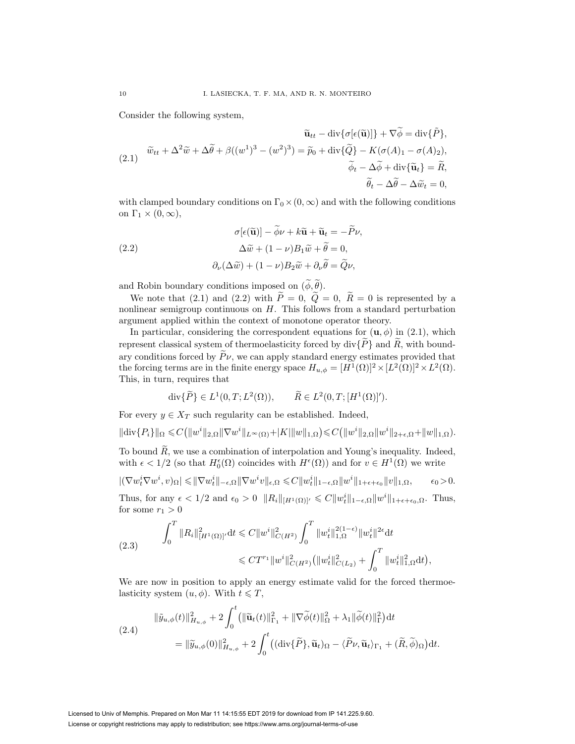Consider the following system,

$$
\widetilde{\mathbf{u}}_{tt} - \operatorname{div} \{ \sigma [\epsilon(\widetilde{\mathbf{u}})] \} + \nabla \widetilde{\phi} = \operatorname{div} \{ \widetilde{P} \},
$$
\n
$$
(2.1) \quad \widetilde{w}_{tt} + \Delta^2 \widetilde{w} + \Delta \widetilde{\theta} + \beta ((w^1)^3 - (w^2)^3) = \widetilde{p}_0 + \operatorname{div} \{ \widetilde{Q} \} - K (\sigma(A)_1 - \sigma(A)_2),
$$
\n
$$
\widetilde{\phi}_t - \Delta \widetilde{\phi} + \operatorname{div} \{ \widetilde{\mathbf{u}}_t \} = \widetilde{R},
$$
\n
$$
\widetilde{\theta}_t - \Delta \widetilde{\theta} - \Delta \widetilde{w}_t = 0,
$$

with clamped boundary conditions on  $\Gamma_0 \times (0, \infty)$  and with the following conditions on  $\Gamma_1 \times (0,\infty)$ ,

(2.2)  
\n
$$
\sigma[\epsilon(\widetilde{\mathbf{u}})] - \widetilde{\phi}\nu + k\widetilde{\mathbf{u}} + \widetilde{\mathbf{u}}_t = -\widetilde{P}\nu,
$$
\n
$$
\Delta \widetilde{w} + (1 - \nu)B_1 \widetilde{w} + \widetilde{\theta} = 0,
$$
\n
$$
\partial_{\nu}(\Delta \widetilde{w}) + (1 - \nu)B_2 \widetilde{w} + \partial_{\nu} \widetilde{\theta} = \widetilde{Q}\nu,
$$

and Robin boundary conditions imposed on  $(\phi, \theta)$ .

We note that (2.1) and (2.2) with  $\tilde{P} = 0$ ,  $\tilde{Q} = 0$ ,  $\tilde{R} = 0$  is represented by a nonlinear semigroup continuous on  $H$ . This follows from a standard perturbation argument applied within the context of monotone operator theory.

In particular, considering the correspondent equations for  $(\mathbf{u}, \phi)$  in  $(2.1)$ , which represent classical system of thermoelasticity forced by div $\{P\}$  and  $\widetilde{R}$ , with boundary conditions forced by  $\widetilde{P} \nu$ , we can apply standard energy estimates provided that the forcing terms are in the finite energy space  $H_{u,\phi} = [H^1(\Omega)]^2 \times [L^2(\Omega)]^2 \times L^2(\Omega)$ . This, in turn, requires that

$$
\operatorname{div}\{\widetilde{P}\}\in L^1(0,T;L^2(\Omega)),\qquad \widetilde{R}\in L^2(0,T;[H^1(\Omega)]').
$$

For every  $y \in X_T$  such regularity can be established. Indeed,

$$
\|\text{div}\{P_i\}\|_{\Omega} \leq C(\|w^i\|_{2,\Omega} \|\nabla w^i\|_{L^{\infty}(\Omega)} + |K|\|w\|_{1,\Omega}) \leq C(\|w^i\|_{2,\Omega} \|w^i\|_{2+\epsilon,\Omega} + \|w\|_{1,\Omega}).
$$

To bound  $\widetilde{R}$ , we use a combination of interpolation and Young's inequality. Indeed, with  $\epsilon < 1/2$  (so that  $H_0^{\epsilon}(\Omega)$  coincides with  $H^{\epsilon}(\Omega)$ ) and for  $v \in H^1(\Omega)$  we write

$$
|(\nabla w_t^i \nabla w^i, v)_{\Omega}| \leq \|\nabla w_t^i\|_{-\epsilon, \Omega} \|\nabla w^i v\|_{\epsilon, \Omega} \leq C \|w_t^i\|_{1-\epsilon, \Omega} \|w^i\|_{1+\epsilon+\epsilon_0} \|v\|_{1, \Omega}, \qquad \epsilon_0 > 0.
$$

Thus, for any  $\epsilon < 1/2$  and  $\epsilon_0 > 0$   $||R_i||_{[H^1(\Omega)]'} \leq C||w_t^i||_{1-\epsilon,\Omega}||w^i||_{1+\epsilon+\epsilon_0,\Omega}$ . Thus, for some  $r_1 > 0$ 

$$
(2.3) \qquad \int_0^T \|R_i\|_{[H^1(\Omega)]'}^2 \mathrm{d}t \leq C \|w^i\|_{C(H^2)}^2 \int_0^T \|w_t^i\|_{1,\Omega}^{2(1-\epsilon)} \|w_t^i\|_{2\epsilon}^{2\epsilon} \mathrm{d}t
$$
  

$$
\leq C T^{r_1} \|w^i\|_{C(H^2)}^2 \left( \|w_t^i\|_{C(L_2)}^2 + \int_0^T \|w_t^i\|_{1,\Omega}^2 \mathrm{d}t \right),
$$

We are now in position to apply an energy estimate valid for the forced thermoelasticity system  $(u, \phi)$ . With  $t \leq T$ ,

(2.4)  
\n
$$
\|\tilde{y}_{u,\phi}(t)\|_{H_{u,\phi}}^2 + 2\int_0^t \left(\|\tilde{\mathbf{u}}_t(t)\|_{\Gamma_1}^2 + \|\nabla \tilde{\phi}(t)\|_{\Omega}^2 + \lambda_1 \|\tilde{\phi}(t)\|_{\Gamma}^2\right) dt
$$
\n
$$
= \|\tilde{y}_{u,\phi}(0)\|_{H_{u,\phi}}^2 + 2\int_0^t \left(\left(\operatorname{div}\{\widetilde{P}\}, \widetilde{\mathbf{u}}_t\right)_{\Omega} - \langle \widetilde{P}\nu, \widetilde{\mathbf{u}}_t \rangle_{\Gamma_1} + (\widetilde{R}, \widetilde{\phi})_{\Omega}\right) dt.
$$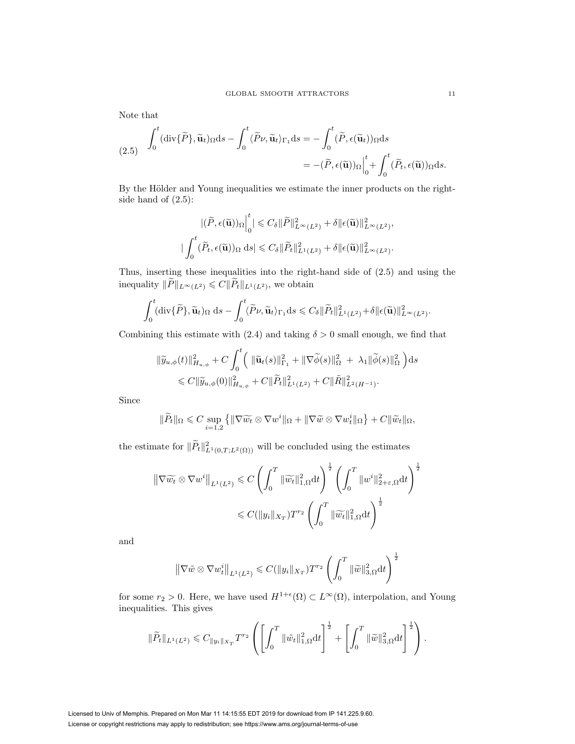Note that

(2.5) 
$$
\int_0^t (\text{div}\{\widetilde{P}\}, \widetilde{\mathbf{u}}_t) \Omega ds - \int_0^t \langle \widetilde{P}\nu, \widetilde{\mathbf{u}}_t \rangle_{\Gamma_1} ds = -\int_0^t (\widetilde{P}, \epsilon(\widetilde{\mathbf{u}}_t)) \Omega ds
$$

$$
= -(\widetilde{P}, \epsilon(\widetilde{\mathbf{u}})) \Omega \Big|_0^t + \int_0^t (\widetilde{P}_t, \epsilon(\widetilde{\mathbf{u}})) \Omega ds.
$$

By the Hölder and Young inequalities we estimate the inner products on the rightside hand of  $(2.5)$ :

$$
\begin{aligned} |(\widetilde{P},\epsilon(\widetilde{\mathbf{u}}))_{\Omega}\Big|_{0}^{t} & \leq C_{\delta} \|\widetilde{P}\|_{L^{\infty}(L^{2})}^{2} + \delta \|\epsilon(\widetilde{\mathbf{u}})\|_{L^{\infty}(L^{2})}^{2},\\ &| \int_{0}^{t} (\widetilde{P}_{t},\epsilon(\widetilde{\mathbf{u}}))_{\Omega} \, \mathrm{d}s & \leq C_{\delta} \|\widetilde{P}_{t}\|_{L^{1}(L^{2})}^{2} + \delta \|\epsilon(\widetilde{\mathbf{u}})\|_{L^{\infty}(L^{2})}^{2}.\end{aligned}
$$

Thus, inserting these inequalities into the right-hand side of (2.5) and using the inequality  $\|\widetilde{P}\|_{L^{\infty}(L^2)} \leqslant C \|\widetilde{P}_t\|_{L^1(L^2)}$ , we obtain

$$
\int_0^t (\operatorname{div}\{\widetilde{P}\}, \widetilde{\mathbf{u}}_t)_{\Omega} ds - \int_0^t \langle \widetilde{P}\nu, \widetilde{\mathbf{u}}_t \rangle_{\Gamma_1} ds \leqslant C_{\delta} \|\widetilde{P}_t\|_{L^1(L^2)}^2 + \delta \|\epsilon(\widetilde{\mathbf{u}})\|_{L^{\infty}(L^2)}^2.
$$

Combining this estimate with (2.4) and taking  $\delta > 0$  small enough, we find that

$$
\|\widetilde{y}_{u,\phi}(t)\|_{H_{u,\phi}}^2 + C \int_0^t \left( \|\widetilde{\mathbf{u}}_t(s)\|_{\Gamma_1}^2 + \|\nabla \widetilde{\phi}(s)\|_{\Omega}^2 + \lambda_1 \|\widetilde{\phi}(s)\|_{\Omega}^2 \right) ds
$$
  
\$\leq C \|\widetilde{y}\_{u,\phi}(0)\|\_{H\_{u,\phi}}^2 + C \|\widetilde{P}\_t\|\_{L^1(L^2)}^2 + C \|\widetilde{R}\|\_{L^2(H^{-1})}^2.

Since

$$
\|\widetilde{P}_t\|_{\Omega} \leq C \sup_{i=1,2} \left\{ \|\nabla \widetilde{w_t} \otimes \nabla w^i\|_{\Omega} + \|\nabla \widetilde{w} \otimes \nabla w^i_t\|_{\Omega} \right\} + C \|\widetilde{w}_t\|_{\Omega},
$$

the estimate for  $\|\tilde{P}_t\|_{L^1(0,T;L^2(\Omega))}^2$  will be concluded using the estimates

$$
\|\nabla \widetilde{w_t} \otimes \nabla w^i\|_{L^1(L^2)} \leq C \left( \int_0^T \|\widetilde{w_t}\|_{1,\Omega}^2 dt \right)^{\frac{1}{2}} \left( \int_0^T \|w^i\|_{2+\varepsilon,\Omega}^2 dt \right)^{\frac{1}{2}}
$$
  

$$
\leq C (\|y_i\|_{X_T}) T^{r_2} \left( \int_0^T \|\widetilde{w_t}\|_{1,\Omega}^2 dt \right)^{\frac{1}{2}}
$$

and

$$
\left\|\nabla \tilde{w} \otimes \nabla w_t^i\right\|_{L^1(L^2)} \leqslant C(\|y_i\|_{X_T})T^{r_2}\left(\int_0^T \|\tilde{w}\|_{3,\Omega}^2 dt\right)^{\frac{1}{2}}
$$

for some  $r_2 > 0$ . Here, we have used  $H^{1+\epsilon}(\Omega) \subset L^{\infty}(\Omega)$ , interpolation, and Young inequalities. This gives

$$
\|\widetilde{P}_t\|_{L^1(L^2)} \leqslant C_{\|y_i\|_{X_T}} T^{r_2} \left( \left[ \int_0^T \|\tilde{w}_t\|_{1,\Omega}^2 dt \right]^{\frac{1}{2}} + \left[ \int_0^T \|\tilde{w}\|_{3,\Omega}^2 dt \right]^{\frac{1}{2}} \right).
$$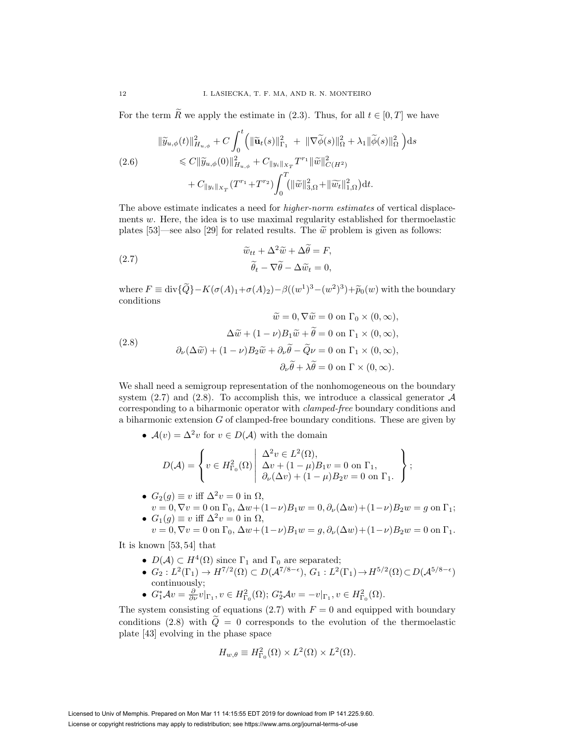For the term  $\widetilde{R}$  we apply the estimate in (2.3). Thus, for all  $t \in [0, T]$  we have

$$
\|\widetilde{y}_{u,\phi}(t)\|_{H_{u,\phi}}^{2} + C \int_{0}^{t} \left( \|\widetilde{\mathbf{u}}_{t}(s)\|_{\Gamma_{1}}^{2} + \|\nabla \widetilde{\phi}(s)\|_{\Omega}^{2} + \lambda_{1} \|\widetilde{\phi}(s)\|_{\Omega}^{2} \right) ds
$$
  
(2.6)  

$$
\leq C \|\widetilde{y}_{u,\phi}(0)\|_{H_{u,\phi}}^{2} + C_{\|y_{i}\|_{X_{T}}} T^{r_{1}} \|\widetilde{w}\|_{C(H^{2})}^{2}
$$

$$
+ C_{\|y_{i}\|_{X_{T}}}(T^{r_{1}} + T^{r_{2}}) \int_{0}^{T} (\|\widetilde{w}\|_{3,\Omega}^{2} + \|\widetilde{w}_{t}\|_{1,\Omega}^{2}) dt.
$$

The above estimate indicates a need for *higher-norm estimates* of vertical displacements  $w$ . Here, the idea is to use maximal regularity established for thermoelastic plates [53]—see also [29] for related results. The  $\tilde{w}$  problem is given as follows:

(2.7) 
$$
\widetilde{w}_{tt} + \Delta^2 \widetilde{w} + \Delta \widetilde{\theta} = F,
$$

$$
\widetilde{\theta}_t - \nabla \widetilde{\theta} - \Delta \widetilde{w}_t = 0,
$$

where  $F \equiv \text{div}\{\widetilde{Q}\}-K(\sigma(A)_1+\sigma(A)_2)-\beta((w^1)^3-(w^2)^3)+\widetilde{p}_0(w)$  with the boundary conditions

(2.8)  
\n
$$
\widetilde{w} = 0, \nabla \widetilde{w} = 0 \text{ on } \Gamma_0 \times (0, \infty),
$$
\n
$$
\Delta \widetilde{w} + (1 - \nu) B_1 \widetilde{w} + \widetilde{\theta} = 0 \text{ on } \Gamma_1 \times (0, \infty),
$$
\n
$$
\partial_{\nu}(\Delta \widetilde{w}) + (1 - \nu) B_2 \widetilde{w} + \partial_{\nu} \widetilde{\theta} - \widetilde{Q} \nu = 0 \text{ on } \Gamma_1 \times (0, \infty),
$$
\n
$$
\partial_{\nu} \widetilde{\theta} + \lambda \widetilde{\theta} = 0 \text{ on } \Gamma \times (0, \infty).
$$

We shall need a semigroup representation of the nonhomogeneous on the boundary system (2.7) and (2.8). To accomplish this, we introduce a classical generator  $A$ corresponding to a biharmonic operator with clamped-free boundary conditions and a biharmonic extension G of clamped-free boundary conditions. These are given by

•  $A(v) = \Delta^2 v$  for  $v \in D(\mathcal{A})$  with the domain

$$
D(\mathcal{A}) = \left\{ v \in H^2_{\Gamma_0}(\Omega) \middle| \begin{array}{l} \Delta^2 v \in L^2(\Omega), \\ \Delta v + (1 - \mu)B_1 v = 0 \text{ on } \Gamma_1, \\ \partial_{\nu}(\Delta v) + (1 - \mu)B_2 v = 0 \text{ on } \Gamma_1. \end{array} \right\};
$$

- $G_2(g) \equiv v$  iff  $\Delta^2 v = 0$  in  $\Omega$ ,  $v = 0, \nabla v = 0$  on  $\Gamma_0$ ,  $\Delta w + (1 - \nu)B_1 w = 0$ ,  $\partial_{\nu}(\Delta w) + (1 - \nu)B_2 w = g$  on  $\Gamma_1$ ;
- $G_1(g) \equiv v$  iff  $\Delta^2 v = 0$  in  $\Omega$ ,  $v = 0, \nabla v = 0$  on  $\Gamma_0$ ,  $\Delta w + (1 - \nu)B_1w = g, \partial_{\nu}(\Delta w) + (1 - \nu)B_2w = 0$  on  $\Gamma_1$ .

It is known [53, 54] that

- $D(\mathcal{A}) \subset H^4(\Omega)$  since  $\Gamma_1$  and  $\Gamma_0$  are separated;
- $G_2: L^2(\Gamma_1) \to H^{7/2}(\Omega) \subset D(\mathcal{A}^{7/8-\epsilon}), G_1: L^2(\Gamma_1) \to H^{5/2}(\Omega) \subset D(\mathcal{A}^{5/8-\epsilon})$ continuously;
- $G_1^*Av = \frac{\partial}{\partial \nu}v|_{\Gamma_1}, v \in H^2_{\Gamma_0}(\Omega); G_2^*Av = -v|_{\Gamma_1}, v \in H^2_{\Gamma_0}(\Omega).$

The system consisting of equations (2.7) with  $F = 0$  and equipped with boundary conditions (2.8) with  $\tilde{Q} = 0$  corresponds to the evolution of the thermoelastic plate [43] evolving in the phase space

$$
H_{w,\theta} \equiv H_{\Gamma_0}^2(\Omega) \times L^2(\Omega) \times L^2(\Omega).
$$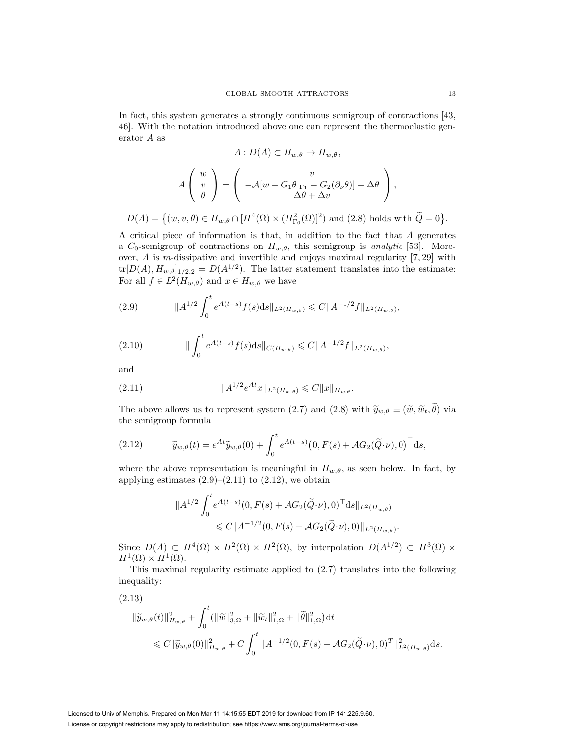In fact, this system generates a strongly continuous semigroup of contractions [43, 46]. With the notation introduced above one can represent the thermoelastic generator A as

$$
A: D(A) \subset H_{w,\theta} \to H_{w,\theta},
$$

$$
A\begin{pmatrix} w \\ v \\ \theta \end{pmatrix} = \begin{pmatrix} v \\ -\mathcal{A}[w - G_1\theta]_{\Gamma_1} - G_2(\partial_\nu \theta)] - \Delta\theta \\ \Delta\theta + \Delta v \end{pmatrix},
$$

$$
D(A) = \{(w, v, \theta) \in H_{w,\theta} \cap [H^4(\Omega) \times (H_{\Gamma_0}^2(\Omega))^2) \text{ and } (2.8) \text{ holds with } \widetilde{Q} = 0\}.
$$

A critical piece of information is that, in addition to the fact that A generates a  $C_0$ -semigroup of contractions on  $H_{w,\theta}$ , this semigroup is *analytic* [53]. Moreover, A is m-dissipative and invertible and enjoys maximal regularity [7, 29] with  $\text{tr}[D(A), H_{w,\theta}]_{1/2,2} = D(A^{1/2})$ . The latter statement translates into the estimate: For all  $f \in L^2(H_{w,\theta})$  and  $x \in H_{w,\theta}$  we have

(2.9) 
$$
\|A^{1/2} \int_0^t e^{A(t-s)} f(s) ds \|_{L^2(H_{w,\theta})} \leq C \|A^{-1/2} f\|_{L^2(H_{w,\theta})},
$$

(2.10) 
$$
\| \int_0^t e^{A(t-s)} f(s) ds \|_{C(H_{w,\theta})} \leq C \|A^{-1/2} f\|_{L^2(H_{w,\theta})},
$$

and

(2.11) 
$$
||A^{1/2}e^{At}x||_{L^2(H_{w,\theta})} \leqslant C||x||_{H_{w,\theta}}.
$$

The above allows us to represent system (2.7) and (2.8) with  $\widetilde{y}_{w,\theta} \equiv (\widetilde{w}, \widetilde{w}_t, \theta)$  via the semigroup formula the semigroup formula

(2.12) 
$$
\widetilde{y}_{w,\theta}(t) = e^{At} \widetilde{y}_{w,\theta}(0) + \int_0^t e^{A(t-s)} \big(0, F(s) + \mathcal{A}G_2(\widetilde{Q} \cdot \nu), 0\big)^{\top} ds,
$$

where the above representation is meaningful in  $H_{w,\theta}$ , as seen below. In fact, by applying estimates  $(2.9)$ – $(2.11)$  to  $(2.12)$ , we obtain

$$
\begin{aligned} \|A^{1/2} \int_0^t e^{A(t-s)} (0, F(s) + \mathcal{A}G_2(\widetilde{Q} \cdot \nu), 0)^{\top} ds \|_{L^2(H_{w,\theta})} \\ &\leq C \|A^{-1/2}(0, F(s) + \mathcal{A}G_2(\widetilde{Q} \cdot \nu), 0) \|_{L^2(H_{w,\theta})} .\end{aligned}
$$

Since  $D(A) \subset H^4(\Omega) \times H^2(\Omega) \times H^2(\Omega)$ , by interpolation  $D(A^{1/2}) \subset H^3(\Omega) \times$  $H^1(\Omega) \times H^1(\Omega)$ .

This maximal regularity estimate applied to (2.7) translates into the following inequality:

(2.13)

$$
\begin{split} \|\widetilde{y}_{w,\theta}(t)\|_{H_{w,\theta}}^{2} &+ \int_{0}^{t} (\|\widetilde{w}\|_{3,\Omega}^{2} + \|\widetilde{w}_{t}\|_{1,\Omega}^{2} + \|\widetilde{\theta}\|_{1,\Omega}^{2}) \, \mathrm{d}t \\ &\leq C \|\widetilde{y}_{w,\theta}(0)\|_{H_{w,\theta}}^{2} + C \int_{0}^{t} \|A^{-1/2}(0, F(s) + \mathcal{A}G_{2}(\widetilde{Q} \cdot \nu), 0)^{T}\|_{L^{2}(H_{w,\theta})}^{2} \, \mathrm{d}s. \end{split}
$$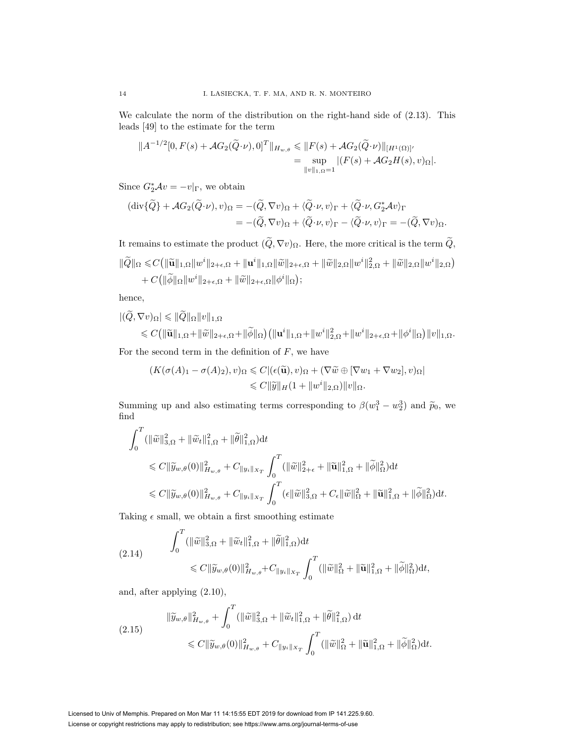We calculate the norm of the distribution on the right-hand side of (2.13). This leads [49] to the estimate for the term

$$
||A^{-1/2}[0, F(s) + \mathcal{A}G_2(\tilde{Q} \cdot \nu), 0]^T||_{H_{w,\theta}} \leq ||F(s) + \mathcal{A}G_2(\tilde{Q} \cdot \nu)||_{[H^1(\Omega)]'}
$$
  
= 
$$
\sup_{||v||_{1,\Omega}=1} |(F(s) + \mathcal{A}G_2H(s), v)_{\Omega}|.
$$

Since  $G_2^*\mathcal{A}v = -v|_{\Gamma}$ , we obtain

$$
\begin{aligned} (\operatorname{div}\{\widetilde{Q}\} + \mathcal{A}G_2(\widetilde{Q}\cdot\nu), v)_{\Omega} &= -(\widetilde{Q}, \nabla v)_{\Omega} + \langle \widetilde{Q}\cdot\nu, v \rangle_{\Gamma} + \langle \widetilde{Q}\cdot\nu, G_2^* \mathcal{A} v \rangle_{\Gamma} \\ &= -(\widetilde{Q}, \nabla v)_{\Omega} + \langle \widetilde{Q}\cdot\nu, v \rangle_{\Gamma} - \langle \widetilde{Q}\cdot\nu, v \rangle_{\Gamma} = -(\widetilde{Q}, \nabla v)_{\Omega}. \end{aligned}
$$

It remains to estimate the product  $(\tilde{Q}, \nabla v)_{\Omega}$ . Here, the more critical is the term  $\tilde{Q}$ ,

$$
\begin{aligned} \|\widetilde{Q}\|_{\Omega} &\leq C \big( \|\widetilde{\mathbf{u}}\|_{1,\Omega} \|w^i\|_{2+\epsilon,\Omega} + \|\mathbf{u}^i\|_{1,\Omega} \|\widetilde{w}\|_{2+\epsilon,\Omega} + \|\widetilde{w}\|_{2,\Omega} \|w^i\|_{2,\Omega}^2 + \|\widetilde{w}\|_{2,\Omega} \|w^i\|_{2,\Omega} \big) \\ &+ C \big( \|\widetilde{\phi}\|_{\Omega} \|w^i\|_{2+\epsilon,\Omega} + \|\widetilde{w}\|_{2+\epsilon,\Omega} \|\phi^i\|_{\Omega} \big); \end{aligned}
$$

hence,

$$
|(Q, \nabla v)_{\Omega}| \leqslant ||Q||_{\Omega} ||v||_{1,\Omega}
$$

$$
\leqslant C\big(\|\widetilde{\mathbf{u}}\|_{1,\Omega}+\|\widetilde{w}\|_{2+\epsilon,\Omega}+\|\widetilde{\phi}\|_{\Omega}\big)\big(\|\mathbf{u}^{i}\|_{1,\Omega}+\|w^{i}\|_{2,\Omega}^{2}+\|w^{i}\|_{2+\epsilon,\Omega}+\|\phi^{i}\|_{\Omega}\big)\|v\|_{1,\Omega}.
$$

For the second term in the definition of  $F$ , we have

$$
(K(\sigma(A)_1 - \sigma(A)_2), v)_{\Omega} \leq C |(\epsilon(\widetilde{\mathbf{u}}), v)_{\Omega} + (\nabla \widetilde{w} \oplus [\nabla w_1 + \nabla w_2], v)_{\Omega}|
$$
  

$$
\leq C \|\widetilde{y}\|_{H} (1 + \|w^i\|_{2,\Omega}) \|v\|_{\Omega}.
$$

Summing up and also estimating terms corresponding to  $\beta(w_1^3 - w_2^3)$  and  $\tilde{p}_0$ , we find

$$
\int_{0}^{T} (\|\widetilde{w}\|_{3,\Omega}^{2} + \|\widetilde{w}_{t}\|_{1,\Omega}^{2} + \|\widetilde{\theta}\|_{1,\Omega}^{2}) dt
$$
\n
$$
\leq C \|\widetilde{y}_{w,\theta}(0)\|_{H_{w,\theta}}^{2} + C_{\|y_{i}\|_{X_{T}}} \int_{0}^{T} (\|\widetilde{w}\|_{2+\epsilon}^{2} + \|\widetilde{\mathbf{u}}\|_{1,\Omega}^{2} + \|\widetilde{\phi}\|_{\Omega}^{2}) dt
$$
\n
$$
\leq C \|\widetilde{y}_{w,\theta}(0)\|_{H_{w,\theta}}^{2} + C_{\|y_{i}\|_{X_{T}}} \int_{0}^{T} (\epsilon \|\widetilde{w}\|_{3,\Omega}^{2} + C_{\epsilon} \|\widetilde{w}\|_{\Omega}^{2} + \|\widetilde{\mathbf{u}}\|_{1,\Omega}^{2} + \|\widetilde{\phi}\|_{\Omega}^{2}) dt.
$$

Taking  $\epsilon$  small, we obtain a first smoothing estimate

$$
(2.14) \qquad \int_0^T (\|\widetilde{w}\|_{3,\Omega}^2 + \|\widetilde{w}_t\|_{1,\Omega}^2 + \|\widetilde{\theta}\|_{1,\Omega}^2) dt
$$
\n
$$
\leq C \|\widetilde{y}_{w,\theta}(0)\|_{H_{w,\theta}}^2 + C_{\|y_i\|_{X_T}} \int_0^T (\|\widetilde{w}\|_{\Omega}^2 + \|\widetilde{\mathbf{u}}\|_{1,\Omega}^2 + \|\widetilde{\phi}\|_{\Omega}^2) dt,
$$

and, after applying (2.10),

$$
\|\widetilde{y}_{w,\theta}\|_{H_{w,\theta}}^2 + \int_0^T (\|\widetilde{w}\|_{3,\Omega}^2 + \|\widetilde{w}_t\|_{1,\Omega}^2 + \|\widetilde{\theta}\|_{1,\Omega}^2) dt
$$
  
(2.15)  

$$
\leq C \|\widetilde{y}_{w,\theta}(0)\|_{H_{w,\theta}}^2 + C_{\|y_i\|_{X_T}} \int_0^T (\|\widetilde{w}\|_{\Omega}^2 + \|\widetilde{\mathbf{u}}\|_{1,\Omega}^2 + \|\widetilde{\phi}\|_{\Omega}^2) dt.
$$

License or copyright restrictions may apply to redistribution; see https://www.ams.org/journal-terms-of-use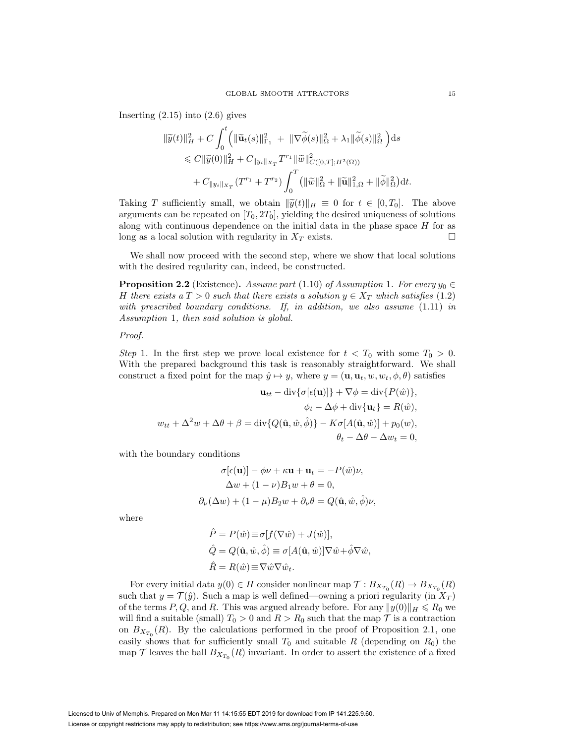Inserting  $(2.15)$  into  $(2.6)$  gives

$$
\begin{split} \|\widetilde{y}(t)\|_{H}^{2}+C&\int_{0}^{t}\Big(\|\widetilde{\mathbf{u}}_{t}(s)\|_{\Gamma_{1}}^{2}\ +\ \|\nabla\widetilde{\phi}(s)\|_{\Omega}^{2}+\lambda_{1}\|\widetilde{\phi}(s)\|_{\Omega}^{2}\Big)\mathrm{d}s\\ &\leqslant C\|\widetilde{y}(0)\|_{H}^{2}+C_{\|y_{i}\|_{X_{T}}}T^{r_{1}}\|\widetilde{w}\|_{C([0,T];H^{2}(\Omega))}^{2}\\ &\quad +C_{\|y_{i}\|_{X_{T}}}\big(T^{r_{1}}+T^{r_{2}}\big)\int_{0}^{T}\big(\|\widetilde{w}\|_{\Omega}^{2}+\|\widetilde{\mathbf{u}}\|_{1,\Omega}^{2}+\|\widetilde{\phi}\|_{\Omega}^{2}\big)\mathrm{d}t. \end{split}
$$

Taking T sufficiently small, we obtain  $\|\widetilde{y}(t)\|_{H} \equiv 0$  for  $t \in [0, T_0]$ . The above arguments can be repeated on  $[T_0, 2T_0]$ , yielding the desired uniqueness of solutions along with continuous dependence on the initial data in the phase space  $H$  for as long as a local solution with regularity in  $X_T$  exists.

We shall now proceed with the second step, where we show that local solutions with the desired regularity can, indeed, be constructed.

**Proposition 2.2** (Existence). Assume part (1.10) of Assumption 1. For every  $y_0 \in$ H there exists a  $T > 0$  such that there exists a solution  $y \in X_T$  which satisfies (1.2) with prescribed boundary conditions. If, in addition, we also assume  $(1.11)$  in Assumption 1, then said solution is global.

## Proof.

Step 1. In the first step we prove local existence for  $t < T_0$  with some  $T_0 > 0$ . With the prepared background this task is reasonably straightforward. We shall construct a fixed point for the map  $\hat{y} \mapsto y$ , where  $y = (\mathbf{u}, \mathbf{u}_t, w, w_t, \phi, \theta)$  satisfies

$$
\mathbf{u}_{tt} - \text{div}\{\sigma[\epsilon(\mathbf{u})]\} + \nabla\phi = \text{div}\{P(\hat{w})\},
$$
  

$$
\phi_t - \Delta\phi + \text{div}\{\mathbf{u}_t\} = R(\hat{w}),
$$
  

$$
w_{tt} + \Delta^2 w + \Delta\theta + \beta = \text{div}\{Q(\hat{\mathbf{u}}, \hat{w}, \hat{\phi})\} - K\sigma[A(\hat{\mathbf{u}}, \hat{w})] + p_0(w),
$$
  

$$
\theta_t - \Delta\theta - \Delta w_t = 0,
$$

with the boundary conditions

$$
\sigma[\epsilon(\mathbf{u})] - \phi \nu + \kappa \mathbf{u} + \mathbf{u}_t = -P(\hat{w})\nu,
$$
  
\n
$$
\Delta w + (1 - \nu)B_1 w + \theta = 0,
$$
  
\n
$$
\partial_{\nu}(\Delta w) + (1 - \mu)B_2 w + \partial_{\nu} \theta = Q(\hat{\mathbf{u}}, \hat{w}, \hat{\phi})\nu,
$$

where

$$
\hat{P} = P(\hat{w}) \equiv \sigma[f(\nabla \hat{w}) + J(\hat{w})],
$$
  
\n
$$
\hat{Q} = Q(\hat{\mathbf{u}}, \hat{w}, \hat{\phi}) \equiv \sigma[A(\hat{\mathbf{u}}, \hat{w})] \nabla \hat{w} + \hat{\phi} \nabla \hat{w},
$$
  
\n
$$
\hat{R} = R(\hat{w}) \equiv \nabla \hat{w} \nabla \hat{w}.
$$

For every initial data  $y(0) \in H$  consider nonlinear map  $\mathcal{T}: B_{X_{T_0}}(R) \to B_{X_{T_0}}(R)$ such that  $y = \mathcal{T}(\hat{y})$ . Such a map is well defined—owning a priori regularity (in  $X_T$ ) of the terms P, Q, and R. This was argued already before. For any  $||y(0)||_H \le R_0$  we will find a suitable (small)  $T_0 > 0$  and  $R > R_0$  such that the map  $\mathcal T$  is a contraction on  $B_{X_{T_0}}(R)$ . By the calculations performed in the proof of Proposition 2.1, one easily shows that for sufficiently small  $T_0$  and suitable R (depending on  $R_0$ ) the map  $\mathcal T$  leaves the ball  $B_{X_{T_0}}(R)$  invariant. In order to assert the existence of a fixed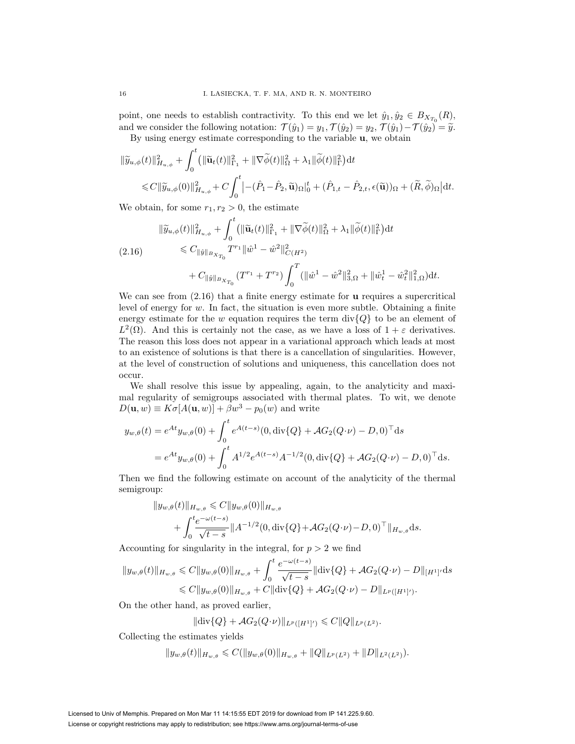point, one needs to establish contractivity. To this end we let  $\hat{y}_1, \hat{y}_2 \in B_{X_{T_0}}(R)$ , and we consider the following notation:  $\mathcal{T}(\hat{y}_1) = y_1, \mathcal{T}(\hat{y}_2) = y_2, \mathcal{T}(\hat{y}_1) - \mathcal{T}(\hat{y}_2) = \tilde{y}.$ 

By using energy estimate corresponding to the variable **u**, we obtain

$$
\begin{split} \|\widetilde{y}_{u,\phi}(t)\|_{H_{u,\phi}}^2 &+ \int_0^t \left(\|\widetilde{\mathbf{u}}_t(t)\|_{\Gamma_1}^2 + \|\nabla \widetilde{\phi}(t)\|_{\Omega}^2 + \lambda_1 \|\widetilde{\phi}(t)\|_{\Gamma}^2\right) \mathrm{d}t \\ &\leqslant C \|\widetilde{y}_{u,\phi}(0)\|_{H_{u,\phi}}^2 + C \int_0^t \left| -(\hat{P}_1 - \hat{P}_2, \widetilde{\mathbf{u}})_{\Omega}\right|_0^t + (\hat{P}_{1,t} - \hat{P}_{2,t}, \epsilon(\widetilde{\mathbf{u}}))_{\Omega} + (\widetilde{R}, \widetilde{\phi})_{\Omega} \right| \mathrm{d}t. \end{split}
$$

We obtain, for some  $r_1, r_2 > 0$ , the estimate

$$
\|\widetilde{y}_{u,\phi}(t)\|_{H_{u,\phi}}^{2} + \int_{0}^{t} (\|\widetilde{\mathbf{u}}_{t}(t)\|_{\Gamma_{1}}^{2} + \|\nabla \widetilde{\phi}(t)\|_{\Omega}^{2} + \lambda_{1} \|\widetilde{\phi}(t)\|_{\Gamma}^{2}) dt
$$
\n
$$
\leq C_{\|\hat{y}\|_{B_{X_{T_{0}}}}} T^{r_{1}} \|\hat{w}^{1} - \hat{w}^{2}\|_{C(H^{2})}^{2}
$$
\n
$$
+ C_{\|\hat{y}\|_{B_{X_{T_{0}}}}} (T^{r_{1}} + T^{r_{2}}) \int_{0}^{T} (\|\hat{w}^{1} - \hat{w}^{2}\|_{3,\Omega}^{2} + \|\hat{w}^{1}_{t} - \hat{w}^{2}_{t}\|_{1,\Omega}^{2}) dt.
$$

We can see from (2.16) that a finite energy estimate for **u** requires a supercritical level of energy for  $w$ . In fact, the situation is even more subtle. Obtaining a finite energy estimate for the w equation requires the term div ${Q}$  to be an element of  $L^2(\Omega)$ . And this is certainly not the case, as we have a loss of  $1+\varepsilon$  derivatives. The reason this loss does not appear in a variational approach which leads at most to an existence of solutions is that there is a cancellation of singularities. However, at the level of construction of solutions and uniqueness, this cancellation does not occur.

We shall resolve this issue by appealing, again, to the analyticity and maximal regularity of semigroups associated with thermal plates. To wit, we denote  $D(\mathbf{u}, w) \equiv K\sigma[A(\mathbf{u}, w)] + \beta w^3 - p_0(w)$  and write

$$
y_{w,\theta}(t) = e^{At} y_{w,\theta}(0) + \int_0^t e^{A(t-s)} (0, \text{div}\{Q\} + \mathcal{A}G_2(Q \cdot \nu) - D, 0)^\top ds
$$
  
=  $e^{At} y_{w,\theta}(0) + \int_0^t A^{1/2} e^{A(t-s)} A^{-1/2} (0, \text{div}\{Q\} + \mathcal{A}G_2(Q \cdot \nu) - D, 0)^\top ds.$ 

Then we find the following estimate on account of the analyticity of the thermal semigroup:

$$
||y_{w,\theta}(t)||_{H_{w,\theta}} \leq C ||y_{w,\theta}(0)||_{H_{w,\theta}} + \int_0^t \frac{e^{-\omega(t-s)}}{\sqrt{t-s}} ||A^{-1/2}(0, \text{div}\{Q\} + \mathcal{A}G_2(Q \cdot \nu) - D, 0)^\top||_{H_{w,\theta}} ds.
$$

Accounting for singularity in the integral, for  $p > 2$  we find

$$
||y_{w,\theta}(t)||_{H_{w,\theta}} \leq C||y_{w,\theta}(0)||_{H_{w,\theta}} + \int_0^t \frac{e^{-\omega(t-s)}}{\sqrt{t-s}} ||\text{div}\{Q\} + \mathcal{A}G_2(Q \cdot \nu) - D||_{[H^1]'} \text{d}s
$$
  

$$
\leq C||y_{w,\theta}(0)||_{H_{w,\theta}} + C||\text{div}\{Q\} + \mathcal{A}G_2(Q \cdot \nu) - D||_{L^p([H^1]')}.
$$

On the other hand, as proved earlier,

$$
\|\text{div}\{Q\} + \mathcal{A}G_2(Q\cdot\nu)\|_{L^p([H^1]')}\leqslant C\|Q\|_{L^p(L^2)}.
$$

Collecting the estimates yields

$$
||y_{w,\theta}(t)||_{H_{w,\theta}} \leqslant C(||y_{w,\theta}(0)||_{H_{w,\theta}} + ||Q||_{L^p(L^2)} + ||D||_{L^2(L^2)}).
$$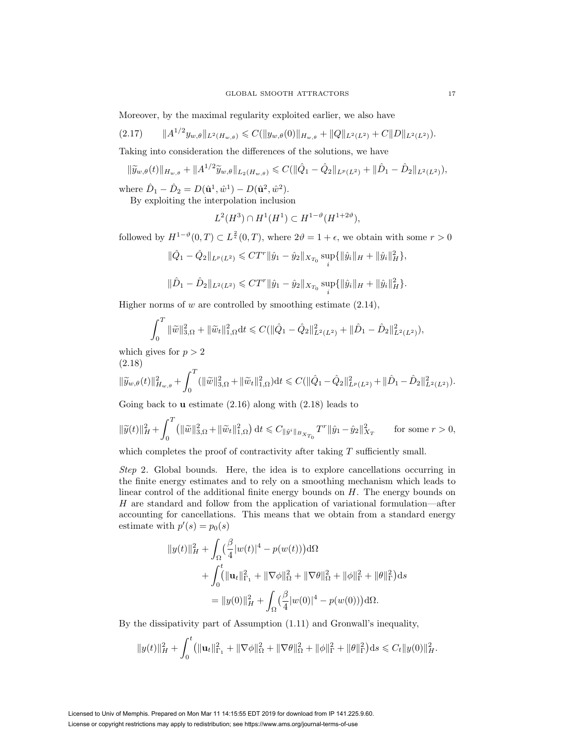Moreover, by the maximal regularity exploited earlier, we also have

(2.17) A1/2yw,θ <sup>L</sup>2(Hw,θ) C( yw,θ(0) <sup>H</sup>w,θ + Q <sup>L</sup>2(L2) + C D <sup>L</sup>2(L2)).

Taking into consideration the differences of the solutions, we have

$$
\|\widetilde{y}_{w,\theta}(t)\|_{H_{w,\theta}} + \|A^{1/2}\widetilde{y}_{w,\theta}\|_{L_2(H_{w,\theta})} \leqslant C(\|\hat{Q}_1 - \hat{Q}_2\|_{L^p(L^2)} + \|\hat{D}_1 - \hat{D}_2\|_{L^2(L^2)}),
$$

where  $\hat{D}_1 - \hat{D}_2 = D(\hat{\mathbf{u}}^1, \hat{w}^1) - D(\hat{\mathbf{u}}^2, \hat{w}^2)$ .

By exploiting the interpolation inclusion

$$
L^2(H^3) \cap H^1(H^1) \subset H^{1-\vartheta}(H^{1+2\vartheta}),
$$

followed by  $H^{1-\vartheta}(0,T) \subset L^{\frac{2}{\epsilon}}(0,T)$ , where  $2\vartheta = 1+\epsilon$ , we obtain with some  $r > 0$ 

$$
\|\hat{Q}_1-\hat{Q}_2\|_{L^p(L^2)}\leqslant CT^r\|\hat{y}_1-\hat{y}_2\|_{X_{T_0}}\sup_i\{\|\hat{y}_i\|_{H}+\|\hat{y}_i\|_{H}^2\},
$$

$$
\|\hat{D}_1-\hat{D}_2\|_{L^2(L^2)} \leq C T^r \|\hat{y}_1-\hat{y}_2\|_{X_{T_0}} \sup_i \{\|\hat{y}_i\|_{H} + \|\hat{y}_i\|_{H}^2\}.
$$

Higher norms of  $w$  are controlled by smoothing estimate  $(2.14)$ ,

$$
\int_0^T \|\widetilde{w}\|_{3,\Omega}^2 + \|\widetilde{w}_t\|_{1,\Omega}^2 dt \leq C(\|\hat{Q}_1 - \hat{Q}_2\|_{L^2(L^2)}^2 + \|\hat{D}_1 - \hat{D}_2\|_{L^2(L^2)}^2),
$$

which gives for  $p > 2$ 

$$
(2.18)
$$

$$
\|\widetilde{y}_{w,\theta}(t)\|_{H_{w,\theta}}^2 + \int_0^T (\|\widetilde{w}\|_{3,\Omega}^2 + \|\widetilde{w}_t\|_{1,\Omega}^2) dt \leq C(\|\hat{Q}_1 - \hat{Q}_2\|_{L^p(L^2)}^2 + \|\hat{D}_1 - \hat{D}_2\|_{L^2(L^2)}^2).
$$

Going back to **u** estimate (2.16) along with (2.18) leads to

$$
\|\widetilde{y}(t)\|_{H}^{2} + \int_{0}^{T} \left( \|\widetilde{w}\|_{3,\Omega}^{2} + \|\widetilde{w}_{t}\|_{1,\Omega}^{2} \right) dt \leq C_{\|\hat{y}^{i}\|_{B_{X_{T_{0}}}}} T^{r} \|\hat{y}_{1} - \hat{y}_{2}\|_{X_{T}}^{2} \quad \text{for some } r > 0,
$$

which completes the proof of contractivity after taking T sufficiently small.

Step 2. Global bounds. Here, the idea is to explore cancellations occurring in the finite energy estimates and to rely on a smoothing mechanism which leads to linear control of the additional finite energy bounds on  $H$ . The energy bounds on H are standard and follow from the application of variational formulation—after accounting for cancellations. This means that we obtain from a standard energy estimate with  $p'(s) = p_0(s)$ 

$$
||y(t)||_H^2 + \int_{\Omega} (\frac{\beta}{4}|w(t)|^4 - p(w(t)))d\Omega
$$
  
+ 
$$
\int_0^t (||\mathbf{u}_t||_{\Gamma_1}^2 + ||\nabla\phi||_{\Omega}^2 + ||\nabla\theta||_{\Omega}^2 + ||\phi||_1^2 + ||\theta||_{\Gamma}^2)ds
$$
  
= 
$$
||y(0)||_H^2 + \int_{\Omega} (\frac{\beta}{4}|w(0)|^4 - p(w(0)))d\Omega.
$$

By the dissipativity part of Assumption (1.11) and Gronwall's inequality,

$$
||y(t)||_H^2 + \int_0^t (||\mathbf{u}_t||_{\Gamma_1}^2 + ||\nabla\phi||_{\Omega}^2 + ||\nabla\theta||_{\Omega}^2 + ||\phi||_{\Gamma}^2 + ||\theta||_{\Gamma}^2) ds \leq C_t ||y(0)||_H^2.
$$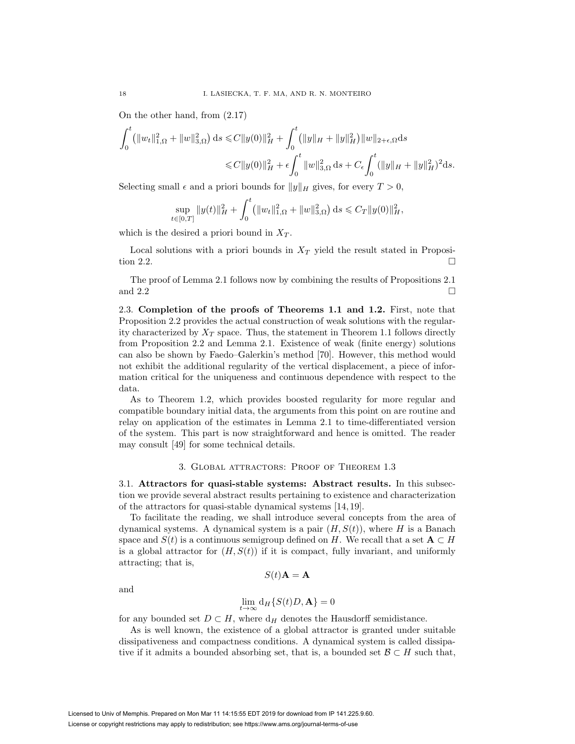On the other hand, from (2.17)

$$
\int_0^t (||w_t||_{1,\Omega}^2 + ||w||_{3,\Omega}^2) ds \leq C ||y(0)||_H^2 + \int_0^t (||y||_H + ||y||_H^2) ||w||_{2+\epsilon,\Omega} ds
$$
  

$$
\leq C ||y(0)||_H^2 + \epsilon \int_0^t ||w||_{3,\Omega}^2 ds + C_{\epsilon} \int_0^t (||y||_H + ||y||_H^2)^2 ds.
$$

Selecting small  $\epsilon$  and a priori bounds for  $||y||_H$  gives, for every  $T > 0$ ,

$$
\sup_{t\in[0,T]}\|y(t)\|_H^2 + \int_0^t \left(\|w_t\|_{1,\Omega}^2 + \|w\|_{3,\Omega}^2\right) ds \leq C_T \|y(0)\|_H^2,
$$

which is the desired a priori bound in  $X_T$ .

Local solutions with a priori bounds in  $X_T$  yield the result stated in Proposition 2.2.

The proof of Lemma 2.1 follows now by combining the results of Propositions 2.1 and 2.2

2.3. **Completion of the proofs of Theorems 1.1 and 1.2.** First, note that Proposition 2.2 provides the actual construction of weak solutions with the regularity characterized by  $X_T$  space. Thus, the statement in Theorem 1.1 follows directly from Proposition 2.2 and Lemma 2.1. Existence of weak (finite energy) solutions can also be shown by Faedo–Galerkin's method [70]. However, this method would not exhibit the additional regularity of the vertical displacement, a piece of information critical for the uniqueness and continuous dependence with respect to the data.

As to Theorem 1.2, which provides boosted regularity for more regular and compatible boundary initial data, the arguments from this point on are routine and relay on application of the estimates in Lemma 2.1 to time-differentiated version of the system. This part is now straightforward and hence is omitted. The reader may consult [49] for some technical details.

#### 3. Global attractors: Proof of Theorem 1.3

3.1. **Attractors for quasi-stable systems: Abstract results.** In this subsection we provide several abstract results pertaining to existence and characterization of the attractors for quasi-stable dynamical systems [14, 19].

To facilitate the reading, we shall introduce several concepts from the area of dynamical systems. A dynamical system is a pair  $(H, S(t))$ , where H is a Banach space and  $S(t)$  is a continuous semigroup defined on H. We recall that a set  $A \subset H$ is a global attractor for  $(H, S(t))$  if it is compact, fully invariant, and uniformly attracting; that is,

and

$$
S(t)\mathbf{A} = \mathbf{A}
$$

$$
\lim_{t \to \infty} d_H\{S(t)D, \mathbf{A}\} = 0
$$

for any bounded set  $D \subset H$ , where  $d_H$  denotes the Hausdorff semidistance.

As is well known, the existence of a global attractor is granted under suitable dissipativeness and compactness conditions. A dynamical system is called dissipative if it admits a bounded absorbing set, that is, a bounded set  $\mathcal{B} \subset H$  such that,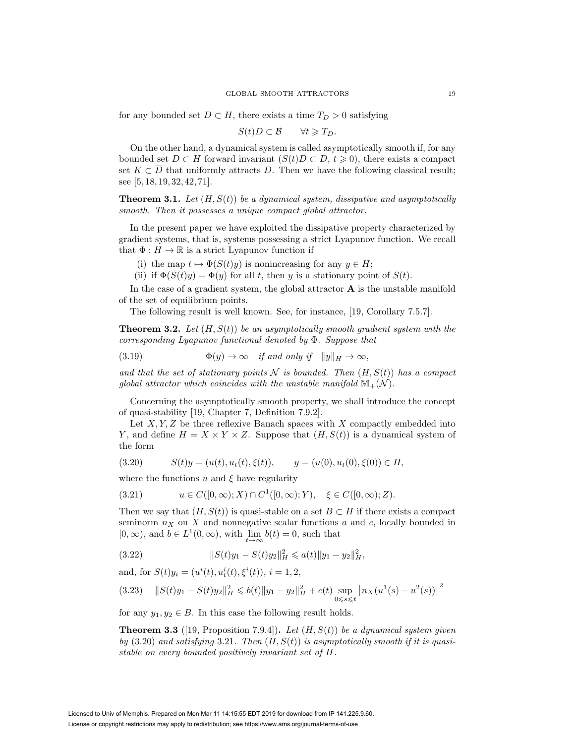for any bounded set  $D \subset H$ , there exists a time  $T_D > 0$  satisfying

$$
S(t)D\subset B\qquad\forall t\geqslant T_D.
$$

On the other hand, a dynamical system is called asymptotically smooth if, for any bounded set  $D \subset H$  forward invariant  $(S(t)D \subset D, t \geq 0)$ , there exists a compact set  $K \subset \overline{D}$  that uniformly attracts D. Then we have the following classical result; see [5, 18, 19, 32, 42, 71].

**Theorem 3.1.** Let  $(H, S(t))$  be a dynamical system, dissipative and asymptotically smooth. Then it possesses a unique compact global attractor.

In the present paper we have exploited the dissipative property characterized by gradient systems, that is, systems possessing a strict Lyapunov function. We recall that  $\Phi: H \to \mathbb{R}$  is a strict Lyapunov function if

- (i) the map  $t \mapsto \Phi(S(t)y)$  is nonincreasing for any  $y \in H$ ;
- (ii) if  $\Phi(S(t)y) = \Phi(y)$  for all t, then y is a stationary point of  $S(t)$ .

In the case of a gradient system, the global attractor **A** is the unstable manifold of the set of equilibrium points.

The following result is well known. See, for instance, [19, Corollary 7.5.7].

**Theorem 3.2.** Let  $(H, S(t))$  be an asymptotically smooth gradient system with the corresponding Lyapunov functional denoted by Φ. Suppose that

(3.19) 
$$
\Phi(y) \to \infty \quad \text{if and only if} \quad ||y||_H \to \infty,
$$

and that the set of stationary points N is bounded. Then  $(H, S(t))$  has a compact global attractor which coincides with the unstable manifold  $\mathbb{M}_+(\mathcal{N})$ .

Concerning the asymptotically smooth property, we shall introduce the concept of quasi-stability [19, Chapter 7, Definition 7.9.2].

Let  $X, Y, Z$  be three reflexive Banach spaces with  $X$  compactly embedded into Y, and define  $H = X \times Y \times Z$ . Suppose that  $(H, S(t))$  is a dynamical system of the form

$$
(3.20) \t S(t)y = (u(t), ut(t), \xi(t)), \t y = (u(0), ut(0), \xi(0)) \in H,
$$

where the functions  $u$  and  $\xi$  have regularity

(3.21) 
$$
u \in C([0,\infty);X) \cap C^1([0,\infty);Y), \xi \in C([0,\infty);Z).
$$

Then we say that  $(H, S(t))$  is quasi-stable on a set  $B \subset H$  if there exists a compact seminorm  $n_X$  on X and nonnegative scalar functions a and c, locally bounded in  $[0, \infty)$ , and  $b \in L^1(0, \infty)$ , with  $\lim_{h \to \infty} b(t) = 0$ , such that

(3.22) 
$$
||S(t)y_1 - S(t)y_2||_H^2 \leq a(t)||y_1 - y_2||_H^2,
$$

and, for  $S(t)y_i = (u^i(t), u^i_t(t), \xi^i(t)), i = 1, 2,$ 

$$
(3.23) \quad ||S(t)y_1 - S(t)y_2||_H^2 \leq b(t)||y_1 - y_2||_H^2 + c(t) \sup_{0 \leq s \leq t} [n_X(u^1(s) - u^2(s))]^2
$$

for any  $y_1, y_2 \in B$ . In this case the following result holds.

**Theorem 3.3** ([19, Proposition 7.9.4]). Let  $(H, S(t))$  be a dynamical system given by  $(3.20)$  and satisfying 3.21. Then  $(H, S(t))$  is asymptotically smooth if it is quasistable on every bounded positively invariant set of H.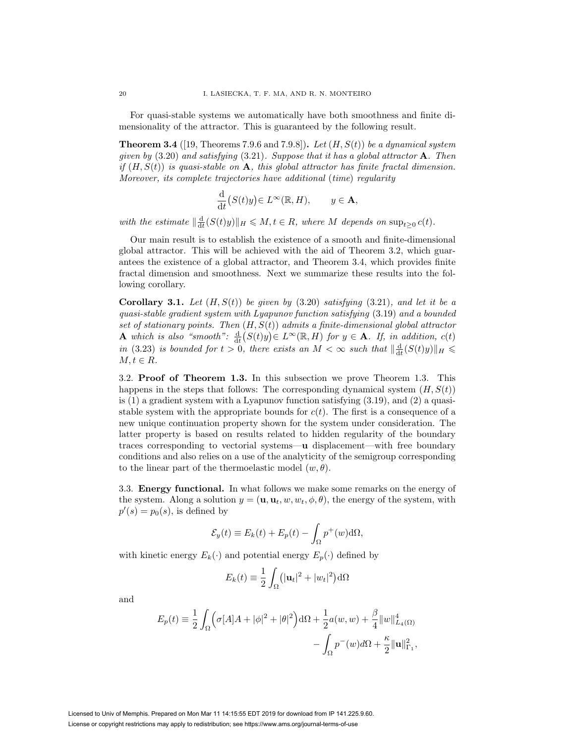For quasi-stable systems we automatically have both smoothness and finite dimensionality of the attractor. This is guaranteed by the following result.

**Theorem 3.4** ([19, Theorems 7.9.6 and 7.9.8]). Let  $(H, S(t))$  be a dynamical system given by (3.20) and satisfying (3.21). Suppose that it has a global attractor **A**. Then if  $(H, S(t))$  is quasi-stable on **A**, this global attractor has finite fractal dimension. Moreover, its complete trajectories have additional (time) regularity

$$
\frac{\mathrm{d}}{\mathrm{d}t}(S(t)y)\in L^{\infty}(\mathbb{R},H),\qquad y\in\mathbf{A},
$$

with the estimate  $\|\frac{d}{dt}(S(t)y)\|_H \leq M, t \in R$ , where M depends on  $\sup_{t\geq 0} c(t)$ .

Our main result is to establish the existence of a smooth and finite-dimensional global attractor. This will be achieved with the aid of Theorem 3.2, which guarantees the existence of a global attractor, and Theorem 3.4, which provides finite fractal dimension and smoothness. Next we summarize these results into the following corollary.

**Corollary 3.1.** Let  $(H, S(t))$  be given by  $(3.20)$  satisfying  $(3.21)$ , and let it be a quasi-stable gradient system with Lyapunov function satisfying (3.19) and a bounded set of stationary points. Then  $(H, S(t))$  admits a finite-dimensional global attractor **A** which is also "smooth":  $\frac{d}{dt}(S(t)y) \in L^{\infty}(\mathbb{R}, H)$  for  $y \in \mathbf{A}$ . If, in addition,  $c(t)$ in (3.23) is bounded for  $t > 0$ , there exists an  $M < \infty$  such that  $\|\frac{d}{dt}(S(t)y)\|_{H} \leq$  $M, t \in R$ .

3.2. **Proof of Theorem 1.3.** In this subsection we prove Theorem 1.3. This happens in the steps that follows: The corresponding dynamical system  $(H, S(t))$ is  $(1)$  a gradient system with a Lyapunov function satisfying  $(3.19)$ , and  $(2)$  a quasistable system with the appropriate bounds for  $c(t)$ . The first is a consequence of a new unique continuation property shown for the system under consideration. The latter property is based on results related to hidden regularity of the boundary traces corresponding to vectorial systems—**u** displacement—with free boundary conditions and also relies on a use of the analyticity of the semigroup corresponding to the linear part of the thermoelastic model  $(w, \theta)$ .

3.3. **Energy functional.** In what follows we make some remarks on the energy of the system. Along a solution  $y = (\mathbf{u}, \mathbf{u}_t, w, w_t, \phi, \theta)$ , the energy of the system, with  $p'(s) = p_0(s)$ , is defined by

$$
\mathcal{E}_y(t) \equiv E_k(t) + E_p(t) - \int_{\Omega} p^+(w) d\Omega,
$$

with kinetic energy  $E_k(\cdot)$  and potential energy  $E_p(\cdot)$  defined by

$$
E_k(t) \equiv \frac{1}{2} \int_{\Omega} (|\mathbf{u}_t|^2 + |w_t|^2) d\Omega
$$

and

$$
E_p(t) = \frac{1}{2} \int_{\Omega} \left( \sigma[A]A + |\phi|^2 + |\theta|^2 \right) d\Omega + \frac{1}{2} a(w, w) + \frac{\beta}{4} ||w||_{L_4(\Omega)}^4 - \int_{\Omega} p^-(w) d\Omega + \frac{\kappa}{2} ||\mathbf{u}||_{\Gamma_1}^2,
$$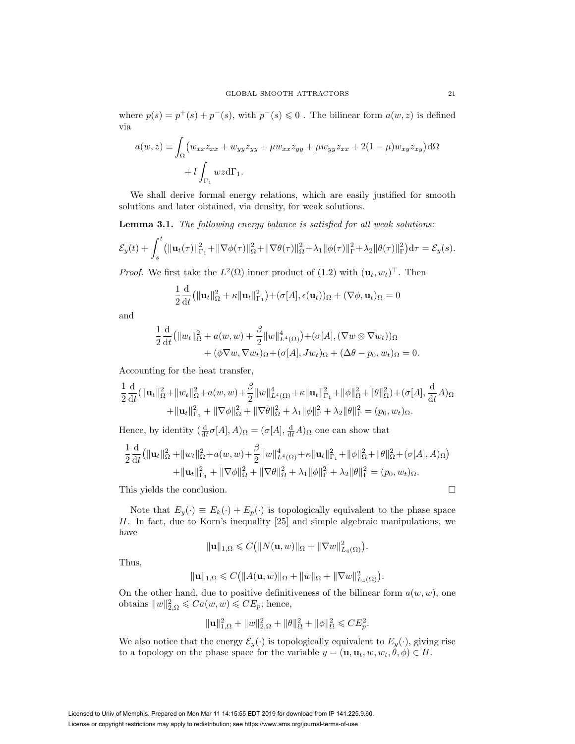where  $p(s) = p^+(s) + p^-(s)$ , with  $p^-(s) \leq 0$ . The bilinear form  $a(w, z)$  is defined via

$$
a(w, z) \equiv \int_{\Omega} \left( w_{xx} z_{xx} + w_{yy} z_{yy} + \mu w_{xx} z_{yy} + \mu w_{yy} z_{xx} + 2(1 - \mu) w_{xy} z_{xy} \right) d\Omega
$$

$$
+ l \int_{\Gamma_1} wz d\Gamma_1.
$$

We shall derive formal energy relations, which are easily justified for smooth solutions and later obtained, via density, for weak solutions.

**Lemma 3.1.** The following energy balance is satisfied for all weak solutions:

$$
\mathcal{E}_y(t) + \int_s^t (||\mathbf{u}_t(\tau)||_{\Gamma_1}^2 + ||\nabla\phi(\tau)||_{\Omega}^2 + ||\nabla\theta(\tau)||_{\Omega}^2 + \lambda_1 ||\phi(\tau)||_{\Gamma}^2 + \lambda_2 ||\theta(\tau)||_{\Gamma}^2) d\tau = \mathcal{E}_y(s).
$$

*Proof.* We first take the  $L^2(\Omega)$  inner product of  $(1.2)$  with  $(\mathbf{u}_t, w_t)^\top$ . Then

$$
\frac{1}{2}\frac{\mathrm{d}}{\mathrm{d}t}(\|\mathbf{u}_t\|_{\Omega}^2 + \kappa \|\mathbf{u}_t\|_{\Gamma_1}^2) + (\sigma[A], \epsilon(\mathbf{u}_t))_{\Omega} + (\nabla\phi, \mathbf{u}_t)_{\Omega} = 0
$$

and

$$
\frac{1}{2}\frac{\mathrm{d}}{\mathrm{d}t}(\|w_t\|_{\Omega}^2 + a(w,w) + \frac{\beta}{2}\|w\|_{L^4(\Omega)}^4) + (\sigma[A], (\nabla w \otimes \nabla w_t))_{\Omega} \n+ (\phi \nabla w, \nabla w_t)_{\Omega} + (\sigma[A], Jw_t)_{\Omega} + (\Delta \theta - p_0, w_t)_{\Omega} = 0.
$$

Accounting for the heat transfer,

$$
\frac{1}{2}\frac{\mathrm{d}}{\mathrm{d}t}(\|\mathbf{u}_t\|_{\Omega}^2 + \|w_t\|_{\Omega}^2 + a(w, w) + \frac{\beta}{2}\|w\|_{L^4(\Omega)}^4 + \kappa \|\mathbf{u}_t\|_{\Gamma_1}^2 + \|\phi\|_{\Omega}^2 + \|\theta\|_{\Omega}^2) + (\sigma[A], \frac{\mathrm{d}}{\mathrm{d}t}A)_{\Omega} \n+ \|\mathbf{u}_t\|_{\Gamma_1}^2 + \|\nabla\phi\|_{\Omega}^2 + \|\nabla\theta\|_{\Omega}^2 + \lambda_1 \|\phi\|_{\Gamma}^2 + \lambda_2 \|\theta\|_{\Gamma}^2 = (p_0, w_t)_{\Omega}.
$$

Hence, by identity  $(\frac{d}{dt}\sigma[A], A)_{\Omega} = (\sigma[A], \frac{d}{dt}A)_{\Omega}$  one can show that

$$
\frac{1}{2}\frac{\mathrm{d}}{\mathrm{d}t}\left(\|\mathbf{u}_t\|_{\Omega}^2 + \|w_t\|_{\Omega}^2 + a(w, w) + \frac{\beta}{2}\|w\|_{L^4(\Omega)}^4 + \kappa \|\mathbf{u}_t\|_{\Gamma_1}^2 + \|\phi\|_{\Omega}^2 + \|\theta\|_{\Omega}^2 + (\sigma[A], A)_{\Omega}\right) \n+ \|\mathbf{u}_t\|_{\Gamma_1}^2 + \|\nabla\phi\|_{\Omega}^2 + \|\nabla\theta\|_{\Omega}^2 + \lambda_1 \|\phi\|_{\Gamma}^2 + \lambda_2 \|\theta\|_{\Gamma}^2 = (p_0, w_t)_{\Omega}.
$$

This yields the conclusion.

Note that  $E_y(\cdot) \equiv E_k(\cdot) + E_p(\cdot)$  is topologically equivalent to the phase space H. In fact, due to Korn's inequality [25] and simple algebraic manipulations, we have

$$
\|\mathbf{u}\|_{1,\Omega} \leqslant C\big(\|N(\mathbf{u},w)\|_{\Omega} + \|\nabla w\|_{L_4(\Omega)}^2\big).
$$

Thus,

$$
\|\mathbf{u}\|_{1,\Omega} \leq C\big(\|A(\mathbf{u},w)\|_{\Omega} + \|w\|_{\Omega} + \|\nabla w\|_{L_4(\Omega)}^2\big).
$$

On the other hand, due to positive definitiveness of the bilinear form  $a(w, w)$ , one obtains  $||w||_{2,\Omega}^2 \leq C a(w, w) \leq C E_p$ ; hence,

$$
\|\mathbf{u}\|_{1,\Omega}^2 + \|w\|_{2,\Omega}^2 + \|\theta\|_{\Omega}^2 + \|\phi\|_{\Omega}^2 \leq C E_p^2.
$$

We also notice that the energy  $\mathcal{E}_y(\cdot)$  is topologically equivalent to  $E_y(\cdot)$ , giving rise to a topology on the phase space for the variable  $y = (\mathbf{u}, \mathbf{u}_t, w, w_t, \theta, \phi) \in H$ .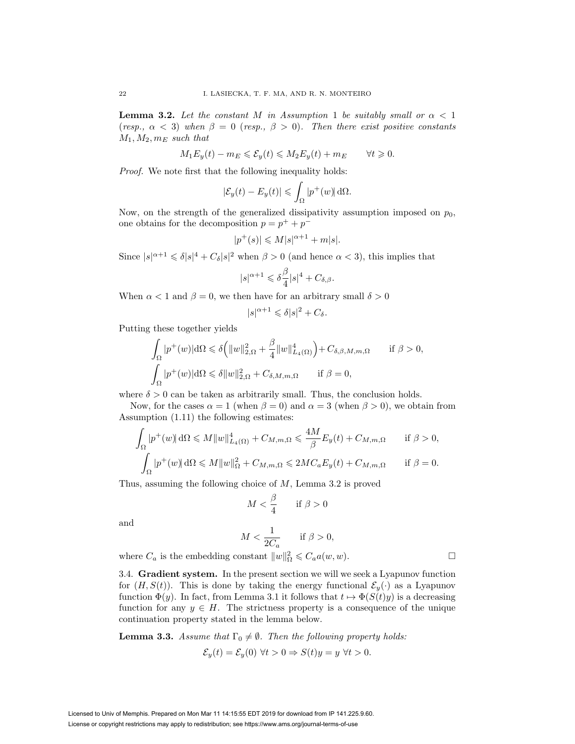**Lemma 3.2.** Let the constant M in Assumption 1 be suitably small or  $\alpha < 1$ (resp.,  $\alpha$  < 3) when  $\beta = 0$  (resp.,  $\beta > 0$ ). Then there exist positive constants  $M_1, M_2, m_E$  such that

$$
M_1 E_y(t) - m_E \leq \mathcal{E}_y(t) \leq M_2 E_y(t) + m_E \qquad \forall t \geq 0.
$$

Proof. We note first that the following inequality holds:

$$
|\mathcal{E}_y(t) - E_y(t)| \leq \int_{\Omega} |p^+(w)| d\Omega.
$$

Now, on the strength of the generalized dissipativity assumption imposed on  $p_0$ , one obtains for the decomposition  $p = p^+ + p^-$ 

$$
|p^+(s)|\leqslant M|s|^{\alpha+1}+m|s|.
$$

Since  $|s|^{\alpha+1} \leq \delta |s|^4 + C_{\delta} |s|^2$  when  $\beta > 0$  (and hence  $\alpha < 3$ ), this implies that

$$
|s|^{\alpha+1} \leq \delta \frac{\beta}{4} |s|^4 + C_{\delta, \beta}.
$$

When  $\alpha < 1$  and  $\beta = 0$ , we then have for an arbitrary small  $\delta > 0$ 

$$
|s|^{\alpha+1} \leq \delta |s|^2 + C_{\delta}.
$$

Putting these together yields

$$
\int_{\Omega} |p^+(w)| d\Omega \leq \delta \left( \|w\|_{2,\Omega}^2 + \frac{\beta}{4} \|w\|_{L_4(\Omega)}^4 \right) + C_{\delta,\beta,M,m,\Omega} \quad \text{if } \beta > 0,
$$
  

$$
\int_{\Omega} |p^+(w)| d\Omega \leq \delta \|w\|_{2,\Omega}^2 + C_{\delta,M,m,\Omega} \quad \text{if } \beta = 0,
$$

where  $\delta > 0$  can be taken as arbitrarily small. Thus, the conclusion holds.

Now, for the cases  $\alpha = 1$  (when  $\beta = 0$ ) and  $\alpha = 3$  (when  $\beta > 0$ ), we obtain from Assumption (1.11) the following estimates:

$$
\int_{\Omega} |p^+(w)| d\Omega \leq M \|w\|_{L_4(\Omega)}^4 + C_{M,m,\Omega} \leq \frac{4M}{\beta} E_y(t) + C_{M,m,\Omega} \quad \text{if } \beta > 0,
$$
  

$$
\int_{\Omega} |p^+(w)| d\Omega \leq M \|w\|_{\Omega}^2 + C_{M,m,\Omega} \leq 2MC_a E_y(t) + C_{M,m,\Omega} \quad \text{if } \beta = 0.
$$

Thus, assuming the following choice of M, Lemma 3.2 is proved

$$
M < \frac{\beta}{4} \qquad \text{if } \beta > 0
$$

and

$$
M < \frac{1}{2C_a} \qquad \text{if } \beta > 0,
$$

where  $C_a$  is the embedding constant  $||w||^2_{\Omega} \leq C_a a(w, w)$ .

3.4. **Gradient system.** In the present section we will we seek a Lyapunov function for  $(H, S(t))$ . This is done by taking the energy functional  $\mathcal{E}_y(\cdot)$  as a Lyapunov function  $\Phi(y)$ . In fact, from Lemma 3.1 it follows that  $t \mapsto \Phi(S(t)y)$  is a decreasing function for any  $y \in H$ . The strictness property is a consequence of the unique continuation property stated in the lemma below.

**Lemma 3.3.** Assume that  $\Gamma_0 \neq \emptyset$ . Then the following property holds:

$$
\mathcal{E}_y(t) = \mathcal{E}_y(0) \,\forall t > 0 \Rightarrow S(t)y = y \,\forall t > 0.
$$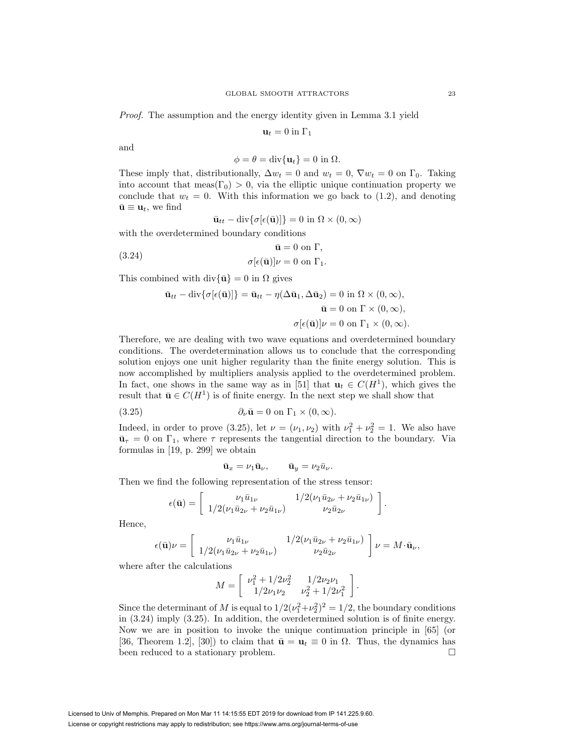Proof. The assumption and the energy identity given in Lemma 3.1 yield

$$
\mathbf{u}_t = 0 \text{ in } \Gamma_1
$$

and

$$
\phi = \theta = \text{div}\{\mathbf{u}_t\} = 0 \text{ in } \Omega.
$$

These imply that, distributionally,  $\Delta w_t = 0$  and  $w_t = 0$ ,  $\nabla w_t = 0$  on  $\Gamma_0$ . Taking into account that meas( $\Gamma_0$ ) > 0, via the elliptic unique continuation property we conclude that  $w_t = 0$ . With this information we go back to (1.2), and denoting  $\bar{\mathbf{u}} \equiv \mathbf{u}_t$ , we find

$$
\bar{\mathbf{u}}_{tt} - \text{div}\{\sigma[\epsilon(\bar{\mathbf{u}})]\} = 0 \text{ in } \Omega \times (0, \infty)
$$

with the overdetermined boundary conditions

(3.24) 
$$
\bar{\mathbf{u}} = 0 \text{ on } \Gamma,
$$

$$
\sigma[\epsilon(\bar{\mathbf{u}})]\nu = 0 \text{ on } \Gamma_1.
$$

This combined with div $\{\bar{\mathbf{u}}\} = 0$  in  $\Omega$  gives

$$
\bar{\mathbf{u}}_{tt} - \text{div}\{\sigma[\epsilon(\bar{\mathbf{u}})]\} = \bar{\mathbf{u}}_{tt} - \eta(\Delta\bar{\mathbf{u}}_1, \Delta\bar{\mathbf{u}}_2) = 0 \text{ in } \Omega \times (0, \infty),
$$
  

$$
\bar{\mathbf{u}} = 0 \text{ on } \Gamma \times (0, \infty),
$$
  

$$
\sigma[\epsilon(\bar{\mathbf{u}})]\nu = 0 \text{ on } \Gamma_1 \times (0, \infty).
$$

Therefore, we are dealing with two wave equations and overdetermined boundary conditions. The overdetermination allows us to conclude that the corresponding solution enjoys one unit higher regularity than the finite energy solution. This is now accomplished by multipliers analysis applied to the overdetermined problem. In fact, one shows in the same way as in [51] that  $\mathbf{u}_t \in C(H^1)$ , which gives the result that  $\bar{\mathbf{u}} \in C(H^1)$  is of finite energy. In the next step we shall show that

(3.25) 
$$
\partial_{\nu} \bar{\mathbf{u}} = 0 \text{ on } \Gamma_1 \times (0, \infty).
$$

Indeed, in order to prove (3.25), let  $\nu = (\nu_1, \nu_2)$  with  $\nu_1^2 + \nu_2^2 = 1$ . We also have  $\bar{\mathbf{u}}_{\tau} = 0$  on  $\Gamma_1$ , where  $\tau$  represents the tangential direction to the boundary. Via formulas in [19, p. 299] we obtain

$$
\bar{\mathbf{u}}_x = \nu_1 \bar{\mathbf{u}}_\nu, \qquad \bar{\mathbf{u}}_y = \nu_2 \bar{u}_\nu.
$$

Then we find the following representation of the stress tensor:

$$
\epsilon(\bar{\mathbf{u}}) = \begin{bmatrix} \nu_1 \bar{u}_{1\nu} & 1/2(\nu_1 \bar{u}_{2\nu} + \nu_2 \bar{u}_{1\nu}) \\ 1/2(\nu_1 \bar{u}_{2\nu} + \nu_2 \bar{u}_{1\nu}) & \nu_2 \bar{u}_{2\nu} \end{bmatrix}.
$$

Hence,

$$
\epsilon(\bar{\mathbf{u}})\nu = \begin{bmatrix} \nu_1\bar{u}_{1\nu} & 1/2(\nu_1\bar{u}_{2\nu} + \nu_2\bar{u}_{1\nu}) \\ 1/2(\nu_1\bar{u}_{2\nu} + \nu_2\bar{u}_{1\nu}) & \nu_2\bar{u}_{2\nu} \end{bmatrix} \nu = M \cdot \bar{\mathbf{u}}_{\nu},
$$

where after the calculations

$$
M = \begin{bmatrix} \nu_1^2 + 1/2\nu_2^2 & 1/2\nu_2\nu_1 \\ 1/2\nu_1\nu_2 & \nu_2^2 + 1/2\nu_1^2 \end{bmatrix}
$$

.

Since the determinant of M is equal to  $1/2(\nu_1^2+\nu_2^2)^2 = 1/2$ , the boundary conditions in (3.24) imply (3.25). In addition, the overdetermined solution is of finite energy. Now we are in position to invoke the unique continuation principle in [65] (or [36, Theorem 1.2], [30]) to claim that  $\bar{\mathbf{u}} = \mathbf{u}_t \equiv 0$  in  $\Omega$ . Thus, the dynamics has been reduced to a stationary problem.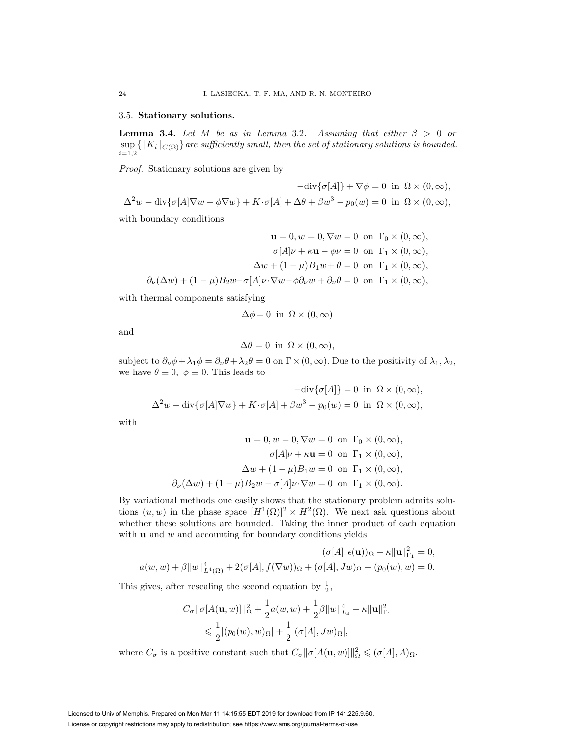# 3.5. **Stationary solutions.**

**Lemma 3.4.** Let M be as in Lemma 3.2. Assuming that either  $\beta > 0$  or  $\sup\left\{\|K_i\|_{C(\Omega)}\right\}$  are sufficiently small, then the set of stationary solutions is bounded.  $i=1,2$ 

Proof. Stationary solutions are given by

$$
-\text{div}\{\sigma[A]\} + \nabla\phi = 0 \text{ in } \Omega \times (0, \infty),
$$
  

$$
\Delta^2 w - \text{div}\{\sigma[A]\nabla w + \phi\nabla w\} + K \cdot \sigma[A] + \Delta\theta + \beta w^3 - p_0(w) = 0 \text{ in } \Omega \times (0, \infty),
$$

with boundary conditions

$$
\mathbf{u} = 0, w = 0, \nabla w = 0 \text{ on } \Gamma_0 \times (0, \infty),
$$

$$
\sigma[A]\nu + \kappa \mathbf{u} - \phi \nu = 0 \text{ on } \Gamma_1 \times (0, \infty),
$$

$$
\Delta w + (1 - \mu)B_1 w + \theta = 0 \text{ on } \Gamma_1 \times (0, \infty),
$$

$$
\partial_{\nu}(\Delta w) + (1 - \mu)B_2 w - \sigma[A]\nu \cdot \nabla w - \phi \partial_{\nu} w + \partial_{\nu} \theta = 0 \text{ on } \Gamma_1 \times (0, \infty),
$$

with thermal components satisfying

$$
\Delta \phi = 0 \text{ in } \Omega \times (0, \infty)
$$

and

$$
\Delta \theta = 0 \text{ in } \Omega \times (0, \infty),
$$

subject to  $\partial_{\nu}\phi + \lambda_1\phi = \partial_{\nu}\theta + \lambda_2\theta = 0$  on  $\Gamma \times (0, \infty)$ . Due to the positivity of  $\lambda_1, \lambda_2$ , we have  $\theta \equiv 0, \phi \equiv 0$ . This leads to

$$
-\text{div}\{\sigma[A]\} = 0 \text{ in } \Omega \times (0, \infty),
$$
  

$$
\Delta^2 w - \text{div}\{\sigma[A]\nabla w\} + K \cdot \sigma[A] + \beta w^3 - p_0(w) = 0 \text{ in } \Omega \times (0, \infty),
$$

with

$$
\mathbf{u} = 0, w = 0, \nabla w = 0 \text{ on } \Gamma_0 \times (0, \infty),
$$

$$
\sigma[A]\nu + \kappa \mathbf{u} = 0 \text{ on } \Gamma_1 \times (0, \infty),
$$

$$
\Delta w + (1 - \mu)B_1 w = 0 \text{ on } \Gamma_1 \times (0, \infty),
$$

$$
\partial_{\nu}(\Delta w) + (1 - \mu)B_2 w - \sigma[A]\nu \cdot \nabla w = 0 \text{ on } \Gamma_1 \times (0, \infty).
$$

By variational methods one easily shows that the stationary problem admits solutions  $(u, w)$  in the phase space  $[H^1(\Omega)]^2 \times H^2(\Omega)$ . We next ask questions about whether these solutions are bounded. Taking the inner product of each equation with **u** and w and accounting for boundary conditions yields

$$
(\sigma[A], \epsilon(\mathbf{u}))_{\Omega} + \kappa \|\mathbf{u}\|_{\Gamma_1}^2 = 0,
$$
  

$$
a(w, w) + \beta \|w\|_{L^4(\Omega)}^4 + 2(\sigma[A], f(\nabla w))_{\Omega} + (\sigma[A], Jw)_{\Omega} - (p_0(w), w) = 0.
$$

This gives, after rescaling the second equation by  $\frac{1}{2}$ ,

$$
C_{\sigma} \|\sigma[A(\mathbf{u}, w)]\|_{\Omega}^2 + \frac{1}{2}a(w, w) + \frac{1}{2}\beta \|w\|_{L_4}^4 + \kappa \|\mathbf{u}\|_{\Gamma_1}^2
$$
  
\$\leq \frac{1}{2} |(p\_0(w), w)\_{\Omega}| + \frac{1}{2} |(\sigma[A], Jw)\_{\Omega}|\$,

where  $C_{\sigma}$  is a positive constant such that  $C_{\sigma} || \sigma[A(\mathbf{u}, w)] ||_{\Omega}^2 \leqslant (\sigma[A], A)_{\Omega}$ .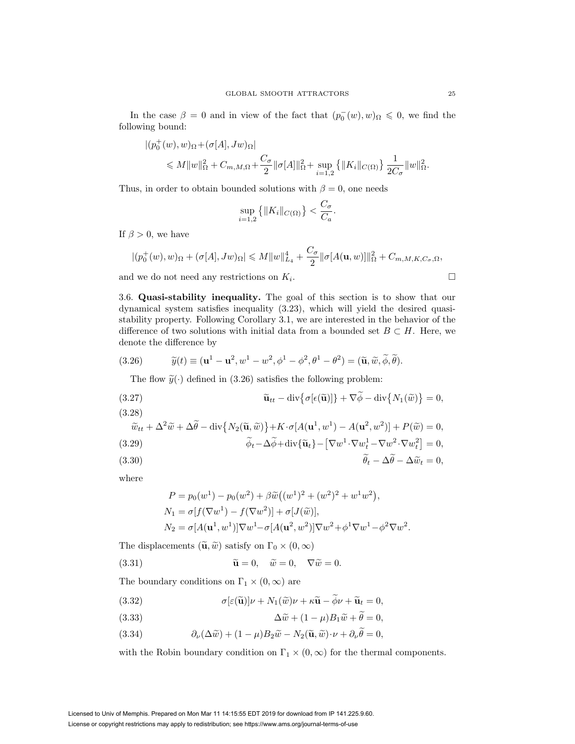In the case  $\beta = 0$  and in view of the fact that  $(p_0^-(w), w)_{\Omega} \leq 0$ , we find the following bound:

$$
\begin{aligned} |(p_0^+(w),w)_{\Omega}+ (\sigma[A],Jw)_{\Omega}|\\ \leqslant M\|w\|_{\Omega}^2 + C_{m,M,\Omega} + \frac{C_{\sigma}}{2}\|\sigma[A]\|_{\Omega}^2 + \sup_{i=1,2}\left\{\|K_i\|_{C(\Omega)}\right\}\frac{1}{2C_{\sigma}}\|w\|_{\Omega}^2. \end{aligned}
$$

Thus, in order to obtain bounded solutions with  $\beta = 0$ , one needs

$$
\sup_{i=1,2} \left\{ \|K_i\|_{C(\Omega)} \right\} < \frac{C_{\sigma}}{C_a}.
$$

If  $\beta > 0$ , we have

$$
|(p_0^+(w),w)_{\Omega}+(\sigma[A],Jw)_{\Omega}|\leqslant M\|w\|_{L_4}^4+\frac{C_{\sigma}}{2}\|\sigma[A(\mathbf{u},w)]\|_{\Omega}^2+C_{m,M,K,C_{\sigma},\Omega},
$$

and we do not need any restrictions on  $K_i$ .

3.6. **Quasi-stability inequality.** The goal of this section is to show that our dynamical system satisfies inequality (3.23), which will yield the desired quasistability property. Following Corollary 3.1, we are interested in the behavior of the difference of two solutions with initial data from a bounded set  $B \subset H$ . Here, we denote the difference by

(3.26) 
$$
\widetilde{y}(t) \equiv (\mathbf{u}^1 - \mathbf{u}^2, w^1 - w^2, \phi^1 - \phi^2, \theta^1 - \theta^2) = (\widetilde{\mathbf{u}}, \widetilde{w}, \widetilde{\phi}, \widetilde{\theta}).
$$

The flow  $\tilde{y}(\cdot)$  defined in (3.26) satisfies the following problem:

(3.27) 
$$
\widetilde{\mathbf{u}}_{tt} - \text{div}\{\sigma[\epsilon(\widetilde{\mathbf{u}})]\} + \nabla \widetilde{\phi} - \text{div}\{N_1(\widetilde{w})\} = 0,
$$
\n(3.28)

(3.29)  
\n
$$
\widetilde{w}_{tt} + \Delta^2 \widetilde{w} + \Delta \widetilde{\theta} - \text{div} \{ N_2(\widetilde{\mathbf{u}}, \widetilde{w}) \} + K \cdot \sigma [A(\mathbf{u}^1, w^1) - A(\mathbf{u}^2, w^2)] + P(\widetilde{w}) = 0,
$$
\n(3.29)  
\n
$$
\widetilde{\phi}_t - \Delta \widetilde{\phi} + \text{div} \{ \widetilde{\mathbf{u}}_t \} - [\nabla w^1 \cdot \nabla w_t^1 - \nabla w^2 \cdot \nabla w_t^2] = 0,
$$

$$
\theta_t - \Delta\theta - \Delta\tilde{w}_t = 0,
$$

where

$$
P = p_0(w^1) - p_0(w^2) + \beta \tilde{w}((w^1)^2 + (w^2)^2 + w^1 w^2),
$$
  
\n
$$
N_1 = \sigma[f(\nabla w^1) - f(\nabla w^2)] + \sigma[J(\tilde{w})],
$$
  
\n
$$
N_2 = \sigma[A(\mathbf{u}^1, w^1)]\nabla w^1 - \sigma[A(\mathbf{u}^2, w^2)]\nabla w^2 + \phi^1 \nabla w^1 - \phi^2 \nabla w^2.
$$

The displacements  $(\widetilde{\mathbf{u}}, \widetilde{w})$  satisfy on  $\Gamma_0 \times (0, \infty)$ 

(3.31) 
$$
\widetilde{\mathbf{u}} = 0, \quad \widetilde{w} = 0, \quad \nabla \widetilde{w} = 0.
$$

The boundary conditions on  $\Gamma_1 \times (0, \infty)$  are

(3.32) 
$$
\sigma[\varepsilon(\widetilde{\mathbf{u}})]\nu + N_1(\widetilde{\omega})\nu + \kappa \widetilde{\mathbf{u}} - \widetilde{\phi}\nu + \widetilde{\mathbf{u}}_t = 0,
$$

(3.33) 
$$
\Delta \tilde{w} + (1 - \mu) B_1 \tilde{w} + \tilde{\theta} = 0,
$$

(3.34)  $\partial_{\nu}(\Delta \tilde{w}) + (1 - \mu)B_2 \tilde{w} - N_2(\tilde{\mathbf{u}}, \tilde{w}) \cdot \nu + \partial_{\nu} \theta = 0,$ 

with the Robin boundary condition on  $\Gamma_1 \times (0, \infty)$  for the thermal components.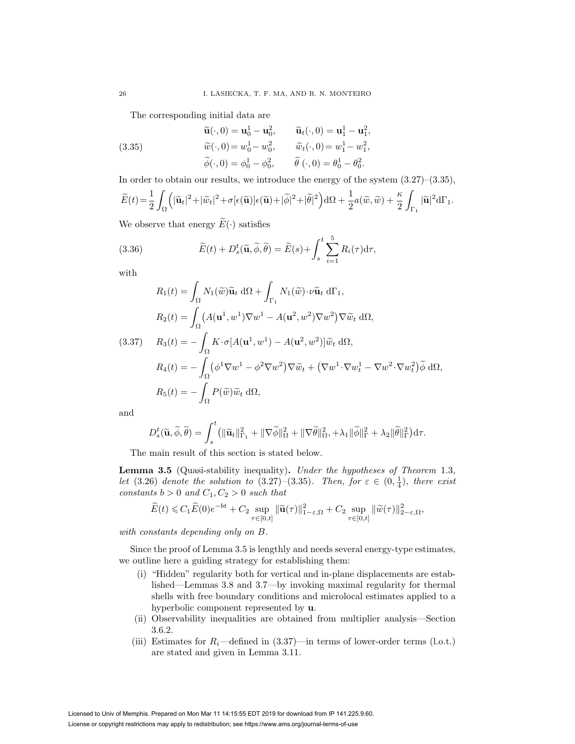The corresponding initial data are

(3.35)  
\n
$$
\tilde{\mathbf{u}}(\cdot,0) = \mathbf{u}_0^1 - \mathbf{u}_0^2, \qquad \tilde{\mathbf{u}}_t(\cdot,0) = \mathbf{u}_1^1 - \mathbf{u}_1^2,
$$
\n
$$
\tilde{w}(\cdot,0) = w_0^1 - w_0^2, \qquad \tilde{w}_t(\cdot,0) = w_1^1 - w_1^2,
$$
\n
$$
\tilde{\phi}(\cdot,0) = \phi_0^1 - \phi_0^2, \qquad \tilde{\theta}(\cdot,0) = \theta_0^1 - \theta_0^2.
$$

In order to obtain our results, we introduce the energy of the system  $(3.27)$ – $(3.35)$ ,

$$
\widetilde{E}(t)\!=\!\frac{1}{2}\int_{\Omega}\!\Big(|\widetilde{\mathbf{u}}_t|^2\!+\!|\widetilde{w}_t|^2\!+\sigma[\epsilon(\widetilde{\mathbf{u}})]\epsilon(\widetilde{\mathbf{u}})\!+\!|\widetilde{\phi}|^2\!+\!|\widetilde{\theta}|^2\Big)\mathrm{d}\Omega+\frac{1}{2}a(\widetilde{w},\widetilde{w})+\frac{\kappa}{2}\int_{\Gamma_1}|\widetilde{\mathbf{u}}|^2\mathrm{d}\Gamma_1.
$$

We observe that energy  $\widetilde{E}(\cdot)$  satisfies

(3.36) 
$$
\widetilde{E}(t) + D_s^t(\widetilde{\mathbf{u}}, \widetilde{\phi}, \widetilde{\theta}) = \widetilde{E}(s) + \int_s^t \sum_{i=1}^5 R_i(\tau) d\tau,
$$

with

$$
R_1(t) = \int_{\Omega} N_1(\tilde{w}) \tilde{\mathbf{u}}_t \, d\Omega + \int_{\Gamma_1} N_1(\tilde{w}) \cdot \nu \tilde{\mathbf{u}}_t \, d\Gamma_1,
$$
  
\n
$$
R_2(t) = \int_{\Omega} (A(\mathbf{u}^1, w^1) \nabla w^1 - A(\mathbf{u}^2, w^2) \nabla w^2) \nabla \tilde{w}_t \, d\Omega,
$$
  
\n(3.37) 
$$
R_3(t) = -\int_{\Omega} K \cdot \sigma [A(\mathbf{u}^1, w^1) - A(\mathbf{u}^2, w^2)] \tilde{w}_t \, d\Omega,
$$
  
\n
$$
R_4(t) = -\int_{\Omega} (\phi^1 \nabla w^1 - \phi^2 \nabla w^2) \nabla \tilde{w}_t + (\nabla w^1 \cdot \nabla w^1_t - \nabla w^2 \cdot \nabla w^2_t) \tilde{\phi} \, d\Omega,
$$
  
\n
$$
R_5(t) = -\int_{\Omega} P(\tilde{w}) \tilde{w}_t \, d\Omega,
$$

and

$$
D_s^t(\widetilde{\mathbf{u}}, \widetilde{\phi}, \widetilde{\theta}) = \int_s^t ( \| \widetilde{\mathbf{u}}_t \|_{\Gamma_1}^2 + \| \nabla \widetilde{\phi} \|_{\Omega}^2 + \| \nabla \widetilde{\theta} \|_{\Omega}^2, + \lambda_1 \| \widetilde{\phi} \|_{\Gamma}^2 + \lambda_2 \| \widetilde{\theta} \|_{\Gamma}^2 \Big) d\tau.
$$

The main result of this section is stated below.

**Lemma 3.5** (Quasi-stability inequality)**.** Under the hypotheses of Theorem 1.3, let (3.26) denote the solution to (3.27)–(3.35). Then, for  $\varepsilon \in (0, \frac{1}{4})$ , there exist constants  $b > 0$  and  $C_1, C_2 > 0$  such that

$$
\widetilde{E}(t) \leq C_1 \widetilde{E}(0) e^{-bt} + C_2 \sup_{\tau \in [0,t]} \|\widetilde{\mathbf{u}}(\tau)\|_{1-\varepsilon,\Omega}^2 + C_2 \sup_{\tau \in [0,t]} \|\widetilde{w}(\tau)\|_{2-\varepsilon,\Omega}^2,
$$

with constants depending only on B.

Since the proof of Lemma 3.5 is lengthly and needs several energy-type estimates, we outline here a guiding strategy for establishing them:

- (i) "Hidden" regularity both for vertical and in-plane displacements are established—Lemmas 3.8 and 3.7—by invoking maximal regularity for thermal shells with free boundary conditions and microlocal estimates applied to a hyperbolic component represented by **u**.
- (ii) Observability inequalities are obtained from multiplier analysis—Section 3.6.2.
- (iii) Estimates for  $R_i$ —defined in (3.37)—in terms of lower-order terms (l.o.t.) are stated and given in Lemma 3.11.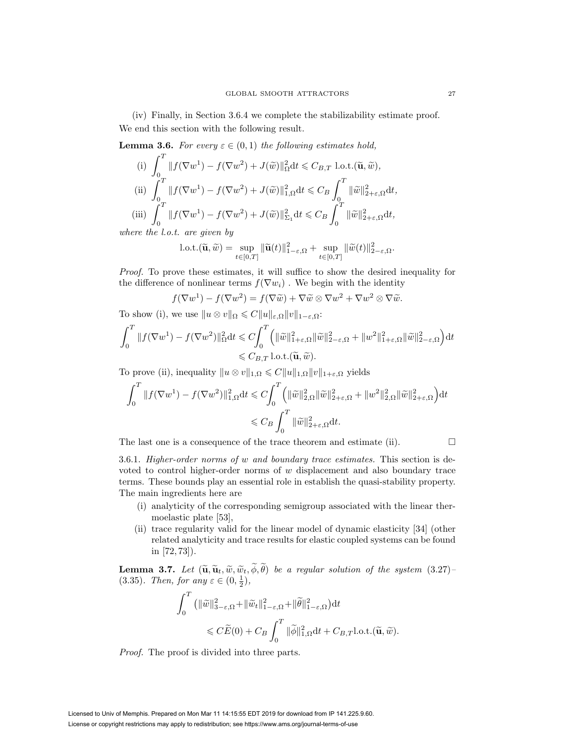(iv) Finally, in Section 3.6.4 we complete the stabilizability estimate proof. We end this section with the following result.

**Lemma 3.6.** For every  $\varepsilon \in (0,1)$  the following estimates hold,

(i) 
$$
\int_0^T ||f(\nabla w^1) - f(\nabla w^2) + J(\tilde{w})||_{\Omega}^2 dt \leq C_{B,T} \text{ l.o.t.}(\tilde{\mathbf{u}}, \tilde{w}),
$$
  
\n(ii) 
$$
\int_0^T ||f(\nabla w^1) - f(\nabla w^2) + J(\tilde{w})||_{1,\Omega}^2 dt \leq C_B \int_0^T ||\tilde{w}||_{2+\varepsilon,\Omega}^2 dt,
$$
  
\n(iii) 
$$
\int_0^T ||f(\nabla w^1) - f(\nabla w^2) + J(\tilde{w})||_{\Sigma_1}^2 dt \leq C_B \int_0^T ||\tilde{w}||_{2+\varepsilon,\Omega}^2 dt,
$$

where the l.o.t. are given by

l.o.t.
$$
(\widetilde{\mathbf{u}}, \widetilde{w}) = \sup_{t \in [0,T]} ||\widetilde{\mathbf{u}}(t)||_{1-\varepsilon,\Omega}^2 + \sup_{t \in [0,T]} ||\widetilde{w}(t)||_{2-\varepsilon,\Omega}^2.
$$

Proof. To prove these estimates, it will suffice to show the desired inequality for the difference of nonlinear terms  $f(\nabla w_i)$ . We begin with the identity

$$
f(\nabla w^1) - f(\nabla w^2) = f(\nabla \widetilde{w}) + \nabla \widetilde{w} \otimes \nabla w^2 + \nabla w^2 \otimes \nabla \widetilde{w}.
$$

To show (i), we use  $||u \otimes v||_{\Omega} \leq C||u||_{\varepsilon,\Omega}||v||_{1-\varepsilon,\Omega}$ :

$$
\int_0^T \|f(\nabla w^1) - f(\nabla w^2)\|_{\Omega}^2 dt \leq C \int_0^T \left( \|\widetilde{w}\|_{1+\varepsilon,\Omega}^2 \|\widetilde{w}\|_{2-\varepsilon,\Omega}^2 + \|w^2\|_{1+\varepsilon,\Omega}^2 \|\widetilde{w}\|_{2-\varepsilon,\Omega}^2 \right) dt
$$
  

$$
\leq C_{B,T} \text{ l.o.t.}(\widetilde{\mathbf{u}}, \widetilde{w}).
$$

To prove (ii), inequality  $||u \otimes v||_{1,\Omega} \leqslant C||u||_{1,\Omega}||v||_{1+\varepsilon,\Omega}$  yields

$$
\int_0^T \|f(\nabla w^1) - f(\nabla w^2)\|_{1,\Omega}^2 dt \leq C \int_0^T \left( \|\widetilde{w}\|_{2,\Omega}^2 \|\widetilde{w}\|_{2+\varepsilon,\Omega}^2 + \|w^2\|_{2,\Omega}^2 \|\widetilde{w}\|_{2+\varepsilon,\Omega}^2 \right) dt
$$
  

$$
\leq C_B \int_0^T \|\widetilde{w}\|_{2+\varepsilon,\Omega}^2 dt.
$$

The last one is a consequence of the trace theorem and estimate (ii).  $\Box$ 

3.6.1. Higher-order norms of w and boundary trace estimates. This section is devoted to control higher-order norms of  $w$  displacement and also boundary trace terms. These bounds play an essential role in establish the quasi-stability property. The main ingredients here are

- (i) analyticity of the corresponding semigroup associated with the linear thermoelastic plate [53],
- (ii) trace regularity valid for the linear model of dynamic elasticity [34] (other related analyticity and trace results for elastic coupled systems can be found in [72, 73]).

**Lemma 3.7.** Let  $(\tilde{\mathbf{u}}, \tilde{\mathbf{u}}, \tilde{w}, \tilde{w}_t, \phi, \theta)$  be a regular solution of the system  $(3.27)$ –<br> $(3.35)$  Then for any  $\epsilon \in (0, 1)$ (3.35). Then, for any  $\varepsilon \in (0, \frac{1}{2})$ ,

$$
\int_0^T \left( \|\widetilde{w}\|_{3-\varepsilon,\Omega}^2 + \|\widetilde{w}_t\|_{1-\varepsilon,\Omega}^2 + \|\widetilde{\theta}\|_{1-\varepsilon,\Omega}^2 \right) dt
$$
  
\$\leqslant C\widetilde{E}(0) + C\_B \int\_0^T \|\widetilde{\phi}\|\_{1,\Omega}^2 dt + C\_{B,T}l.o.t. (\widetilde{\mathbf{u}}, \widetilde{w}).\$

Proof. The proof is divided into three parts.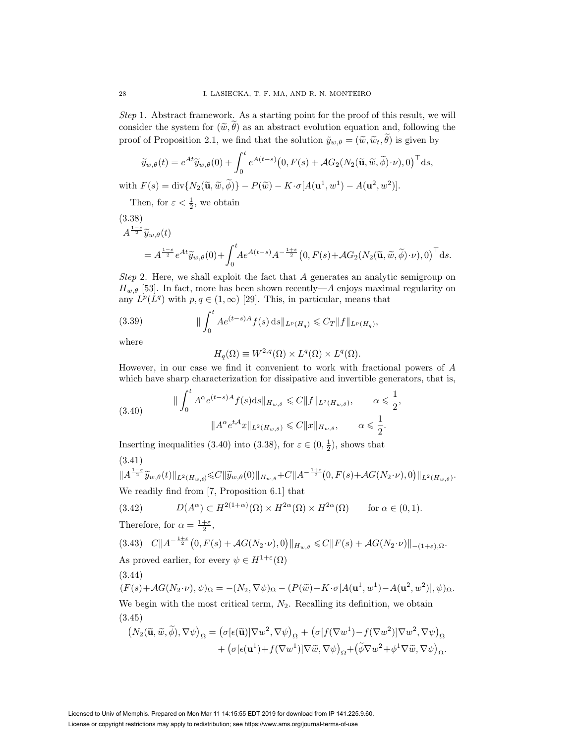Step 1. Abstract framework. As a starting point for the proof of this result, we will consider the system for  $(\tilde{w}, \theta)$  as an abstract evolution equation and, following the proof of Proposition 2.1, we find that the solution  $\tilde{y}_{w,\theta} = (\tilde{w}, \tilde{w}_t, \theta)$  is given by

$$
\widetilde{y}_{w,\theta}(t) = e^{At} \widetilde{y}_{w,\theta}(0) + \int_0^t e^{A(t-s)} \big(0, F(s) + \mathcal{A}G_2(N_2(\widetilde{\mathbf{u}}, \widetilde{w}, \widetilde{\phi}) \cdot \nu), 0\big)^{\top} ds,
$$
\n
$$
F(s) = \mathcal{F}(N_2(\widetilde{\mathbf{u}}, \widetilde{\phi}) \cdot \nu) + \mathcal{F}(N_2(\widetilde{\mathbf{u}}, \widetilde{\phi}) \cdot \nu) + \mathcal{F}(N_2(\widetilde{\mathbf{u}}, \widetilde{\phi}) \cdot \nu) + \mathcal{F}(N_2(\widetilde{\mathbf{u}}, \widetilde{\phi}) \cdot \nu) + \mathcal{F}(N_2(\widetilde{\mathbf{u}}, \widetilde{\phi}) \cdot \nu) + \mathcal{F}(N_2(\widetilde{\mathbf{u}}, \widetilde{\phi}) \cdot \nu) + \mathcal{F}(N_2(\widetilde{\mathbf{u}}, \widetilde{\phi}) \cdot \nu) + \mathcal{F}(N_2(\widetilde{\mathbf{u}}, \widetilde{\phi}) \cdot \nu) + \mathcal{F}(N_2(\widetilde{\mathbf{u}}, \widetilde{\phi}) \cdot \nu) + \mathcal{F}(N_2(\widetilde{\mathbf{u}}, \widetilde{\phi}) \cdot \nu) + \mathcal{F}(N_2(\widetilde{\mathbf{u}}, \widetilde{\phi}) \cdot \nu) + \mathcal{F}(N_2(\widetilde{\mathbf{u}}, \widetilde{\phi}) \cdot \nu) + \mathcal{F}(N_2(\widetilde{\mathbf{u}}, \widetilde{\phi}) \cdot \nu) + \mathcal{F}(N_2(\widetilde{\mathbf{u}}, \widetilde{\phi}) \cdot \nu) + \mathcal{F}(N_2(\widetilde{\mathbf{u}}, \widetilde{\phi}) \cdot \nu) + \mathcal{F}(N_2(\widetilde{\mathbf{u}}, \widetilde{\phi}) \cdot \nu) + \mathcal{F}(N_2(\widetilde{\mathbf{u}}, \widetilde{\phi}) \cdot \nu) + \mathcal{F}(N_2(\widetilde{\mathbf{u}}, \widetilde{\phi}) \cdot \nu) + \mathcal{F}(N_2(\widetilde{\mathbf{u}}, \widetilde{\phi}) \cdot \nu) + \mathcal{F}(N_2(\widetilde{\mathbf{u}}, \widetilde{\phi}) \cdot \nu) + \mathcal
$$

with  $F(s) = \text{div}\{N_2(\tilde{\mathbf{u}}, \tilde{w}, \phi)\} - P(\tilde{w}) - K \cdot \sigma[A(\mathbf{u}^1, w^1) - A(\mathbf{u}^2, w^2)].$ 

Then, for  $\varepsilon < \frac{1}{2}$ , we obtain

 $A^{\frac{1-\varepsilon}{2}}\widetilde{y}_{w,\theta}(t)$ (3.38)

$$
= A^{\frac{1-\varepsilon}{2}} e^{At} \widetilde{y}_{w,\theta}(0) + \int_0^t A e^{A(t-s)} A^{-\frac{1+\varepsilon}{2}} (0, F(s) + \mathcal{A}G_2(N_2(\widetilde{\mathbf{u}}, \widetilde{w}, \widetilde{\phi}) \cdot \nu), 0)^{\top} ds.
$$

Step 2. Here, we shall exploit the fact that A generates an analytic semigroup on  $H_{w,\theta}$  [53]. In fact, more has been shown recently—A enjoys maximal regularity on any  $L^p(L^q)$  with  $p, q \in (1, \infty)$  [29]. This, in particular, means that

(3.39) 
$$
\| \int_0^t A e^{(t-s)A} f(s) ds \|_{L^p(H_q)} \leq C_T \|f\|_{L^p(H_q)},
$$

where

$$
H_q(\Omega) \equiv W^{2,q}(\Omega) \times L^q(\Omega) \times L^q(\Omega).
$$

However, in our case we find it convenient to work with fractional powers of A which have sharp characterization for dissipative and invertible generators, that is,

(3.40) 
$$
\| \int_0^t A^{\alpha} e^{(t-s)A} f(s) ds \|_{H_{w,\theta}} \leq C \| f \|_{L^2(H_{w,\theta})}, \qquad \alpha \leq \frac{1}{2},
$$

$$
\| A^{\alpha} e^{tA} x \|_{L^2(H_{w,\theta})} \leq C \| x \|_{H_{w,\theta}}, \qquad \alpha \leq \frac{1}{2}.
$$

Inserting inequalities (3.40) into (3.38), for  $\varepsilon \in (0, \frac{1}{2})$ , shows that (3.41)

$$
||A^{\frac{1-\varepsilon}{2}}\widetilde{y}_{w,\theta}(t)||_{L^{2}(H_{w,\theta})} \leq C ||\widetilde{y}_{w,\theta}(0)||_{H_{w,\theta}} + C||A^{-\frac{1+\varepsilon}{2}}(0,F(s)+AG(N_{2}\cdot\nu),0)||_{L^{2}(H_{w,\theta})}.
$$
  
We readily find from [7, Proposition 6.1] that

(3.42) 
$$
D(A^{\alpha}) \subset H^{2(1+\alpha)}(\Omega) \times H^{2\alpha}(\Omega) \times H^{2\alpha}(\Omega) \quad \text{for } \alpha \in (0,1).
$$

Therefore, for  $\alpha = \frac{1+\varepsilon}{2}$ ,

$$
(3.43) \quad C\|A^{-\frac{1+\varepsilon}{2}}\big(0, F(s) + \mathcal{A}G(N_2 \cdot \nu), 0\big)\|_{H_{w,\theta}} \leqslant C\|F(s) + \mathcal{A}G(N_2 \cdot \nu)\|_{-(1+\varepsilon),\Omega}.
$$

As proved earlier, for every  $\psi \in H^{1+\varepsilon}(\Omega)$ 

(3.44)

$$
(F(s) + \mathcal{A}G(N_2 \cdot \nu), \psi)_{\Omega} = -(N_2, \nabla \psi)_{\Omega} - (P(\widetilde{w}) + K \cdot \sigma[A(\mathbf{u}^1, w^1) - A(\mathbf{u}^2, w^2)], \psi)_{\Omega}.
$$
  
We begin with the most critical term,  $N_2$ , Recalling its definition, we obtain

 $N_2$ . Recalling its definition,  $N_2$ . (3.45)

$$
(N_2(\widetilde{\mathbf{u}},\widetilde{w},\widetilde{\phi}),\nabla\psi)_{\Omega} = (\sigma[\epsilon(\widetilde{\mathbf{u}})]\nabla w^2,\nabla\psi)_{\Omega} + (\sigma[f(\nabla w^1) - f(\nabla w^2)]\nabla w^2,\nabla\psi)_{\Omega} + (\sigma[\epsilon(\mathbf{u}^1) + f(\nabla w^1)]\nabla\widetilde{w},\nabla\psi)_{\Omega} + (\widetilde{\phi}\nabla w^2 + \phi^1\nabla\widetilde{w},\nabla\psi)_{\Omega}.
$$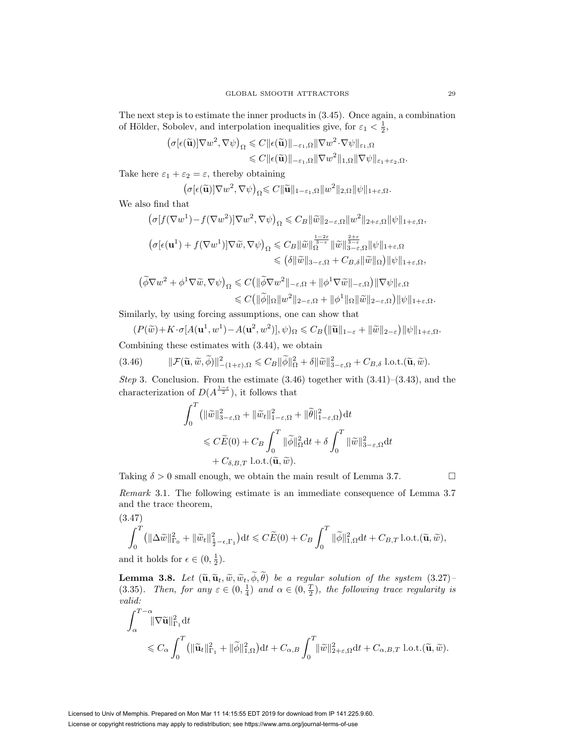The next step is to estimate the inner products in (3.45). Once again, a combination of Hölder, Sobolev, and interpolation inequalities give, for  $\varepsilon_1 < \frac{1}{2}$ ,

$$
(\sigma[\epsilon(\widetilde{\mathbf{u}})]\nabla w^2, \nabla \psi)_{\Omega} \leqslant C \|\epsilon(\widetilde{\mathbf{u}})\|_{-\varepsilon_1, \Omega} \|\nabla w^2 \cdot \nabla \psi\|_{\varepsilon_1, \Omega}
$$
  

$$
\leqslant C \|\epsilon(\widetilde{\mathbf{u}})\|_{-\varepsilon_1, \Omega} \|\nabla w^2\|_{1, \Omega} \|\nabla \psi\|_{\varepsilon_1 + \varepsilon_2, \Omega}.
$$

Take here  $\varepsilon_1 + \varepsilon_2 = \varepsilon$ , thereby obtaining

$$
(\sigma[\epsilon(\widetilde{\mathbf{u}})]\nabla w^2, \nabla \psi)_{\Omega} \leqslant C \|\widetilde{\mathbf{u}}\|_{1-\epsilon_1, \Omega} \|w^2\|_{2, \Omega} \|\psi\|_{1+\epsilon, \Omega}.
$$

We also find that

$$
\begin{split} &\left(\sigma[f(\nabla w^1) - f(\nabla w^2)]\nabla w^2, \nabla \psi\right)_{\Omega} \leqslant C_B \|\widetilde{w}\|_{2-\varepsilon, \Omega} \|w^2\|_{2+\varepsilon, \Omega} \|\psi\|_{1+\varepsilon, \Omega}, \\ &\left(\sigma[\epsilon(\mathbf{u}^1) + f(\nabla w^1)]\nabla \widetilde{w}, \nabla \psi\right)_{\Omega} \leqslant C_B \|\widetilde{w}\|_{\Omega}^{\frac{1-2\varepsilon}{3-\varepsilon}} \|\widetilde{w}\|_{3-\varepsilon, \Omega}^{\frac{2+\varepsilon}{3-\varepsilon}} \|\psi\|_{1+\varepsilon, \Omega} \\ &\leqslant \left(\delta \|\widetilde{w}\|_{3-\varepsilon, \Omega} + C_{B,\delta} \|\widetilde{w}\|_{\Omega}\right) \|\psi\|_{1+\varepsilon, \Omega}, \end{split}
$$

$$
\left(\widetilde{\phi}\nabla w^2 + \phi^1 \nabla \widetilde{w}, \nabla \psi\right)_{\Omega} \leq C \left(\|\widetilde{\phi} \nabla w^2\|_{-\varepsilon, \Omega} + \|\phi^1 \nabla \widetilde{w}\|_{-\varepsilon, \Omega}\right) \|\nabla \psi\|_{\varepsilon, \Omega}
$$
  

$$
\leq C \left(\|\widetilde{\phi}\|_{\Omega} \|w^2\|_{2-\varepsilon, \Omega} + \|\phi^1\|_{\Omega} \|\widetilde{w}\|_{2-\varepsilon, \Omega}\right) \|\psi\|_{1+\varepsilon, \Omega}.
$$

Similarly, by using forcing assumptions, one can show that

$$
(P(\widetilde{w}) + K \cdot \sigma[A(\mathbf{u}^1, w^1) - A(\mathbf{u}^2, w^2)], \psi)_{\Omega} \leq C_B \left( \|\widetilde{\mathbf{u}}\|_{1-\varepsilon} + \|\widetilde{w}\|_{2-\varepsilon} \right) \|\psi\|_{1+\varepsilon,\Omega}.
$$

Combining these estimates with  $(3.44)$ , we obtain

$$
(3.46) \t\t ||\mathcal{F}(\widetilde{\mathbf{u}}, \widetilde{w}, \widetilde{\phi})||_{-(1+\varepsilon), \Omega}^{2} \leq C_{B} \|\widetilde{\phi}\|_{\Omega}^{2} + \delta \|\widetilde{w}\|_{3-\varepsilon, \Omega}^{2} + C_{B, \delta} \text{ l.o.t.}(\widetilde{\mathbf{u}}, \widetilde{w}).
$$

Step 3. Conclusion. From the estimate  $(3.46)$  together with  $(3.41)$ – $(3.43)$ , and the characterization of  $D(A^{\frac{1-\varepsilon}{2}})$ , it follows that

$$
\int_0^T (\|\widetilde{w}\|_{3-\varepsilon,\Omega}^2 + \|\widetilde{w}_t\|_{1-\varepsilon,\Omega}^2 + \|\widetilde{\theta}\|_{1-\varepsilon,\Omega}^2) dt
$$
  
\$\leqslant C\widetilde{E}(0) + C\_B \int\_0^T \|\widetilde{\phi}\|\_{\Omega}^2 dt + \delta \int\_0^T \|\widetilde{w}\|\_{3-\varepsilon,\Omega}^2 dt  
+ C\_{\delta,B,T} \text{ l.o.t.}(\widetilde{\mathbf{u}}, \widetilde{w}).

Taking  $\delta > 0$  small enough, we obtain the main result of Lemma 3.7.

Remark 3.1. The following estimate is an immediate consequence of Lemma 3.7 and the trace theorem,

(3.47)  
\n
$$
\int_0^T (\|\Delta \widetilde{w}\|_{\Gamma_0}^2 + \|\widetilde{w}_t\|_{\frac{1}{2}-\epsilon,\Gamma_1}^2) dt \leqslant C\widetilde{E}(0) + C_B \int_0^T \|\widetilde{\phi}\|_{1,\Omega}^2 dt + C_{B,T} \text{l.o.t.}(\widetilde{\mathbf{u}}, \widetilde{w}),
$$
 and it holds for  $\epsilon \in (0, 1)$ .

and it holds for  $\epsilon \in (0, \frac{1}{2})$ .

**Lemma 3.8.** Let  $(\tilde{\mathbf{u}}, \tilde{\mathbf{u}}_t, \tilde{w}, \tilde{w}_t, \phi, \theta)$  be a regular solution of the system  $(3.27)$ –<br>(3.35). Then, for any  $\varepsilon \in (0, \frac{1}{4})$  and  $\alpha \in (0, \frac{T}{2})$ , the following trace regularity is valid:

$$
\int_{\alpha}^{T-\alpha} \|\nabla \widetilde{\mathbf{u}}\|_{\Gamma_1}^2 dt
$$
  
\$\leqslant C\_{\alpha} \int\_{0}^{T} (\|\widetilde{\mathbf{u}}\_t\|\_{\Gamma\_1}^2 + \|\widetilde{\phi}\|\_{1,\Omega}^2) dt + C\_{\alpha,B} \int\_{0}^{T} \|\widetilde{w}\|\_{2+\varepsilon,\Omega}^2 dt + C\_{\alpha,B,T} \text{ l.o.t.}(\widetilde{\mathbf{u}},\widetilde{w}).\$}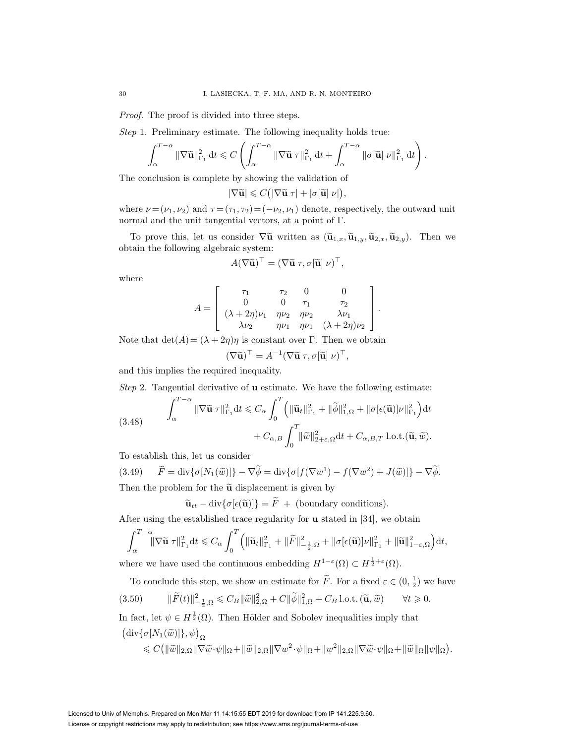Proof. The proof is divided into three steps.

Step 1. Preliminary estimate. The following inequality holds true:

$$
\int_{\alpha}^{T-\alpha} \|\nabla \widetilde{\mathbf{u}}\|_{\Gamma_1}^2 dt \leqslant C \left( \int_{\alpha}^{T-\alpha} \|\nabla \widetilde{\mathbf{u}} \,\,\tau\|_{\Gamma_1}^2 dt + \int_{\alpha}^{T-\alpha} \|\sigma[\widetilde{\mathbf{u}}] \,\nu\|_{\Gamma_1}^2 dt \right).
$$

The conclusion is complete by showing the validation of

$$
|\nabla \widetilde{\mathbf{u}}| \leqslant C\big(|\nabla \widetilde{\mathbf{u}} \; \tau| + |\sigma[\widetilde{\mathbf{u}}] \; \nu|\big),
$$

where  $\nu = (\nu_1, \nu_2)$  and  $\tau = (\tau_1, \tau_2) = (-\nu_2, \nu_1)$  denote, respectively, the outward unit normal and the unit tangential vectors, at a point of Γ.

To prove this, let us consider  $\nabla \tilde{u}$  written as  $(\tilde{u}_{1,x}, \tilde{u}_{1,y}, \tilde{u}_{2,x}, \tilde{u}_{2,y})$ . Then we obtain the following algebraic system:

$$
A(\nabla \widetilde{\mathbf{u}})^{\top} = (\nabla \widetilde{\mathbf{u}} \ \tau, \sigma[\widetilde{\mathbf{u}}] \ \nu)^{\top},
$$

where

$$
A = \begin{bmatrix} \tau_1 & \tau_2 & 0 & 0 \\ 0 & 0 & \tau_1 & \tau_2 \\ (\lambda + 2\eta)\nu_1 & \eta\nu_2 & \eta\nu_2 & \lambda\nu_1 \\ \lambda\nu_2 & \eta\nu_1 & \eta\nu_1 & (\lambda + 2\eta)\nu_2 \end{bmatrix}.
$$

Note that  $\det(A) = (\lambda + 2\eta)\eta$  is constant over Γ. Then we obtain

$$
(\nabla \widetilde{\mathbf{u}})^{\top} = A^{-1} (\nabla \widetilde{\mathbf{u}} \ \tau, \sigma[\widetilde{\mathbf{u}}] \ \nu)^{\top},
$$

and this implies the required inequality.

Step 2. Tangential derivative of **u** estimate. We have the following estimate:

(3.48) 
$$
\int_{\alpha}^{T-\alpha} \|\nabla \widetilde{\mathbf{u}} \,\tau\|_{\Gamma_1}^2 dt \leq C_{\alpha} \int_{0}^{T} \left( \|\widetilde{\mathbf{u}}_t\|_{\Gamma_1}^2 + \|\widetilde{\phi}\|_{1,\Omega}^2 + \|\sigma[\epsilon(\widetilde{\mathbf{u}})]\nu\|_{\Gamma_1}^2 \right) dt + C_{\alpha,B} \int_{0}^{T} \|\widetilde{w}\|_{2+\varepsilon,\Omega}^2 dt + C_{\alpha,B,T} \text{ l.o.t.}(\widetilde{\mathbf{u}},\widetilde{w}).
$$

To establish this, let us consider

 $(3.49)$   $\widetilde{F} = \text{div}\{\sigma[N_1(\widetilde{w})]\} - \nabla \widetilde{\phi} = \text{div}\{\sigma[f(\nabla w^1) - f(\nabla w^2) + J(\widetilde{w})]\} - \nabla \widetilde{\phi}.$ Then the problem for the  $\tilde{u}$  displacement is given by

 $\widetilde{\mathbf{u}}_{tt} - \text{div}\{\sigma[\epsilon(\widetilde{\mathbf{u}})]\} = \widetilde{F} + \text{(boundary conditions)}.$ 

After using the established trace regularity for **u** stated in [34], we obtain

$$
\int_{\alpha}^{T-\alpha} \|\nabla \widetilde{\mathbf{u}} \,\,\tau\|_{\Gamma_1}^2 dt \leqslant C_{\alpha} \int_{0}^{T} \left( \|\widetilde{\mathbf{u}}_t\|_{\Gamma_1}^2 + \|\widetilde{F}\|_{-\frac{1}{2},\Omega}^2 + \|\sigma[\epsilon(\widetilde{\mathbf{u}})]\nu\|_{\Gamma_1}^2 + \|\widetilde{\mathbf{u}}\|_{1-\epsilon,\Omega}^2 \right) dt,
$$

where we have used the continuous embedding  $H^{1-\varepsilon}(\Omega) \subset H^{\frac{1}{2}+\varepsilon}(\Omega)$ .

To conclude this step, we show an estimate for  $\tilde{F}$ . For a fixed  $\varepsilon \in (0, \frac{1}{2})$  we have (3.50)  $\|\widetilde{F}(t)\|_{-\frac{1}{2},\Omega}^2 \leqslant C_B \|\widetilde{w}\|_{2,\Omega}^2 + C \|\widetilde{\phi}\|_{1,\Omega}^2 + C_B \text{ l.o.t. } (\widetilde{\mathbf{u}}, \widetilde{w}) \qquad \forall t \geqslant$  $\forall t \geqslant 0.$ 

In fact, let  $\psi \in H^{\frac{1}{2}}(\Omega)$ . Then Hölder and Sobolev inequalities imply that  $(\text{div}\{\sigma[N_1(\widetilde{w})]\}, \psi)_{\Omega}$ 

$$
\leqslant C\big(\|\widetilde{w}\|_{2,\Omega}\|\nabla \widetilde{w}\cdot\psi\|_{\Omega}+\|\widetilde{w}\|_{2,\Omega}\|\nabla w^{2}\cdot\psi\|_{\Omega}+\|w^{2}\|_{2,\Omega}\|\nabla \widetilde{w}\cdot\psi\|_{\Omega}+\|\widetilde{w}\|_{\Omega}\|\psi\|_{\Omega}\big).
$$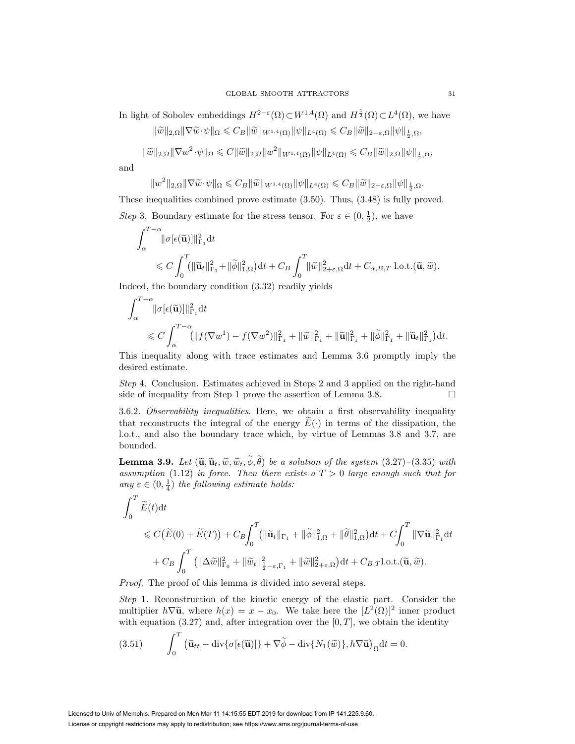In light of Sobolev embeddings  $H^{2-\varepsilon}(\Omega) \subset W^{1,4}(\Omega)$  and  $H^{\frac{1}{2}}(\Omega) \subset L^4(\Omega)$ , we have

 $\|\widetilde{w}\|_{2,\Omega} \|\nabla \widetilde{w}\cdot \psi\|_{\Omega} \leqslant C_B \|\widetilde{w}\|_{W^{1,4}(\Omega)} \|\psi\|_{L^4(\Omega)} \leqslant C_B \|\widetilde{w}\|_{2-\varepsilon,\Omega} \|\psi\|_{\frac{1}{2},\Omega},$ 

 $\|\widetilde{w}\|_{2,\Omega}\|\nabla w^2 \cdot \psi\|_{\Omega} \leqslant C \|\widetilde{w}\|_{2,\Omega} \|w^2\|_{W^{1,4}(\Omega)} \|\psi\|_{L^4(\Omega)} \leqslant C_B \|\widetilde{w}\|_{2,\Omega} \|\psi\|_{\frac{1}{2},\Omega},$ 

and

$$
||w^2||_{2,\Omega} ||\nabla \widetilde{w} \cdot \psi||_{\Omega} \leqslant C_B ||\widetilde{w}||_{W^{1,4}(\Omega)} ||\psi||_{L^4(\Omega)} \leqslant C_B ||\widetilde{w}||_{2-\varepsilon,\Omega} ||\psi||_{\frac{1}{2},\Omega}.
$$

These inequalities combined prove estimate (3.50). Thus, (3.48) is fully proved. *Step* 3. Boundary estimate for the stress tensor. For  $\varepsilon \in (0, \frac{1}{2})$ , we have

$$
\int_{\alpha}^{T-\alpha} \lVert \sigma[\epsilon(\widetilde{\mathbf{u}})] \rVert_{\Gamma_1}^2 dt
$$
\n
$$
\leq C \int_0^T \left( \lVert \widetilde{\mathbf{u}}_t \rVert_{\Gamma_1}^2 + \lVert \widetilde{\phi} \rVert_{1,\Omega}^2 \right) dt + C_B \int_0^T \lVert \widetilde{w} \rVert_{2+\varepsilon,\Omega}^2 dt + C_{\alpha,B,T} \text{ l.o.t.}(\widetilde{\mathbf{u}}, \widetilde{w}).
$$

Indeed, the boundary condition (3.32) readily yields

$$
\int_{\alpha}^{T-\alpha} ||\sigma[\epsilon(\widetilde{\mathbf{u}})||]_{\Gamma_1}^2 dt
$$
  
\$\leq C \int\_{\alpha}^{T-\alpha} (||f(\nabla w^1) - f(\nabla w^2)||\_{\Gamma\_1}^2 + ||\widetilde{w}||\_{\Gamma\_1}^2 + ||\widetilde{\mathbf{u}}||\_{\Gamma\_1}^2 + ||\widetilde{\phi}||\_{\Gamma\_1}^2 + ||\widetilde{\mathbf{u}}\_t||\_{\Gamma\_1}^2)dt.

This inequality along with trace estimates and Lemma 3.6 promptly imply the desired estimate.

Step 4. Conclusion. Estimates achieved in Steps 2 and 3 applied on the right-hand side of inequality from Step 1 prove the assertion of Lemma 3.8.

3.6.2. Observability inequalities. Here, we obtain a first observability inequality that reconstructs the integral of the energy  $E(\cdot)$  in terms of the dissipation, the l.o.t., and also the boundary trace which, by virtue of Lemmas 3.8 and 3.7, are bounded.

**Lemma 3.9.** Let  $(\widetilde{\mathbf{u}}, \widetilde{\mathbf{u}}_t, \widetilde{\omega}, \widetilde{\omega}_t, \phi, \theta)$  be a solution of the system (3.27)–(3.35) with assumption (1.12) in force. Then there exists a  $T > 0$  large enough such that for assumption (1.12) in force. Then there exists a  $T > 0$  large enough such that for any  $\varepsilon \in (0, \frac{1}{4})$  the following estimate holds:

$$
\int_0^T \widetilde{E}(t)dt
$$
  
\$\leq C(\widetilde{E}(0) + \widetilde{E}(T)) + C\_B \int\_0^T (\|\widetilde{\mathbf{u}}\_t\|\_{\Gamma\_1} + \|\widetilde{\phi}\|\_{1,\Omega}^2 + \|\widetilde{\theta}\|\_{1,\Omega}^2)dt + C \int\_0^T \|\nabla \widetilde{\mathbf{u}}\|\_{\Gamma\_1}^2 dt  
+ C\_B \int\_0^T (\|\Delta \widetilde{w}\|\_{\Gamma\_0}^2 + \|\widetilde{w}\_t\|\_{\frac{1}{2}-\varepsilon,\Gamma\_1}^2 + \|\widetilde{w}\|\_{2+\varepsilon,\Omega}^2)dt + C\_{B,T}l.o.t. (\widetilde{\mathbf{u}}, \widetilde{w}).\$

Proof. The proof of this lemma is divided into several steps.

Step 1. Reconstruction of the kinetic energy of the elastic part. Consider the multiplier  $h\nabla \tilde{u}$ , where  $h(x) = x - x_0$ . We take here the  $[L^2(\Omega)]^2$  inner product with equation (3.27) and, after integration over the  $[0, T]$ , we obtain the identity

(3.51) 
$$
\int_0^T \left( \widetilde{\mathbf{u}}_{tt} - \text{div}\{\sigma[\epsilon(\widetilde{\mathbf{u}})]\} + \nabla \widetilde{\phi} - \text{div}\{N_1(\widetilde{w})\}, h\nabla \widetilde{\mathbf{u}}\right)_{\Omega} dt = 0.
$$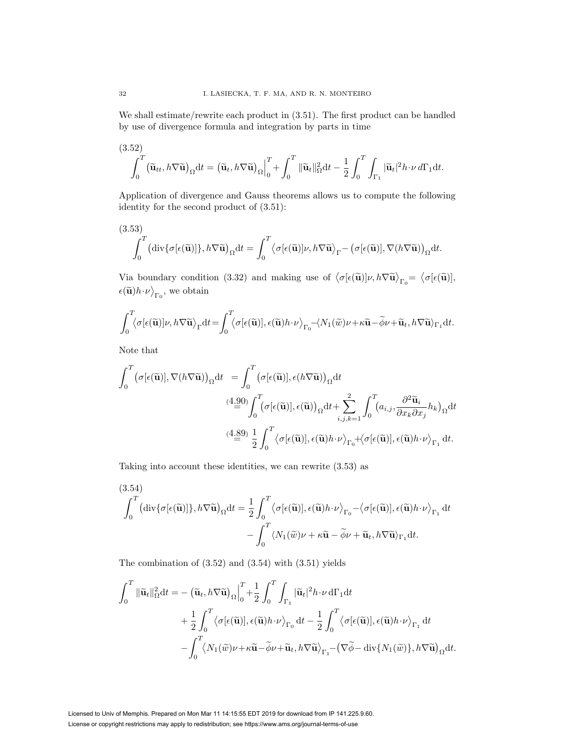We shall estimate/rewrite each product in (3.51). The first product can be handled by use of divergence formula and integration by parts in time

(3.52)  

$$
\int_0^T (\widetilde{\mathbf{u}}_{tt}, h\nabla \widetilde{\mathbf{u}})_{\Omega} dt = (\widetilde{\mathbf{u}}_t, h\nabla \widetilde{\mathbf{u}})_{\Omega}\Big|_0^T + \int_0^T \|\widetilde{\mathbf{u}}_t\|_{\Omega}^2 dt - \frac{1}{2} \int_0^T \int_{\Gamma_1} |\widetilde{\mathbf{u}}_t|^2 h \cdot \nu \, d\Gamma_1 dt.
$$

Application of divergence and Gauss theorems allows us to compute the following identity for the second product of (3.51):

(3.53)  

$$
\int_0^T (\text{div}\{\sigma[\epsilon(\tilde{\mathbf{u}})]\}, h\nabla \tilde{\mathbf{u}})_{\Omega} dt = \int_0^T \langle \sigma[\epsilon(\tilde{\mathbf{u}})]\nu, h\nabla \tilde{\mathbf{u}} \rangle_{\Gamma} - (\sigma[\epsilon(\tilde{\mathbf{u}})], \nabla(h\nabla \tilde{\mathbf{u}})_{\Omega} dt.
$$

Via boundary condition (3.32) and making use of  $\langle \sigma[\epsilon(\tilde{\mathbf{u}})]\nu, h\nabla \tilde{\mathbf{u}} \rangle_{\Gamma_0} = \langle \sigma[\epsilon(\tilde{\mathbf{u}})],$  $\epsilon(\widetilde{\mathbf{u}})h \cdot \nu_{\Gamma_0}$ , we obtain

$$
\int_0^T \langle \sigma[\epsilon(\widetilde{\mathbf{u}})]\nu, h \nabla \widetilde{\mathbf{u}} \rangle_{\Gamma} dt = \int_0^T \langle \sigma[\epsilon(\widetilde{\mathbf{u}})], \epsilon(\widetilde{\mathbf{u}})h \cdot \nu \rangle_{\Gamma_0} - \langle N_1(\widetilde{w})\nu + \kappa \widetilde{\mathbf{u}} - \widetilde{\phi}\nu + \widetilde{\mathbf{u}}_t, h \nabla \widetilde{\mathbf{u}} \rangle_{\Gamma_1} dt.
$$

Note that

$$
\int_0^T \left(\sigma[\epsilon(\tilde{\mathbf{u}})], \nabla(h\nabla \tilde{\mathbf{u}})\right)_{\Omega} dt = \int_0^T \left(\sigma[\epsilon(\tilde{\mathbf{u}})], \epsilon(h\nabla \tilde{\mathbf{u}})\right)_{\Omega} dt
$$
\n
$$
\stackrel{(4.90)}{=} \int_0^T \left(\sigma[\epsilon(\tilde{\mathbf{u}})], \epsilon(\tilde{\mathbf{u}})\right)_{\Omega} dt + \sum_{i,j,k=1}^2 \int_0^T \left(a_{i,j}, \frac{\partial^2 \tilde{\mathbf{u}}_i}{\partial x_k \partial x_j} h_k\right)_{\Omega} dt
$$
\n
$$
\stackrel{(4.89)}{=} \frac{1}{2} \int_0^T \left\langle \sigma[\epsilon(\tilde{\mathbf{u}})], \epsilon(\tilde{\mathbf{u}})h \cdot \nu \right\rangle_{\Gamma_0} + \left\langle \sigma[\epsilon(\tilde{\mathbf{u}})], \epsilon(\tilde{\mathbf{u}})h \cdot \nu \right\rangle_{\Gamma_1} dt.
$$

Taking into account these identities, we can rewrite (3.53) as

(3.54)  
\n
$$
\int_0^T (\text{div}\{\sigma[\epsilon(\tilde{\mathbf{u}})]\}, h\nabla \tilde{\mathbf{u}})_{\Omega} dt = \frac{1}{2} \int_0^T \langle \sigma[\epsilon(\tilde{\mathbf{u}})], \epsilon(\tilde{\mathbf{u}})h \cdot \nu \rangle_{\Gamma_0} - \langle \sigma[\epsilon(\tilde{\mathbf{u}})], \epsilon(\tilde{\mathbf{u}})h \cdot \nu \rangle_{\Gamma_1} dt - \int_0^T \langle N_1(\tilde{w})\nu + \kappa \tilde{\mathbf{u}} - \tilde{\phi}\nu + \tilde{\mathbf{u}}_t, h\nabla \tilde{\mathbf{u}}\rangle_{\Gamma_1} dt.
$$

The combination of  $(3.52)$  and  $(3.54)$  with  $(3.51)$  yields

$$
\int_0^T \|\widetilde{\mathbf{u}}_t\|_{\Omega}^2 dt = -(\widetilde{\mathbf{u}}_t, h\nabla \widetilde{\mathbf{u}})_{\Omega} \Big|_0^T + \frac{1}{2} \int_0^T \int_{\Gamma_1} |\widetilde{\mathbf{u}}_t|^2 h \cdot \nu \, d\Gamma_1 dt + \frac{1}{2} \int_0^T \langle \sigma[\epsilon(\widetilde{\mathbf{u}})], \epsilon(\widetilde{\mathbf{u}}) h \cdot \nu \rangle_{\Gamma_0} dt - \frac{1}{2} \int_0^T \langle \sigma[\epsilon(\widetilde{\mathbf{u}})], \epsilon(\widetilde{\mathbf{u}}) h \cdot \nu \rangle_{\Gamma_1} dt - \int_0^T \langle N_1(\widetilde{w}) \nu + \kappa \widetilde{\mathbf{u}} - \widetilde{\phi} \nu + \widetilde{\mathbf{u}}_t, h \nabla \widetilde{\mathbf{u}} \rangle_{\Gamma_1} - (\nabla \widetilde{\phi} - \text{div}\{N_1(\widetilde{w})\}, h \nabla \widetilde{\mathbf{u}})_{\Omega} dt.
$$

Licensed to Univ of Memphis. Prepared on Mon Mar 11 14:15:55 EDT 2019 for download from IP 141.225.9.60. License or copyright restrictions may apply to redistribution; see https://www.ams.org/journal-terms-of-use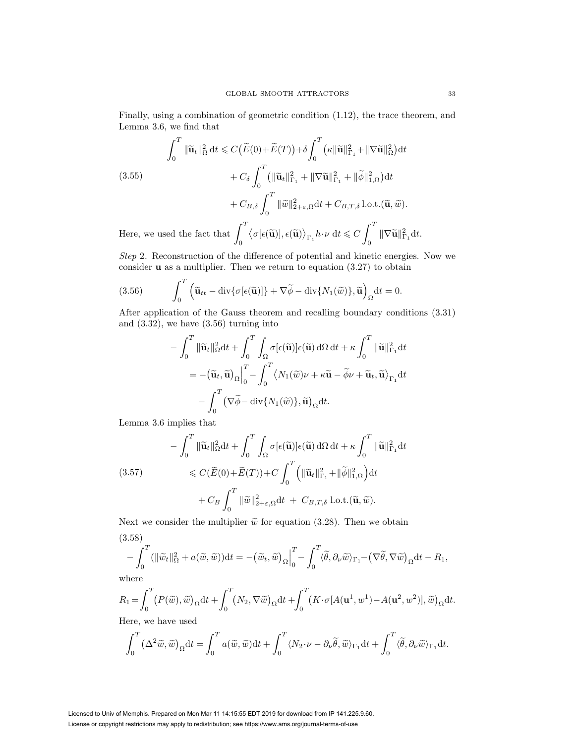Finally, using a combination of geometric condition (1.12), the trace theorem, and Lemma 3.6, we find that

$$
\int_0^T \|\tilde{\mathbf{u}}_t\|_{\Omega}^2 dt \leq C \big(\widetilde{E}(0) + \widetilde{E}(T)\big) + \delta \int_0^T \big(\kappa \|\tilde{\mathbf{u}}\|_{\Gamma_1}^2 + \|\nabla \tilde{\mathbf{u}}\|_{\Omega}^2\big) dt
$$
\n
$$
+ C_{\delta} \int_0^T \big(\|\tilde{\mathbf{u}}_t\|_{\Gamma_1}^2 + \|\nabla \tilde{\mathbf{u}}\|_{\Gamma_1}^2 + \|\tilde{\phi}\|_{1,\Omega}^2\big) dt
$$
\n
$$
+ C_{B,\delta} \int_0^T \|\tilde{w}\|_{2+\varepsilon,\Omega}^2 dt + C_{B,T,\delta} \operatorname{l.o.t.}(\widetilde{\mathbf{u}}, \widetilde{w}).
$$
\nHere, we used the fact that\n
$$
\int_0^T \big\langle \sigma[\epsilon(\widetilde{\mathbf{u}})], \epsilon(\widetilde{\mathbf{u}})\big\rangle_{\Gamma_1} h \cdot \nu dt \leq C \int_0^T \|\nabla \tilde{\mathbf{u}}\|_{\Gamma_1}^2 dt.
$$

Step 2. Reconstruction of the difference of potential and kinetic energies. Now we consider **u** as a multiplier. Then we return to equation (3.27) to obtain

(3.56) 
$$
\int_0^T \left( \widetilde{\mathbf{u}}_{tt} - \text{div}\{\sigma[\epsilon(\widetilde{\mathbf{u}})]\} + \nabla \widetilde{\phi} - \text{div}\{N_1(\widetilde{w})\}, \widetilde{\mathbf{u}} \right)_{\Omega} dt = 0.
$$

After application of the Gauss theorem and recalling boundary conditions (3.31) and  $(3.32)$ , we have  $(3.56)$  turning into

$$
- \int_0^T \|\tilde{\mathbf{u}}_t\|_{\Omega}^2 dt + \int_0^T \int_{\Omega} \sigma[\epsilon(\tilde{\mathbf{u}})] \epsilon(\tilde{\mathbf{u}}) d\Omega dt + \kappa \int_0^T \|\tilde{\mathbf{u}}\|_{\Gamma_1}^2 dt
$$
  
= 
$$
- (\tilde{\mathbf{u}}_t, \tilde{\mathbf{u}})_{\Omega} \Big|_0^T - \int_0^T \langle N_1(\tilde{w})\nu + \kappa \tilde{\mathbf{u}} - \tilde{\phi}\nu + \tilde{\mathbf{u}}_t, \tilde{\mathbf{u}} \rangle_{\Gamma_1} dt
$$
  

$$
- \int_0^T (\nabla \tilde{\phi} - \text{div}\{N_1(\tilde{w})\}, \tilde{\mathbf{u}})_{\Omega} dt.
$$

Lemma 3.6 implies that

$$
- \int_0^T \|\widetilde{\mathbf{u}}_t\|_{\Omega}^2 dt + \int_0^T \int_{\Omega} \sigma[\epsilon(\widetilde{\mathbf{u}})] \epsilon(\widetilde{\mathbf{u}}) d\Omega dt + \kappa \int_0^T \|\widetilde{\mathbf{u}}\|_{\Gamma_1}^2 dt
$$
  
(3.57)  

$$
\leq C(\widetilde{E}(0) + \widetilde{E}(T)) + C \int_0^T \left( \|\widetilde{\mathbf{u}}_t\|_{\Gamma_1}^2 + \|\widetilde{\phi}\|_{1,\Omega}^2 \right) dt
$$

$$
+ C_B \int_0^T \|\widetilde{w}\|_{2+\varepsilon,\Omega}^2 dt + C_{B,T,\delta} \text{ l.o.t.}(\widetilde{\mathbf{u}}, \widetilde{w}).
$$

Next we consider the multiplier  $\tilde{w}$  for equation (3.28). Then we obtain (3.58)

$$
-\int_0^T (\|\widetilde{w}_t\|_{\Omega}^2 + a(\widetilde{w}, \widetilde{w})) dt = -(\widetilde{w}_t, \widetilde{w})_{\Omega}\Big|_0^T - \int_0^T \langle \widetilde{\theta}, \partial_{\nu} \widetilde{w} \rangle_{\Gamma_1} - (\nabla \widetilde{\theta}, \nabla \widetilde{w})_{\Omega} dt - R_1,
$$

where

$$
R_1 = \int_0^T \left( P(\tilde{w}), \tilde{w} \right)_{\Omega} dt + \int_0^T \left( N_2, \nabla \tilde{w} \right)_{\Omega} dt + \int_0^T \left( K \cdot \sigma [A(\mathbf{u}^1, w^1) - A(\mathbf{u}^2, w^2)], \tilde{w} \right)_{\Omega} dt.
$$
  
Here, we have used

Here, we have used

$$
\int_0^T \left(\Delta^2 \tilde{w}, \tilde{w}\right)_{\Omega} dt = \int_0^T a(\tilde{w}, \tilde{w}) dt + \int_0^T \langle N_2 \cdot \nu - \partial_{\nu} \tilde{\theta}, \tilde{w} \rangle_{\Gamma_1} dt + \int_0^T \langle \tilde{\theta}, \partial_{\nu} \tilde{w} \rangle_{\Gamma_1} dt.
$$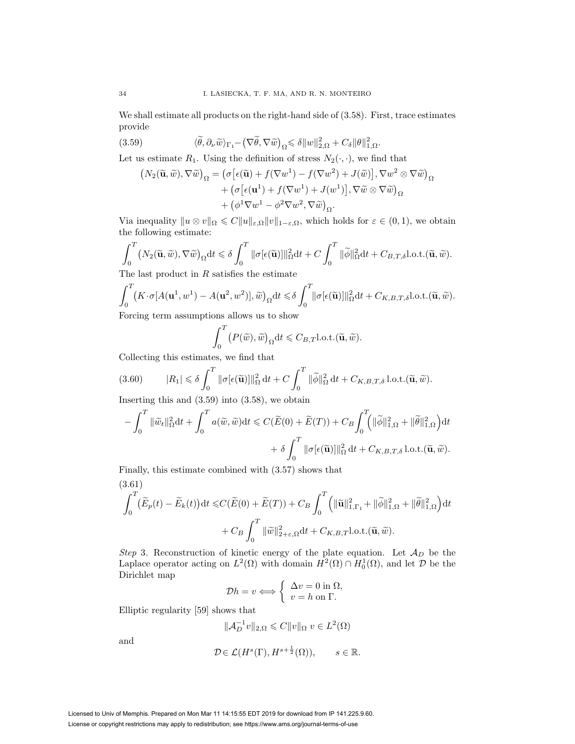We shall estimate all products on the right-hand side of  $(3.58)$ . First, trace estimates provide

(3.59) 
$$
\langle \widetilde{\theta}, \partial_{\nu} \widetilde{w} \rangle_{\Gamma_1} - (\nabla \widetilde{\theta}, \nabla \widetilde{w})_{\Omega} \leq \delta ||w||_{2,\Omega}^2 + C_{\delta} ||\theta||_{1,\Omega}^2.
$$

Let us estimate  $R_1$ . Using the definition of stress  $N_2(\cdot, \cdot)$ , we find that

$$
(N_2(\widetilde{\mathbf{u}}, \widetilde{w}), \nabla \widetilde{w})_{\Omega} = (\sigma \left[ \epsilon(\widetilde{\mathbf{u}}) + f(\nabla w^1) - f(\nabla w^2) + J(\widetilde{w}) \right], \nabla w^2 \otimes \nabla \widetilde{w})_{\Omega}
$$

$$
+ (\sigma \left[ \epsilon(\mathbf{u}^1) + f(\nabla w^1) + J(w^1) \right], \nabla \widetilde{w} \otimes \nabla \widetilde{w})_{\Omega}
$$

$$
+ (\phi^1 \nabla w^1 - \phi^2 \nabla w^2, \nabla \widetilde{w})_{\Omega}.
$$

Via inequality  $||u \otimes v||_{\Omega} \leq C||u||_{\varepsilon,\Omega}||v||_{1-\varepsilon,\Omega}$ , which holds for  $\varepsilon \in (0,1)$ , we obtain the following estimate:

$$
\int_0^T \left(N_2(\widetilde{\mathbf{u}},\widetilde{w}),\nabla \widetilde{w}\right)_{\Omega} dt \leq \delta \int_0^T \|\sigma[\epsilon(\widetilde{\mathbf{u}})]\|_{\Omega}^2 dt + C \int_0^T \|\widetilde{\phi}\|_{\Omega}^2 dt + C_{B,T,\delta} \text{l.o.t.}(\widetilde{\mathbf{u}},\widetilde{w}).
$$

The last product in  $R$  satisfies the estimate

$$
\int_0^T \left(K \cdot \sigma[A(\mathbf{u}^1, w^1) - A(\mathbf{u}^2, w^2)], \widetilde{w}\right)_{\Omega} dt \leq \delta \int_0^T \|\sigma[\epsilon(\widetilde{\mathbf{u}})]\|_{\Omega}^2 dt + C_{K, B, T, \delta} \text{l.o.t.}(\widetilde{\mathbf{u}}, \widetilde{w}).
$$
  
Forcine term assumptions allows us to show

Forcing term assumptions allows us to show

$$
\int_0^T \big(P(\widetilde{w}), \widetilde{w}\big)_{\Omega} dt \leqslant C_{B,T} \text{l.o.t.}(\widetilde{\mathbf{u}}, \widetilde{w}).
$$

Collecting this estimates, we find that

(3.60) 
$$
|R_1| \leq \delta \int_0^T \|\sigma[\epsilon(\widetilde{\mathbf{u}})]\|_{\Omega}^2 dt + C \int_0^T \|\widetilde{\phi}\|_{\Omega}^2 dt + C_{K,B,T,\delta} \operatorname{l.o.t.}(\widetilde{\mathbf{u}}, \widetilde{w}).
$$
Inserting this and (3.50) into (3.58) we obtain

Inserting this and (3.59) into (3.58), we obtain

$$
-\int_0^T \|\widetilde{w}_t\|_{\Omega}^2 dt + \int_0^T a(\widetilde{w}, \widetilde{w}) dt \le C(\widetilde{E}(0) + \widetilde{E}(T)) + C_B \int_0^T \Big( \|\widetilde{\phi}\|_{1, \Omega}^2 + \|\widetilde{\theta}\|_{1, \Omega}^2 \Big) dt
$$

$$
+ \delta \int_0^T \|\sigma[\epsilon(\widetilde{\mathbf{u}})]\|_{\Omega}^2 dt + C_{K, B, T, \delta} \operatorname{l.o.t.}(\widetilde{\mathbf{u}}, \widetilde{w}).
$$

Finally, this estimate combined with (3.57) shows that (3.61)

$$
\int_0^T \left(\widetilde{E}_p(t) - \widetilde{E}_k(t)\right) \mathrm{d}t \le C\left(\widetilde{E}(0) + \widetilde{E}(T)\right) + C_B \int_0^T \left(\|\widetilde{\mathbf{u}}\|_{1,\Gamma_1}^2 + \|\widetilde{\phi}\|_{1,\Omega}^2 + \|\widetilde{\theta}\|_{1,\Omega}^2\right) \mathrm{d}t + C_B \int_0^T \|\widetilde{w}\|_{2+\varepsilon,\Omega}^2 \mathrm{d}t + C_{K,B,T} \text{l.o.t.}(\widetilde{\mathbf{u}},\widetilde{w}).
$$

Step 3. Reconstruction of kinetic energy of the plate equation. Let  $\mathcal{A}_D$  be the Laplace operator acting on  $L^2(\Omega)$  with domain  $H^2(\Omega) \cap H_0^1(\Omega)$ , and let  $\mathcal D$  be the Dirichlet map

$$
\mathcal{D}h = v \Longleftrightarrow \begin{cases} \Delta v = 0 \text{ in } \Omega, \\ v = h \text{ on } \Gamma. \end{cases}
$$

Elliptic regularity [59] shows that

$$
\|\mathcal{A}_D^{-1}v\|_{2,\Omega}\leqslant C\|v\|_{\Omega} \ v\in L^2(\Omega)
$$

and

$$
\mathcal{D} \in \mathcal{L}(H^s(\Gamma), H^{s+\frac{1}{2}}(\Omega)), \qquad s \in \mathbb{R}.
$$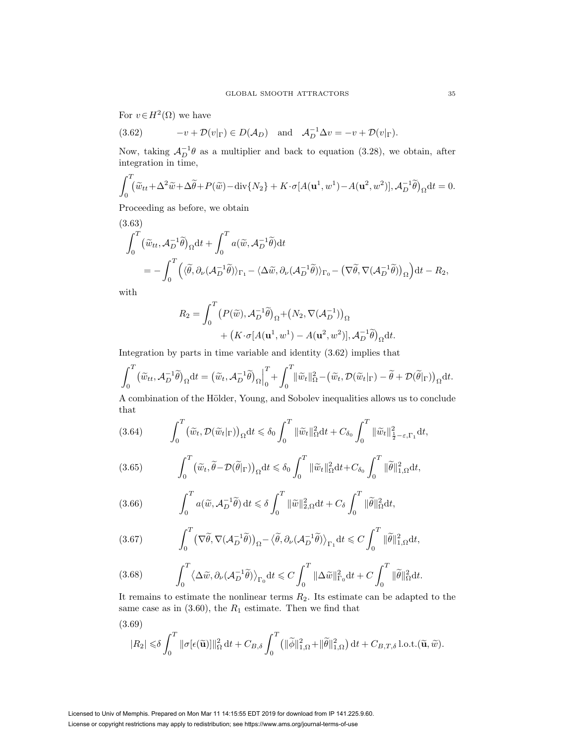For  $v \in H^2(\Omega)$  we have

(3.62) 
$$
-v + \mathcal{D}(v|_{\Gamma}) \in D(\mathcal{A}_D) \text{ and } \mathcal{A}_D^{-1} \Delta v = -v + \mathcal{D}(v|_{\Gamma}).
$$

Now, taking  $\mathcal{A}_D^{-1}\theta$  as a multiplier and back to equation (3.28), we obtain, after integration in time,

$$
\int_0^T \left(\tilde{w}_{tt} + \Delta^2 \tilde{w} + \Delta \tilde{\theta} + P(\tilde{w}) - \text{div}\{N_2\} + K \cdot \sigma[A(\mathbf{u}^1, w^1) - A(\mathbf{u}^2, w^2)], \mathcal{A}_D^{-1} \tilde{\theta}\right)_{\Omega} dt = 0.
$$

Proceeding as before, we obtain

(3.63)  
\n
$$
\int_0^T \left(\tilde{w}_{tt}, \mathcal{A}_D^{-1}\tilde{\theta}\right)_{\Omega} dt + \int_0^T a(\tilde{w}, \mathcal{A}_D^{-1}\tilde{\theta}) dt
$$
\n
$$
= -\int_0^T \left(\langle \tilde{\theta}, \partial_\nu (\mathcal{A}_D^{-1}\tilde{\theta}) \rangle_{\Gamma_1} - \langle \Delta \tilde{w}, \partial_\nu (\mathcal{A}_D^{-1}\tilde{\theta}) \rangle_{\Gamma_0} - \left(\nabla \tilde{\theta}, \nabla (\mathcal{A}_D^{-1}\tilde{\theta})\right)_{\Omega}\right) dt - R_2,
$$

with

$$
R_2 = \int_0^T \left( P(\widetilde{w}), \mathcal{A}_D^{-1} \widetilde{\theta} \right)_{\Omega} + \left( N_2, \nabla(\mathcal{A}_D^{-1}) \right)_{\Omega} + \left( K \cdot \sigma [A(\mathbf{u}^1, w^1) - A(\mathbf{u}^2, w^2)], \mathcal{A}_D^{-1} \widetilde{\theta} \right)_{\Omega} \mathrm{d}t.
$$

Integration by parts in time variable and identity (3.62) implies that

$$
\int_0^T \left(\widetilde{w}_{tt}, \mathcal{A}_D^{-1}\widetilde{\theta}\right)_{\Omega} dt = \left(\widetilde{w}_t, \mathcal{A}_D^{-1}\widetilde{\theta}\right)_{\Omega}\Big|_0^T + \int_0^T \lVert \widetilde{w}_t \rVert_{\Omega}^2 - \left(\widetilde{w}_t, \mathcal{D}(\widetilde{w}_t|_{\Gamma}) - \widetilde{\theta} + \mathcal{D}(\widetilde{\theta}|_{\Gamma})\right)_{\Omega} dt.
$$

A combination of the Hölder, Young, and Sobolev inequalities allows us to conclude that

$$
(3.64) \qquad \int_0^T \left(\widetilde{w}_t, \mathcal{D}(\widetilde{w}_t|_{\Gamma})\right)_{\Omega} dt \leq \delta_0 \int_0^T \|\widetilde{w}_t\|_{\Omega}^2 dt + C_{\delta_0} \int_0^T \|\widetilde{w}_t\|_{\frac{1}{2}-\varepsilon, \Gamma_1}^2 dt,
$$

(3.65) 
$$
\int_0^T \left(\widetilde{w}_t, \widetilde{\theta} - \mathcal{D}(\widetilde{\theta}|_{\Gamma})\right)_{\Omega} dt \leq \delta_0 \int_0^T \|\widetilde{w}_t\|_{\Omega}^2 dt + C_{\delta_0} \int_0^T \|\widetilde{\theta}\|_{1,\Omega}^2 dt,
$$

(3.66) 
$$
\int_0^T a(\widetilde{w}, \mathcal{A}_D^{-1}\widetilde{\theta}) dt \leq \delta \int_0^T \|\widetilde{w}\|_{2,\Omega}^2 dt + C_{\delta} \int_0^T \|\widetilde{\theta}\|_{\Omega}^2 dt,
$$

(3.67) 
$$
\int_0^T \left(\nabla \tilde{\theta}, \nabla (\mathcal{A}_D^{-1} \tilde{\theta})\right)_{\Omega} - \langle \tilde{\theta}, \partial_{\nu} (\mathcal{A}_D^{-1} \tilde{\theta}) \rangle_{\Gamma_1} dt \leqslant C \int_0^T \|\tilde{\theta}\|_{1,\Omega}^2 dt,
$$

(3.68) 
$$
\int_0^T \langle \Delta \tilde{w}, \partial_\nu (A_D^{-1} \tilde{\theta}) \rangle_{\Gamma_0} dt \leq C \int_0^T \|\Delta \tilde{w}\|_{\Gamma_0}^2 dt + C \int_0^T \|\tilde{\theta}\|_{\Omega}^2 dt.
$$

It remains to estimate the nonlinear terms  $R_2$ . Its estimate can be adapted to the same case as in  $(3.60)$ , the  $R_1$  estimate. Then we find that

(3.69)  
\n
$$
|R_2| \leq \delta \int_0^T \|\sigma[\epsilon(\tilde{\mathbf{u}})]\|_{\Omega}^2 dt + C_{B,\delta} \int_0^T (\|\tilde{\phi}\|_{1,\Omega}^2 + \|\tilde{\theta}\|_{1,\Omega}^2) dt + C_{B,T,\delta} \text{ l.o.t.}(\tilde{\mathbf{u}}, \tilde{w}).
$$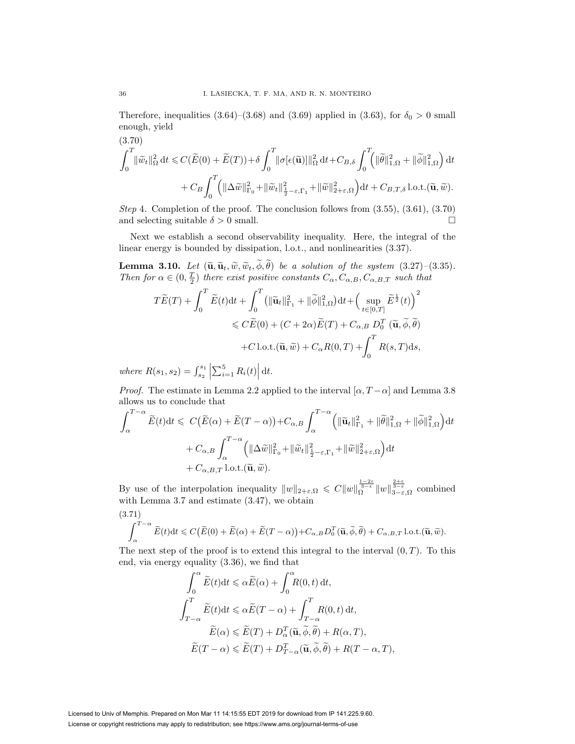Therefore, inequalities (3.64)–(3.68) and (3.69) applied in (3.63), for  $\delta_0 > 0$  small enough, yield

(3.70)  
\n
$$
\int_0^T \lVert \widetilde{w}_t \rVert_{\Omega}^2 dt \leq C(\widetilde{E}(0) + \widetilde{E}(T)) + \delta \int_0^T \lVert \sigma[\epsilon(\widetilde{\mathbf{u}})] \rVert_{\Omega}^2 dt + C_{B,\delta} \int_0^T \left( \lVert \widetilde{\theta} \rVert_{1,\Omega}^2 + \lVert \widetilde{\phi} \rVert_{1,\Omega}^2 \right) dt + C_B \int_0^T \left( \lVert \Delta \widetilde{w} \rVert_{\Gamma_0}^2 + \lVert \widetilde{w}_t \rVert_{\frac{1}{2}-\varepsilon,\Gamma_1}^2 + \lVert \widetilde{w} \rVert_{2+\varepsilon,\Omega}^2 \right) dt + C_{B,T,\delta} \operatorname{l.o.t.}(\widetilde{\mathbf{u}}, \widetilde{w}).
$$

Step 4. Completion of the proof. The conclusion follows from  $(3.55)$ ,  $(3.61)$ ,  $(3.70)$ and selecting suitable  $\delta > 0$  small.

Next we establish a second observability inequality. Here, the integral of the linear energy is bounded by dissipation, l.o.t., and nonlinearities (3.37).

**Lemma 3.10.** Let  $(\tilde{\mathbf{u}}, \tilde{\mathbf{u}}_t, \tilde{w}, \tilde{w}_t, \phi, \theta)$  be a solution of the system  $(3.27)-(3.35)$ .<br>Then for  $\alpha \in (0, \frac{T}{2})$  there exist positive constants  $C_{\alpha}, C_{\alpha, B}, C_{\alpha, B, T}$  such that

$$
T\widetilde{E}(T) + \int_0^T \widetilde{E}(t)dt + \int_0^T \left( \|\widetilde{\mathbf{u}}_t\|_{\Gamma_1}^2 + \|\widetilde{\phi}\|_{1,\Omega}^2 \right)dt + \left(\sup_{t \in [0,T]} \widetilde{E}^{\frac{1}{2}}(t)\right)^2
$$
  
\$\leqslant C\widetilde{E}(0) + (C + 2\alpha)\widetilde{E}(T) + C\_{\alpha,B} D\_0^T \left(\widetilde{\mathbf{u}}, \widetilde{\phi}, \widetilde{\theta}\right)\$  
+ C l.o.t.  $(\widetilde{\mathbf{u}}, \widetilde{w}) + C_{\alpha}R(0,T) + \int_0^T R(s,T)ds,$ 

where  $R(s_1, s_2) = \int_{s_2}^{s_1} \left| \sum_{i=1}^5 R_i(t) \right| dt$ .

*Proof.* The estimate in Lemma 2.2 applied to the interval  $\left[\alpha, T-\alpha\right]$  and Lemma 3.8 allows us to conclude that

$$
\int_{\alpha}^{T-\alpha} \widetilde{E}(t)dt \leq C \big(\widetilde{E}(\alpha) + \widetilde{E}(T-\alpha)\big) + C_{\alpha,B} \int_{\alpha}^{T-\alpha} \Big( \|\widetilde{\mathbf{u}}_{t}\|_{\Gamma_{1}}^{2} + \|\widetilde{\theta}\|_{1,\Omega}^{2} + \|\widetilde{\phi}\|_{1,\Omega}^{2} \Big) dt
$$

$$
+ C_{\alpha,B} \int_{\alpha}^{T-\alpha} \Big( \|\Delta \widetilde{w}\|_{\Gamma_{0}}^{2} + \|\widetilde{w}_{t}\|_{\frac{1}{2}-\varepsilon,\Gamma_{1}}^{2} + \|\widetilde{w}\|_{2+\varepsilon,\Omega}^{2} \Big) dt
$$

$$
+ C_{\alpha,B,T} \operatorname{l.o.t.}(\widetilde{\mathbf{u}}, \widetilde{w}).
$$

By use of the interpolation inequality  $||w||_{2+\varepsilon,\Omega} \leq C ||w||_{\Omega}^{\frac{1-2\varepsilon}{3-\varepsilon}} ||w||_{3-\varepsilon,\Omega}^{\frac{2+\varepsilon}{3-\varepsilon}}$  combined with Lemma 3.7 and estimate (3.47), we obtain (3.71)

$$
\int_{\alpha}^{T-\alpha} \widetilde{E}(t) \mathrm{d}t \leqslant C \big( \widetilde{E}(0) + \widetilde{E}(\alpha) + \widetilde{E}(T-\alpha) \big) + C_{\alpha,B} D_0^T(\widetilde{\mathbf{u}}, \widetilde{\phi}, \widetilde{\theta}) + C_{\alpha,B,T} \operatorname{l.o.t.}(\widetilde{\mathbf{u}}, \widetilde{\omega}).
$$

The next step of the proof is to extend this integral to the interval  $(0, T)$ . To this end, via energy equality (3.36), we find that

$$
\int_0^{\alpha} \tilde{E}(t) dt \leq \alpha \tilde{E}(\alpha) + \int_0^{\alpha} R(0, t) dt,
$$
  

$$
\int_{T-\alpha}^T \tilde{E}(t) dt \leq \alpha \tilde{E}(T-\alpha) + \int_{T-\alpha}^T R(0, t) dt,
$$
  

$$
\tilde{E}(\alpha) \leq \tilde{E}(T) + D_{\alpha}^T(\tilde{\mathbf{u}}, \tilde{\boldsymbol{\phi}}, \tilde{\boldsymbol{\theta}}) + R(\alpha, T),
$$
  

$$
\tilde{E}(T-\alpha) \leq \tilde{E}(T) + D_{T-\alpha}^T(\tilde{\mathbf{u}}, \tilde{\boldsymbol{\phi}}, \tilde{\boldsymbol{\theta}}) + R(T-\alpha, T),
$$

Licensed to Univ of Memphis. Prepared on Mon Mar 11 14:15:55 EDT 2019 for download from IP 141.225.9.60. License or copyright restrictions may apply to redistribution; see https://www.ams.org/journal-terms-of-use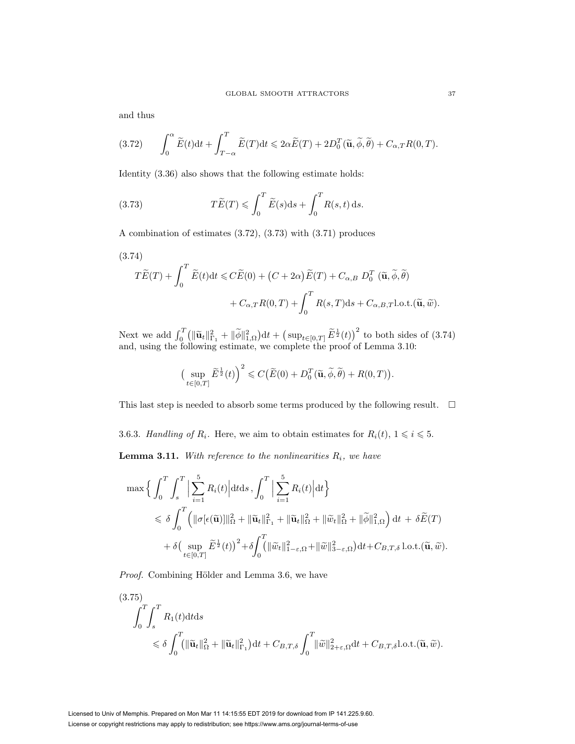and thus

(3.72) 
$$
\int_0^{\alpha} \widetilde{E}(t) dt + \int_{T-\alpha}^T \widetilde{E}(T) dt \leq 2\alpha \widetilde{E}(T) + 2D_0^T(\widetilde{\mathbf{u}}, \widetilde{\phi}, \widetilde{\theta}) + C_{\alpha,T} R(0,T).
$$

Identity (3.36) also shows that the following estimate holds:

(3.73) 
$$
T\widetilde{E}(T) \leqslant \int_0^T \widetilde{E}(s)ds + \int_0^T R(s,t) ds.
$$

A combination of estimates (3.72), (3.73) with (3.71) produces

(3.74)  
\n
$$
T\widetilde{E}(T) + \int_0^T \widetilde{E}(t)dt \le C\widetilde{E}(0) + (C + 2\alpha)\widetilde{E}(T) + C_{\alpha,B} D_0^T (\widetilde{\mathbf{u}}, \widetilde{\phi}, \widetilde{\theta})
$$
\n
$$
+ C_{\alpha,T}R(0,T) + \int_0^T R(s,T)ds + C_{\alpha,B,T}l.o.t.(\widetilde{\mathbf{u}}, \widetilde{w}).
$$

Next we add  $\int_0^T (\|\tilde{\mathbf{u}}_t\|_{\Gamma_1}^2 + \|\tilde{\phi}\|_{1,\Omega}^2) dt + (\sup_{t\in[0,T]}\tilde{E}^{\frac{1}{2}}(t))^2$  to both sides of (3.74) and, using the following estimate, we complete the proof of Lemma 3.10:

$$
\left(\sup_{t\in[0,T]}\widetilde{E}^{\frac{1}{2}}(t)\right)^2 \leqslant C\big(\widetilde{E}(0)+D_0^T(\widetilde{\mathbf{u}},\widetilde{\phi},\widetilde{\theta})+R(0,T)\big).
$$

This last step is needed to absorb some terms produced by the following result.  $\Box$ 

3.6.3. Handling of  $R_i$ . Here, we aim to obtain estimates for  $R_i(t)$ ,  $1 \leq i \leq 5$ . **Lemma 3.11.** With reference to the nonlinearities  $R_i$ , we have

$$
\max \Big\{ \int_0^T \int_s^T \Big| \sum_{i=1}^5 R_i(t) \Big| dt ds \, , \int_0^T \Big| \sum_{i=1}^5 R_i(t) \Big| dt \Big\}\leq \delta \int_0^T \Big( \|\sigma[\epsilon(\tilde{\mathbf{u}})]\|_{\Omega}^2 + \|\tilde{\mathbf{u}}_t\|_{\Gamma_1}^2 + \|\tilde{\mathbf{u}}_t\|_{\Omega}^2 + \|\tilde{\psi}_t\|_{\Omega}^2 + \|\tilde{\phi}\|_{1,\Omega}^2 \Big) dt + \delta \tilde{E}(T) + \delta \Big( \sup_{t \in [0,T]} \tilde{E}^{\frac{1}{2}}(t) \Big)^2 + \delta \int_0^T \Big( \|\tilde{\mathbf{u}}_t\|_{1-\varepsilon,\Omega}^2 + \|\tilde{\mathbf{w}}\|_{3-\varepsilon,\Omega}^2 \Big) dt + C_{B,T,\delta} \operatorname{l.o.t.}(\tilde{\mathbf{u}},\tilde{\mathbf{w}}).
$$

Proof. Combining Hölder and Lemma 3.6, we have

$$
(3.75)
$$
\n
$$
\int_0^T \int_s^T R_1(t) dt ds
$$
\n
$$
\leq \delta \int_0^T (\|\widetilde{\mathbf{u}}_t\|_{\Omega}^2 + \|\widetilde{\mathbf{u}}_t\|_{\Gamma_1}^2) dt + C_{B,T,\delta} \int_0^T \|\widetilde{w}\|_{2+\varepsilon,\Omega}^2 dt + C_{B,T,\delta} \text{l.o.t.}(\widetilde{\mathbf{u}}, \widetilde{w}).
$$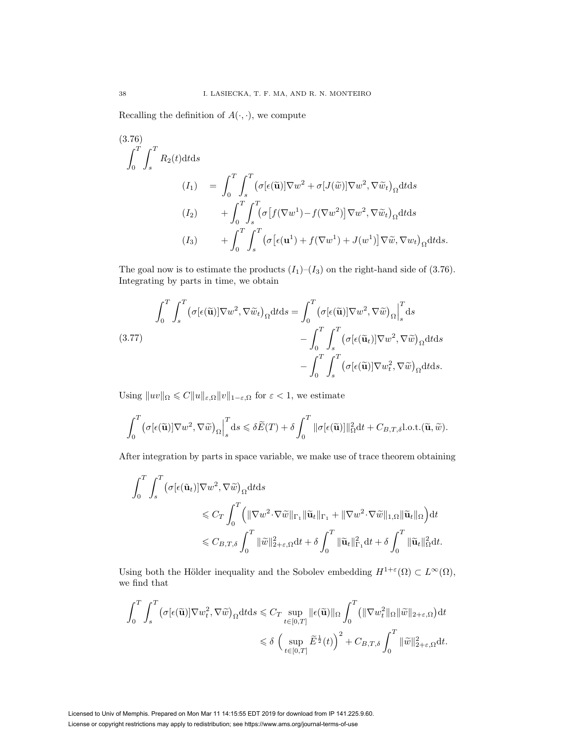Recalling the definition of  $A(\cdot, \cdot)$ , we compute

(3.76)  
\n
$$
\int_0^T \int_s^T R_2(t) dt ds
$$
\n
$$
(I_1) = \int_0^T \int_s^T (\sigma[\epsilon(\tilde{\mathbf{u}})] \nabla w^2 + \sigma[J(\tilde{w})] \nabla w^2, \nabla \tilde{w}_t)_\Omega dt ds
$$
\n
$$
(I_2) + \int_0^T \int_s^T (\sigma[f(\nabla w^1) - f(\nabla w^2)] \nabla w^2, \nabla \tilde{w}_t)_\Omega dt ds
$$
\n
$$
(I_3) + \int_0^T \int_s^T (\sigma[\epsilon(\mathbf{u}^1) + f(\nabla w^1) + J(w^1)] \nabla \tilde{w}, \nabla w_t)_\Omega dt ds.
$$

The goal now is to estimate the products  $(I_1)$ – $(I_3)$  on the right-hand side of (3.76). Integrating by parts in time, we obtain

(3.77) 
$$
\int_0^T \int_s^T (\sigma[\epsilon(\tilde{\mathbf{u}})] \nabla w^2, \nabla \tilde{w}_t)_\Omega dt ds = \int_0^T (\sigma[\epsilon(\tilde{\mathbf{u}})] \nabla w^2, \nabla \tilde{w})_\Omega \Big|_s^T ds - \int_0^T \int_s^T (\sigma[\epsilon(\tilde{\mathbf{u}}_t)] \nabla w^2, \nabla \tilde{w})_\Omega dt ds - \int_0^T \int_s^T (\sigma[\epsilon(\tilde{\mathbf{u}})] \nabla w_t^2, \nabla \tilde{w})_\Omega dt ds.
$$

Using  $||uv||_{\Omega} \leq C||u||_{\varepsilon,\Omega}||v||_{1-\varepsilon,\Omega}$  for  $\varepsilon < 1$ , we estimate

$$
\int_0^T \left(\sigma[\epsilon(\widetilde{\mathbf{u}})]\nabla w^2, \nabla \widetilde{w}\right)_{\Omega}\Big|_{s}^T ds \leqslant \delta \widetilde{E}(T) + \delta \int_0^T \|\sigma[\epsilon(\widetilde{\mathbf{u}})]\|_{\Omega}^2 dt + C_{B,T,\delta} \text{l.o.t.}(\widetilde{\mathbf{u}}, \widetilde{w}).
$$

After integration by parts in space variable, we make use of trace theorem obtaining

$$
\int_0^T \int_s^T \left( \sigma[\epsilon(\tilde{\mathbf{u}}_t)] \nabla w^2, \nabla \tilde{w} \right)_{\Omega} dt ds
$$
  
\$\leqslant C\_T \int\_0^T \left( \|\nabla w^2 \cdot \nabla \tilde{w}\|\_{\Gamma\_1} \|\tilde{\mathbf{u}}\_t\|\_{\Gamma\_1} + \|\nabla w^2 \cdot \nabla \tilde{w}\|\_{1,\Omega} \|\tilde{\mathbf{u}}\_t\|\_{\Omega} \right) dt\$  
\$\leqslant C\_{B,T,\delta} \int\_0^T \|\tilde{w}\|\_{2+\varepsilon,\Omega}^2 dt + \delta \int\_0^T \|\tilde{\mathbf{u}}\_t\|\_{\Gamma\_1}^2 dt + \delta \int\_0^T \|\tilde{\mathbf{u}}\_t\|\_{\Omega}^2 dt.\$

Using both the Hölder inequality and the Sobolev embedding  $H^{1+\varepsilon}(\Omega) \subset L^{\infty}(\Omega)$ , we find that

$$
\begin{aligned} \int_0^T \int_s^T \big( &\sigma[\epsilon(\widetilde{\mathbf{u}})] \nabla w_t^2, \nabla \widetilde{w} \big)_{\Omega} \mathrm{d} t \mathrm{d} s \leqslant C_T \sup_{t \in [0,T]} \|\epsilon(\widetilde{\mathbf{u}})\|_{\Omega} \int_0^T \big( \| \nabla w_t^2 \|_{\Omega} \| \widetilde{w} \|_{2+\varepsilon,\Omega} \big) \mathrm{d} t \\ &\leqslant \delta \, \, \Big( \sup_{t \in [0,T]} \widetilde{E}^{\frac{1}{2}}(t) \Big)^2 + C_{B,T,\delta} \int_0^T \| \widetilde{w} \|_{2+\varepsilon,\Omega}^2 \mathrm{d} t. \end{aligned}
$$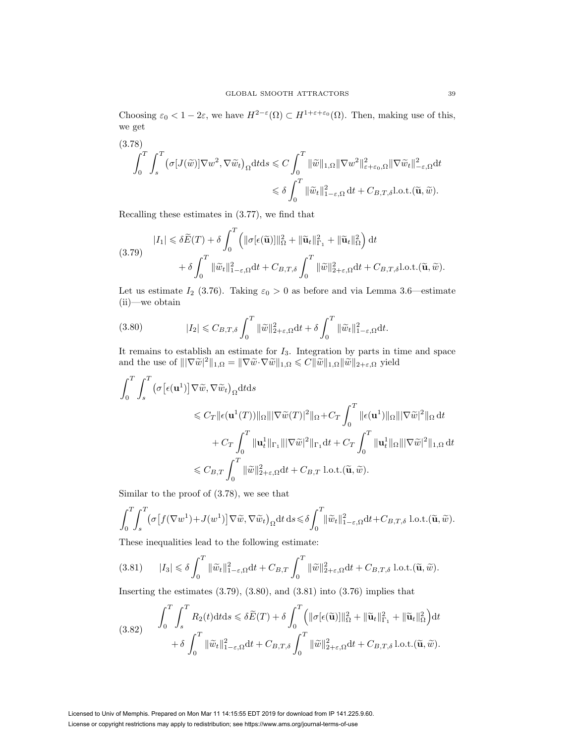Choosing  $\varepsilon_0 < 1-2\varepsilon$ , we have  $H^{2-\varepsilon}(\Omega) \subset H^{1+\varepsilon+\varepsilon_0}(\Omega)$ . Then, making use of this, we get

(3.78)  
\n
$$
\int_0^T \int_s^T \left( \sigma[J(\tilde{w})] \nabla w^2, \nabla \tilde{w}_t \right)_{\Omega} dt ds \leq C \int_0^T \|\tilde{w}\|_{1,\Omega} \|\nabla w^2\|_{\varepsilon+\varepsilon_0,\Omega}^2 \|\nabla \tilde{w}_t\|_{-\varepsilon,\Omega}^2 dt
$$
\n
$$
\leq \delta \int_0^T \|\tilde{w}_t\|_{1-\varepsilon,\Omega}^2 dt + C_{B,T,\delta} \text{l.o.t.}(\tilde{\mathbf{u}}, \tilde{w}).
$$

Recalling these estimates in (3.77), we find that

(3.79) 
$$
|I_{1}| \leq \delta \widetilde{E}(T) + \delta \int_{0}^{T} \left( \|\sigma[\epsilon(\widetilde{\mathbf{u}})]\|_{\Omega}^{2} + \|\widetilde{\mathbf{u}}_{t}\|_{\Gamma_{1}}^{2} + \|\widetilde{\mathbf{u}}_{t}\|_{\Omega}^{2} \right) dt + \delta \int_{0}^{T} \|\widetilde{w}_{t}\|_{1-\epsilon,\Omega}^{2} dt + C_{B,T,\delta} \int_{0}^{T} \|\widetilde{w}\|_{2+\epsilon,\Omega}^{2} dt + C_{B,T,\delta} \text{l.o.t.}(\widetilde{\mathbf{u}},\widetilde{w}).
$$

Let us estimate  $I_2$  (3.76). Taking  $\varepsilon_0 > 0$  as before and via Lemma 3.6—estimate (ii)—we obtain

(3.80) 
$$
|I_2| \leq C_{B,T,\delta} \int_0^T \|\widetilde{w}\|_{2+\varepsilon,\Omega}^2 dt + \delta \int_0^T \|\widetilde{w}_t\|_{1-\varepsilon,\Omega}^2 dt.
$$

It remains to establish an estimate for  $I_3$ . Integration by parts in time and space and the use of  $\|\nabla \tilde{w}\|^2\|_{1,\Omega} = \|\nabla \tilde{w} \cdot \nabla \tilde{w}\|_{1,\Omega} \leqslant C \|\tilde{w}\|_{1,\Omega} \|\tilde{w}\|_{2+\varepsilon,\Omega}$  yield

$$
\int_0^T \int_s^T \left( \sigma \left[ \epsilon(\mathbf{u}^1) \right] \nabla \tilde{w}, \nabla \tilde{w}_t \right)_{\Omega} dt ds
$$
  
\n
$$
\leq C_T \| \epsilon(\mathbf{u}^1(T)) \|_{\Omega} \| |\nabla \tilde{w}(T)|^2 \|_{\Omega} + C_T \int_0^T \| \epsilon(\mathbf{u}^1) \|_{\Omega} \| |\nabla \tilde{w}|^2 \|_{\Omega} dt
$$
  
\n
$$
+ C_T \int_0^T \| \mathbf{u}_t^1 \|_{\Gamma_1} \| |\nabla \tilde{w}|^2 \|_{\Gamma_1} dt + C_T \int_0^T \| \mathbf{u}_t^1 \|_{\Omega} \| |\nabla \tilde{w}|^2 \|_{1, \Omega} dt
$$
  
\n
$$
\leq C_{B,T} \int_0^T \| \tilde{w} \|_{2+\varepsilon, \Omega}^2 dt + C_{B,T} \text{ l.o.t.}(\tilde{\mathbf{u}}, \tilde{w}).
$$

Similar to the proof of (3.78), we see that

$$
\int_0^T \int_s^T \left(\sigma \left[f(\nabla w^1) + J(w^1)\right] \nabla \tilde{w}, \nabla \tilde{w}_t\right)_{\Omega} dt \, ds \leq \delta \int_0^T \lVert \tilde{w}_t \rVert_{1-\varepsilon, \Omega}^2 dt + C_{B, T, \delta} \text{ l.o.t.}(\tilde{\mathbf{u}}, \tilde{w}).
$$

These inequalities lead to the following estimate:

(3.81) 
$$
|I_3| \leq \delta \int_0^T \|\widetilde{w}_t\|_{1-\varepsilon,\Omega}^2 dt + C_{B,T} \int_0^T \|\widetilde{w}\|_{2+\varepsilon,\Omega}^2 dt + C_{B,T,\delta} \text{ l.o.t.}(\widetilde{\mathbf{u}},\widetilde{w}).
$$

Inserting the estimates  $(3.79)$ ,  $(3.80)$ , and  $(3.81)$  into  $(3.76)$  implies that

(3.82) 
$$
\int_0^T \int_s^T R_2(t) dt ds \leq \delta \widetilde{E}(T) + \delta \int_0^T \left( \|\sigma[\epsilon(\widetilde{\mathbf{u}})]\|_{\Omega}^2 + \|\widetilde{\mathbf{u}}_t\|_{\Gamma_1}^2 + \|\widetilde{\mathbf{u}}_t\|_{\Omega}^2 \right) dt + \delta \int_0^T \|\widetilde{w}_t\|_{1-\epsilon,\Omega}^2 dt + C_{B,T,\delta} \int_0^T \|\widetilde{w}\|_{2+\epsilon,\Omega}^2 dt + C_{B,T,\delta} \ln \text{d} \mathbf{u}.
$$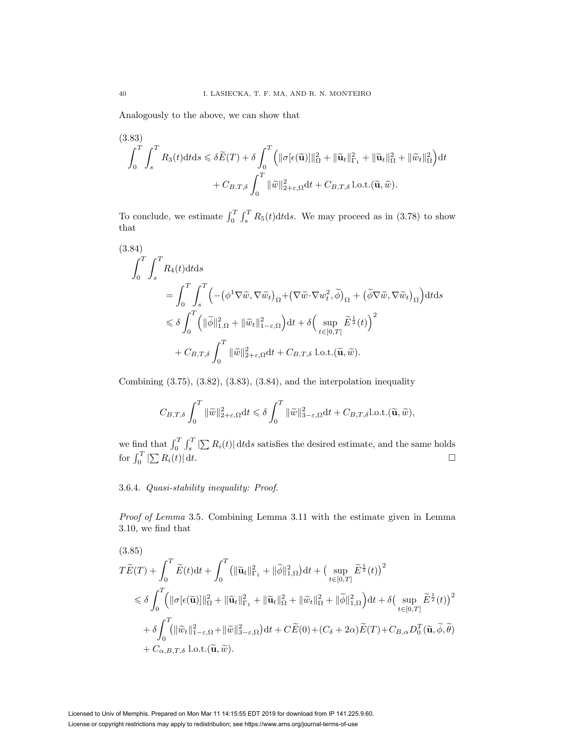Analogously to the above, we can show that

(3.83)  
\n
$$
\int_0^T \int_s^T R_3(t) dt ds \leq \delta \widetilde{E}(T) + \delta \int_0^T \left( \|\sigma[\epsilon(\widetilde{\mathbf{u}})]\|_{\Omega}^2 + \|\widetilde{\mathbf{u}}_t\|_{\Gamma_1}^2 + \|\widetilde{\mathbf{u}}_t\|_{\Omega}^2 + \|\widetilde{w}_t\|_{\Omega}^2 \right) dt
$$
\n
$$
+ C_{B,T,\delta} \int_0^T \|\widetilde{w}\|_{2+\epsilon,\Omega}^2 dt + C_{B,T,\delta} \ln(1+\delta \widetilde{\mathbf{u}}, \widetilde{w}).
$$

To conclude, we estimate  $\int_0^T \int_s^T R_5(t) dt ds$ . We may proceed as in (3.78) to show that

$$
(3.84)
$$
\n
$$
\int_0^T \int_s^T R_4(t) dt ds
$$
\n
$$
= \int_0^T \int_s^T \left( -(\phi^1 \nabla \tilde{w}, \nabla \tilde{w}_t)_{\Omega} + (\nabla \tilde{w} \cdot \nabla w_t^2, \tilde{\phi})_{\Omega} + (\tilde{\phi} \nabla \tilde{w}, \nabla \tilde{w}_t)_{\Omega} \right) dt ds
$$
\n
$$
\leq \delta \int_0^T \left( \|\tilde{\phi}\|_{1,\Omega}^2 + \|\tilde{w}_t\|_{1-\varepsilon,\Omega}^2 \right) dt + \delta \left( \sup_{t \in [0,T]} \tilde{E}^{\frac{1}{2}}(t) \right)^2
$$
\n
$$
+ C_{B,T,\delta} \int_0^T \|\tilde{w}\|_{2+\varepsilon,\Omega}^2 dt + C_{B,T,\delta} \text{ l.o.t.}(\tilde{\mathbf{u}}, \tilde{w}).
$$

Combining  $(3.75), (3.82), (3.83), (3.84),$  and the interpolation inequality

$$
C_{B,T,\delta}\int_0^T \|\widetilde{w}\|_{2+\varepsilon,\Omega}^2 dt \leq \delta \int_0^T \|\widetilde{w}\|_{3-\varepsilon,\Omega}^2 dt + C_{B,T,\delta} \text{l.o.t.}(\widetilde{\mathbf{u}},\widetilde{w}),
$$

we find that  $\int_0^T \int_s^T |\sum R_i(t)| dt ds$  satisfies the desired estimate, and the same holds for  $\int_0^T |\sum R_i(t)| dt$ .

# 3.6.4. Quasi-stability inequality: Proof.

Proof of Lemma 3.5. Combining Lemma 3.11 with the estimate given in Lemma 3.10, we find that

(3.85)  
\n
$$
T\widetilde{E}(T) + \int_0^T \widetilde{E}(t)dt + \int_0^T (\|\widetilde{\mathbf{u}}_t\|_{\Gamma_1}^2 + \|\widetilde{\phi}\|_{1,\Omega}^2)dt + (\sup_{t \in [0,T]} \widetilde{E}^{\frac{1}{2}}(t))^2
$$
\n
$$
\leq \delta \int_0^T \Big( \|\sigma[\epsilon(\widetilde{\mathbf{u}})]\|_{\Omega}^2 + \|\widetilde{\mathbf{u}}_t\|_{\Gamma_1}^2 + \|\widetilde{\mathbf{u}}_t\|_{\Omega}^2 + \|\widetilde{\omega}_t\|_{\Omega}^2 + \|\widetilde{\phi}\|_{1,\Omega}^2 \Big)dt + \delta \Big( \sup_{t \in [0,T]} \widetilde{E}^{\frac{1}{2}}(t) \Big)^2
$$
\n
$$
+ \delta \int_0^T \Big( \|\widetilde{\mathbf{w}}_t\|_{1-\varepsilon,\Omega}^2 + \|\widetilde{\mathbf{w}}\|_{3-\varepsilon,\Omega}^2 \Big)dt + C\widetilde{E}(0) + (C_\delta + 2\alpha)\widetilde{E}(T) + C_{B,\alpha}D_0^T(\widetilde{\mathbf{u}},\widetilde{\phi},\widetilde{\theta})
$$
\n
$$
+ C_{\alpha,B,T,\delta} \text{ l.o.t.}(\widetilde{\mathbf{u}},\widetilde{\omega}).
$$

Licensed to Univ of Memphis. Prepared on Mon Mar 11 14:15:55 EDT 2019 for download from IP 141.225.9.60. License or copyright restrictions may apply to redistribution; see https://www.ams.org/journal-terms-of-use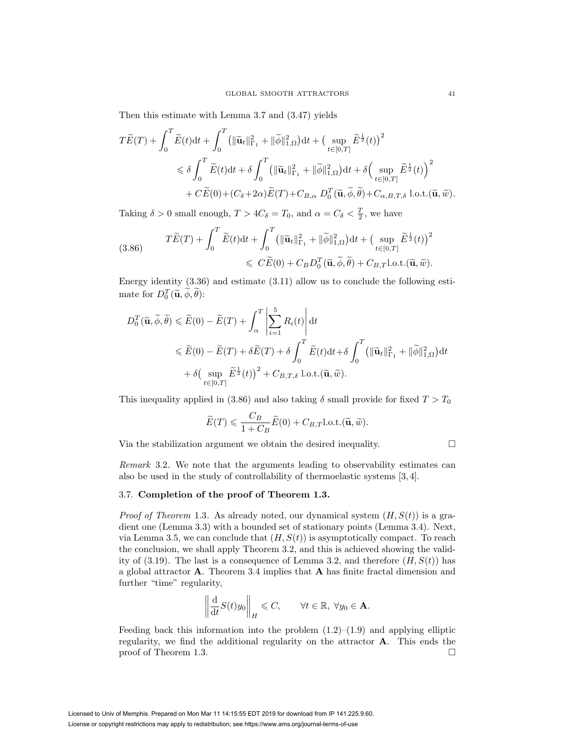Then this estimate with Lemma 3.7 and (3.47) yields

$$
T\widetilde{E}(T) + \int_0^T \widetilde{E}(t)dt + \int_0^T \left( \|\widetilde{\mathbf{u}}_t\|_{\Gamma_1}^2 + \|\widetilde{\phi}\|_{1,\Omega}^2 \right)dt + \left(\sup_{t \in [0,T]} \widetilde{E}^{\frac{1}{2}}(t)\right)^2
$$
  
\$\leqslant \delta \int\_0^T \widetilde{E}(t)dt + \delta \int\_0^T \left( \|\widetilde{\mathbf{u}}\_t\|\_{\Gamma\_1}^2 + \|\widetilde{\phi}\|\_{1,\Omega}^2 \right)dt + \delta \left(\sup\_{t \in [0,T]} \widetilde{E}^{\frac{1}{2}}(t)\right)^2\$  
\$+ C\widetilde{E}(0) + (C\_\delta + 2\alpha)\widetilde{E}(T) + C\_{B,\alpha} D\_0^T(\widetilde{\mathbf{u}}, \widetilde{\phi}, \widetilde{\theta}) + C\_{\alpha, B,T,\delta} \text{ l.o.t.}(\widetilde{\mathbf{u}}, \widetilde{\omega}).\$

Taking  $\delta > 0$  small enough,  $T > 4C_{\delta} = T_0$ , and  $\alpha = C_{\delta} < \frac{T}{2}$ , we have

(3.86) 
$$
T\widetilde{E}(T) + \int_0^T \widetilde{E}(t)dt + \int_0^T \left( \|\widetilde{\mathbf{u}}_t\|_{\Gamma_1}^2 + \|\widetilde{\phi}\|_{1,\Omega}^2 \right)dt + \left(\sup_{t \in [0,T]} \widetilde{E}^{\frac{1}{2}}(t)\right)^2
$$

$$
\leqslant C\widetilde{E}(0) + C_B D_0^T(\widetilde{\mathbf{u}}, \widetilde{\phi}, \widetilde{\theta}) + C_{B,T} \text{l.o.t.}(\widetilde{\mathbf{u}}, \widetilde{w}).
$$

Energy identity (3.36) and estimate (3.11) allow us to conclude the following estimate for  $D_0^T(\widetilde{\mathbf{u}}, \phi, \theta)$ :

$$
D_0^T(\widetilde{\mathbf{u}}, \widetilde{\phi}, \widetilde{\theta}) \leq \widetilde{E}(0) - \widetilde{E}(T) + \int_{\alpha}^T \left| \sum_{i=1}^5 R_i(t) \right| dt
$$
  
\n
$$
\leq \widetilde{E}(0) - \widetilde{E}(T) + \delta \widetilde{E}(T) + \delta \int_0^T \widetilde{E}(t) dt + \delta \int_0^T (\|\widetilde{\mathbf{u}}_t\|_{\Gamma_1}^2 + \|\widetilde{\phi}\|_{1,\Omega}^2) dt
$$
  
\n
$$
+ \delta \left( \sup_{t \in [0,T]} \widetilde{E}^{\frac{1}{2}}(t) \right)^2 + C_{B,T,\delta} \text{ l.o.t.}(\widetilde{\mathbf{u}}, \widetilde{w}).
$$

This inequality applied in (3.86) and also taking  $\delta$  small provide for fixed  $T > T_0$ 

$$
\widetilde{E}(T) \leqslant \frac{C_B}{1+C_B} \widetilde{E}(0) + C_{B,T} \text{l.o.t.}(\widetilde{\mathbf{u}}, \widetilde{w}).
$$

Via the stabilization argument we obtain the desired inequality.  $\Box$ 

Remark 3.2. We note that the arguments leading to observability estimates can also be used in the study of controllability of thermoelastic systems [3, 4].

# 3.7. **Completion of the proof of Theorem 1.3.**

*Proof of Theorem* 1.3. As already noted, our dynamical system  $(H, S(t))$  is a gradient one (Lemma 3.3) with a bounded set of stationary points (Lemma 3.4). Next, via Lemma 3.5, we can conclude that  $(H, S(t))$  is asymptotically compact. To reach the conclusion, we shall apply Theorem 3.2, and this is achieved showing the validity of (3.19). The last is a consequence of Lemma 3.2, and therefore  $(H, S(t))$  has a global attractor **A**. Theorem 3.4 implies that **A** has finite fractal dimension and further "time" regularity,

$$
\left\| \frac{\mathrm{d}}{\mathrm{d}t} S(t) y_0 \right\|_H \leqslant C, \qquad \forall t \in \mathbb{R}, \ \forall y_0 \in \mathbf{A}.
$$

Feeding back this information into the problem  $(1.2)$ – $(1.9)$  and applying elliptic regularity, we find the additional regularity on the attractor **A**. This ends the proof of Theorem 1.3.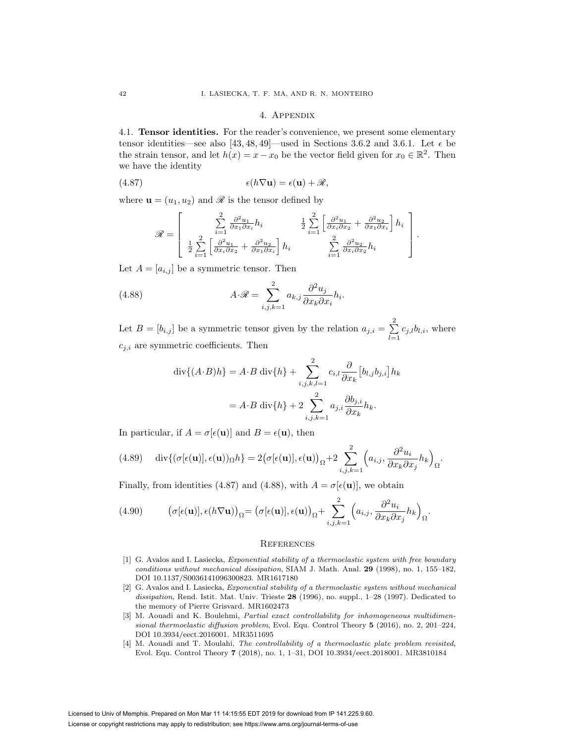## 4. Appendix

4.1. **Tensor identities.** For the reader's convenience, we present some elementary tensor identities—see also [43, 48, 49]—used in Sections 3.6.2 and 3.6.1. Let  $\epsilon$  be the strain tensor, and let  $h(x) = x - x_0$  be the vector field given for  $x_0 \in \mathbb{R}^2$ . Then we have the identity

(4.87) 
$$
\epsilon(h\nabla \mathbf{u}) = \epsilon(\mathbf{u}) + \mathscr{R},
$$

where  $\mathbf{u} = (u_1, u_2)$  and  $\mathscr R$  is the tensor defined by

$$
\mathcal{R} = \begin{bmatrix} \sum_{i=1}^{2} \frac{\partial^2 u_1}{\partial x_1 \partial x_i} h_i & \frac{1}{2} \sum_{i=1}^{2} \left[ \frac{\partial^2 u_1}{\partial x_i \partial x_2} + \frac{\partial^2 u_2}{\partial x_1 \partial x_i} \right] h_i \\ \frac{1}{2} \sum_{i=1}^{2} \left[ \frac{\partial^2 u_1}{\partial x_i \partial x_2} + \frac{\partial^2 u_2}{\partial x_1 \partial x_i} \right] h_i & \sum_{i=1}^{2} \frac{\partial^2 u_2}{\partial x_i \partial x_2} h_i \end{bmatrix}.
$$

Let  $A = [a_{i,j}]$  be a symmetric tensor. Then

(4.88) 
$$
A \cdot \mathscr{R} = \sum_{i,j,k=1}^{2} a_{k,j} \frac{\partial^2 u_j}{\partial x_k \partial x_i} h_i.
$$

Let  $B = [b_{i,j}]$  be a symmetric tensor given by the relation  $a_{j,i} = \sum_{j=1}^{n} a_{j,i}$  $\sum_{l=1} c_{j,l} b_{l,i}$ , where  $c_{j,i}$  are symmetric coefficients. Then

$$
\operatorname{div}\{(A \cdot B)h\} = A \cdot B \operatorname{div}\{h\} + \sum_{i,j,k,l=1}^{2} c_{i,l} \frac{\partial}{\partial x_k} [b_{l,j} b_{j,i}] h_k
$$

$$
= A \cdot B \operatorname{div}\{h\} + 2 \sum_{i,j,k=1}^{2} a_{j,i} \frac{\partial b_{j,i}}{\partial x_k} h_k.
$$

In particular, if  $A = \sigma[\epsilon(\mathbf{u})]$  and  $B = \epsilon(\mathbf{u})$ , then

(4.89) 
$$
\operatorname{div}\{(\sigma[\epsilon(\mathbf{u})], \epsilon(\mathbf{u}))_{\Omega}h\} = 2(\sigma[\epsilon(\mathbf{u})], \epsilon(\mathbf{u}))_{\Omega} + 2\sum_{i,j,k=1}^{2} \left(a_{i,j}, \frac{\partial^2 u_i}{\partial x_k \partial x_j} h_k\right)_{\Omega}.
$$

Finally, from identities (4.87) and (4.88), with  $A = \sigma[\epsilon(\mathbf{u})]$ , we obtain

(4.90) 
$$
(\sigma[\epsilon(\mathbf{u})], \epsilon(h\nabla \mathbf{u}))_{\Omega} = (\sigma[\epsilon(\mathbf{u})], \epsilon(\mathbf{u}))_{\Omega} + \sum_{i,j,k=1}^{2} \left( a_{i,j}, \frac{\partial^2 u_i}{\partial x_k \partial x_j} h_k \right)_{\Omega}.
$$

## **REFERENCES**

- [1] G. Avalos and I. Lasiecka, Exponential stability of a thermoelastic system with free boundary conditions without mechanical dissipation, SIAM J. Math. Anal. **29** (1998), no. 1, 155–182, DOI 10.1137/S0036141096300823. MR1617180
- [2] G. Avalos and I. Lasiecka, Exponential stability of a thermoelastic system without mechanical dissipation, Rend. Istit. Mat. Univ. Trieste **28** (1996), no. suppl., 1–28 (1997). Dedicated to the memory of Pierre Grisvard. MR1602473
- [3] M. Aouadi and K. Boulehmi, *Partial exact controllability for inhomogeneous multidimen*sional thermoelastic diffusion problem, Evol. Equ. Control Theory **5** (2016), no. 2, 201–224, DOI 10.3934/eect.2016001. MR3511695
- [4] M. Aouadi and T. Moulahi, The controllability of a thermoelastic plate problem revisited, Evol. Equ. Control Theory **7** (2018), no. 1, 1–31, DOI 10.3934/eect.2018001. MR3810184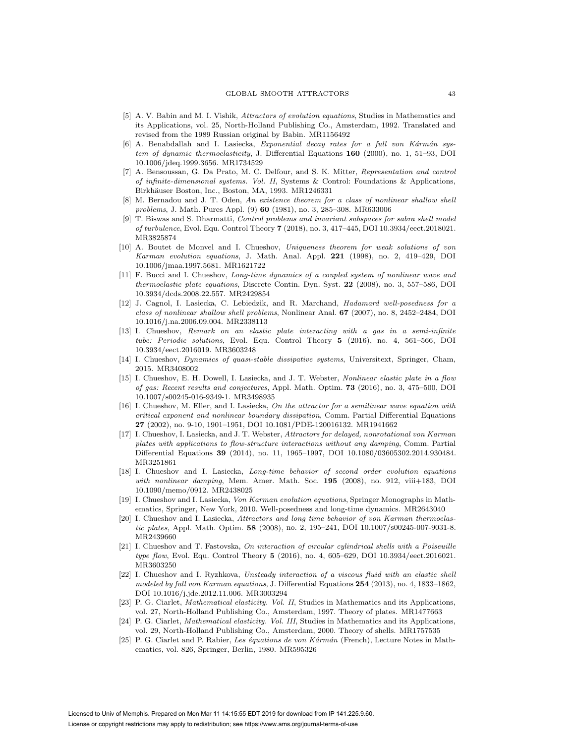- [5] A. V. Babin and M. I. Vishik, Attractors of evolution equations, Studies in Mathematics and its Applications, vol. 25, North-Holland Publishing Co., Amsterdam, 1992. Translated and revised from the 1989 Russian original by Babin. MR1156492
- $[6]$  A. Benabdallah and I. Lasiecka, Exponential decay rates for a full von Kármán system of dynamic thermoelasticity, J. Differential Equations **160** (2000), no. 1, 51–93, DOI 10.1006/jdeq.1999.3656. MR1734529
- [7] A. Bensoussan, G. Da Prato, M. C. Delfour, and S. K. Mitter, Representation and control of infinite-dimensional systems. Vol. II, Systems & Control: Foundations & Applications, Birkhäuser Boston, Inc., Boston, MA, 1993. MR1246331
- [8] M. Bernadou and J. T. Oden, An existence theorem for a class of nonlinear shallow shell problems, J. Math. Pures Appl. (9) **60** (1981), no. 3, 285–308. MR633006
- [9] T. Biswas and S. Dharmatti, Control problems and invariant subspaces for sabra shell model of turbulence, Evol. Equ. Control Theory **7** (2018), no. 3, 417–445, DOI 10.3934/eect.2018021. MR3825874
- [10] A. Boutet de Monvel and I. Chueshov, Uniqueness theorem for weak solutions of von Karman evolution equations, J. Math. Anal. Appl. **221** (1998), no. 2, 419–429, DOI 10.1006/jmaa.1997.5681. MR1621722
- [11] F. Bucci and I. Chueshov, Long-time dynamics of a coupled system of nonlinear wave and thermoelastic plate equations, Discrete Contin. Dyn. Syst. **22** (2008), no. 3, 557–586, DOI 10.3934/dcds.2008.22.557. MR2429854
- [12] J. Cagnol, I. Lasiecka, C. Lebiedzik, and R. Marchand, Hadamard well-posedness for a class of nonlinear shallow shell problems, Nonlinear Anal. **67** (2007), no. 8, 2452–2484, DOI 10.1016/j.na.2006.09.004. MR2338113
- [13] I. Chueshov, Remark on an elastic plate interacting with a gas in a semi-infinite tube: Periodic solutions, Evol. Equ. Control Theory **5** (2016), no. 4, 561–566, DOI 10.3934/eect.2016019. MR3603248
- [14] I. Chueshov, Dynamics of quasi-stable dissipative systems, Universitext, Springer, Cham, 2015. MR3408002
- [15] I. Chueshov, E. H. Dowell, I. Lasiecka, and J. T. Webster, Nonlinear elastic plate in a flow of gas: Recent results and conjectures, Appl. Math. Optim. **73** (2016), no. 3, 475–500, DOI 10.1007/s00245-016-9349-1. MR3498935
- [16] I. Chueshov, M. Eller, and I. Lasiecka, On the attractor for a semilinear wave equation with critical exponent and nonlinear boundary dissipation, Comm. Partial Differential Equations **27** (2002), no. 9-10, 1901–1951, DOI 10.1081/PDE-120016132. MR1941662
- [17] I. Chueshov, I. Lasiecka, and J. T. Webster, Attractors for delayed, nonrotational von Karman plates with applications to flow-structure interactions without any damping, Comm. Partial Differential Equations **39** (2014), no. 11, 1965–1997, DOI 10.1080/03605302.2014.930484. MR3251861
- [18] I. Chueshov and I. Lasiecka, Long-time behavior of second order evolution equations with nonlinear damping, Mem. Amer. Math. Soc. 195 (2008), no. 912, viii+183, DOI 10.1090/memo/0912. MR2438025
- [19] I. Chueshov and I. Lasiecka, Von Karman evolution equations, Springer Monographs in Mathematics, Springer, New York, 2010. Well-posedness and long-time dynamics. MR2643040
- [20] I. Chueshov and I. Lasiecka, Attractors and long time behavior of von Karman thermoelastic plates, Appl. Math. Optim. **58** (2008), no. 2, 195–241, DOI 10.1007/s00245-007-9031-8. MR2439660
- [21] I. Chueshov and T. Fastovska, On interaction of circular cylindrical shells with a Poiseuille type flow, Evol. Equ. Control Theory **5** (2016), no. 4, 605–629, DOI 10.3934/eect.2016021. MR3603250
- [22] I. Chueshov and I. Ryzhkova, Unsteady interaction of a viscous fluid with an elastic shell modeled by full von Karman equations, J. Differential Equations **254** (2013), no. 4, 1833–1862, DOI 10.1016/j.jde.2012.11.006. MR3003294
- [23] P. G. Ciarlet, Mathematical elasticity. Vol. II, Studies in Mathematics and its Applications, vol. 27, North-Holland Publishing Co., Amsterdam, 1997. Theory of plates. MR1477663
- [24] P. G. Ciarlet, Mathematical elasticity. Vol. III, Studies in Mathematics and its Applications, vol. 29, North-Holland Publishing Co., Amsterdam, 2000. Theory of shells. MR1757535
- [25] P. G. Ciarlet and P. Rabier, Les équations de von Kármán (French), Lecture Notes in Mathematics, vol. 826, Springer, Berlin, 1980. MR595326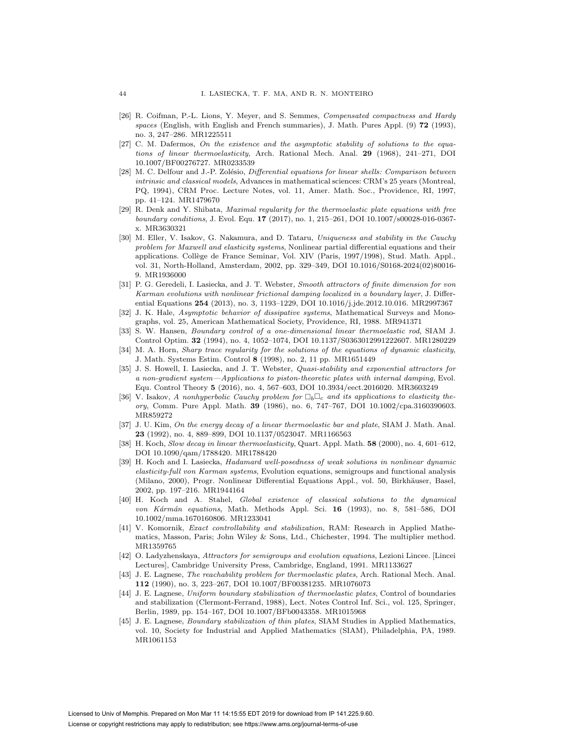- [26] R. Coifman, P.-L. Lions, Y. Meyer, and S. Semmes, Compensated compactness and Hardy spaces (English, with English and French summaries), J. Math. Pures Appl. (9) **72** (1993), no. 3, 247–286. MR1225511
- [27] C. M. Dafermos, On the existence and the asymptotic stability of solutions to the equations of linear thermoelasticity, Arch. Rational Mech. Anal. **29** (1968), 241–271, DOI 10.1007/BF00276727. MR0233539
- [28] M. C. Delfour and J.-P. Zolésio, Differential equations for linear shells: Comparison between intrinsic and classical models, Advances in mathematical sciences: CRM's 25 years (Montreal, PQ, 1994), CRM Proc. Lecture Notes, vol. 11, Amer. Math. Soc., Providence, RI, 1997, pp. 41–124. MR1479670
- [29] R. Denk and Y. Shibata, Maximal regularity for the thermoelastic plate equations with free boundary conditions, J. Evol. Equ. **17** (2017), no. 1, 215–261, DOI 10.1007/s00028-016-0367 x. MR3630321
- [30] M. Eller, V. Isakov, G. Nakamura, and D. Tataru, Uniqueness and stability in the Cauchy problem for Maxwell and elasticity systems, Nonlinear partial differential equations and their applications. Coll`ege de France Seminar, Vol. XIV (Paris, 1997/1998), Stud. Math. Appl., vol. 31, North-Holland, Amsterdam, 2002, pp. 329–349, DOI 10.1016/S0168-2024(02)80016- 9. MR1936000
- [31] P. G. Geredeli, I. Lasiecka, and J. T. Webster, Smooth attractors of finite dimension for von Karman evolutions with nonlinear frictional damping localized in a boundary layer, J. Differential Equations **254** (2013), no. 3, 1193–1229, DOI 10.1016/j.jde.2012.10.016. MR2997367
- [32] J. K. Hale, Asymptotic behavior of dissipative systems, Mathematical Surveys and Monographs, vol. 25, American Mathematical Society, Providence, RI, 1988. MR941371
- [33] S. W. Hansen, Boundary control of a one-dimensional linear thermoelastic rod, SIAM J. Control Optim. **32** (1994), no. 4, 1052–1074, DOI 10.1137/S0363012991222607. MR1280229
- [34] M. A. Horn, Sharp trace regularity for the solutions of the equations of dynamic elasticity, J. Math. Systems Estim. Control **8** (1998), no. 2, 11 pp. MR1651449
- [35] J. S. Howell, I. Lasiecka, and J. T. Webster, *Quasi-stability and exponential attractors for* a non-gradient system—Applications to piston-theoretic plates with internal damping, Evol. Equ. Control Theory **5** (2016), no. 4, 567–603, DOI 10.3934/eect.2016020. MR3603249
- [36] V. Isakov, A nonhyperbolic Cauchy problem for  $\Box_b\Box_c$  and its applications to elasticity theory, Comm. Pure Appl. Math. **39** (1986), no. 6, 747–767, DOI 10.1002/cpa.3160390603. MR859272
- [37] J. U. Kim, On the energy decay of a linear thermoelastic bar and plate, SIAM J. Math. Anal. **23** (1992), no. 4, 889–899, DOI 10.1137/0523047. MR1166563
- [38] H. Koch, Slow decay in linear thermoelasticity, Quart. Appl. Math. **58** (2000), no. 4, 601–612, DOI 10.1090/qam/1788420. MR1788420
- [39] H. Koch and I. Lasiecka, Hadamard well-posedness of weak solutions in nonlinear dynamic elasticity-full von Karman systems, Evolution equations, semigroups and functional analysis (Milano, 2000), Progr. Nonlinear Differential Equations Appl., vol. 50, Birkhäuser, Basel, 2002, pp. 197–216. MR1944164
- [40] H. Koch and A. Stahel, Global existence of classical solutions to the dynamical von Kármán equations, Math. Methods Appl. Sci. 16 (1993), no. 8, 581–586, DOI 10.1002/mma.1670160806. MR1233041
- [41] V. Komornik, Exact controllability and stabilization, RAM: Research in Applied Mathematics, Masson, Paris; John Wiley & Sons, Ltd., Chichester, 1994. The multiplier method. MR1359765
- [42] O. Ladyzhenskaya, Attractors for semigroups and evolution equations, Lezioni Lincee. [Lincei Lectures], Cambridge University Press, Cambridge, England, 1991. MR1133627
- [43] J. E. Lagnese, The reachability problem for thermoelastic plates, Arch. Rational Mech. Anal. **112** (1990), no. 3, 223–267, DOI 10.1007/BF00381235. MR1076073
- [44] J. E. Lagnese, Uniform boundary stabilization of thermoelastic plates, Control of boundaries and stabilization (Clermont-Ferrand, 1988), Lect. Notes Control Inf. Sci., vol. 125, Springer, Berlin, 1989, pp. 154–167, DOI 10.1007/BFb0043358. MR1015968
- [45] J. E. Lagnese, Boundary stabilization of thin plates, SIAM Studies in Applied Mathematics, vol. 10, Society for Industrial and Applied Mathematics (SIAM), Philadelphia, PA, 1989. MR1061153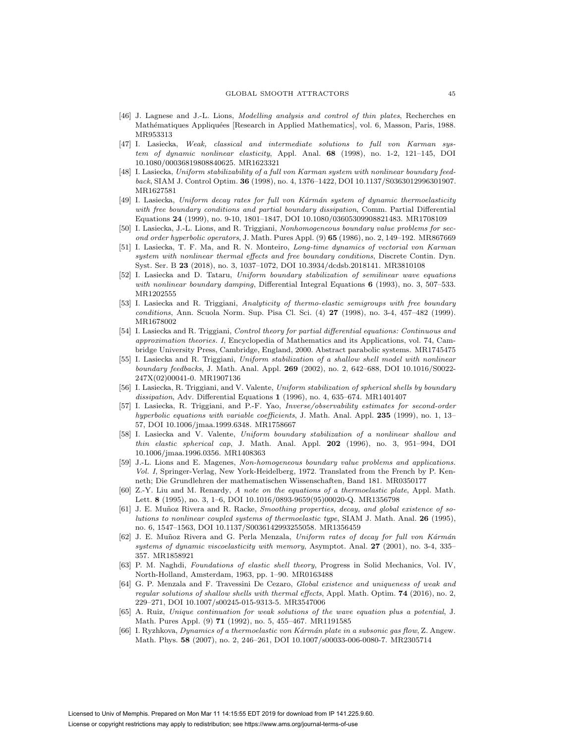- [46] J. Lagnese and J.-L. Lions, Modelling analysis and control of thin plates, Recherches en Mathématiques Appliquées [Research in Applied Mathematics], vol. 6, Masson, Paris, 1988. MR953313
- [47] I. Lasiecka, Weak, classical and intermediate solutions to full von Karman system of dynamic nonlinear elasticity, Appl. Anal. **68** (1998), no. 1-2, 121–145, DOI 10.1080/00036819808840625. MR1623321
- [48] I. Lasiecka, Uniform stabilizability of a full von Karman system with nonlinear boundary feedback, SIAM J. Control Optim. **36** (1998), no. 4, 1376–1422, DOI 10.1137/S0363012996301907. MR1627581
- [49] I. Lasiecka, Uniform decay rates for full von Kármán system of dynamic thermoelasticity with free boundary conditions and partial boundary dissipation, Comm. Partial Differential Equations **24** (1999), no. 9-10, 1801–1847, DOI 10.1080/03605309908821483. MR1708109
- [50] I. Lasiecka, J.-L. Lions, and R. Triggiani, Nonhomogeneous boundary value problems for second order hyperbolic operators, J. Math. Pures Appl. (9) **65** (1986), no. 2, 149–192. MR867669
- [51] I. Lasiecka, T. F. Ma, and R. N. Monteiro, Long-time dynamics of vectorial von Karman system with nonlinear thermal effects and free boundary conditions, Discrete Contin. Dyn. Syst. Ser. B **23** (2018), no. 3, 1037–1072, DOI 10.3934/dcdsb.2018141. MR3810108
- [52] I. Lasiecka and D. Tataru, Uniform boundary stabilization of semilinear wave equations with nonlinear boundary damping, Differential Integral Equations **6** (1993), no. 3, 507–533. MR1202555
- [53] I. Lasiecka and R. Triggiani, Analyticity of thermo-elastic semigroups with free boundary conditions, Ann. Scuola Norm. Sup. Pisa Cl. Sci. (4) **27** (1998), no. 3-4, 457–482 (1999). MR1678002
- [54] I. Lasiecka and R. Triggiani, Control theory for partial differential equations: Continuous and approximation theories. I, Encyclopedia of Mathematics and its Applications, vol. 74, Cambridge University Press, Cambridge, England, 2000. Abstract parabolic systems. MR1745475
- [55] I. Lasiecka and R. Triggiani, Uniform stabilization of a shallow shell model with nonlinear boundary feedbacks, J. Math. Anal. Appl. **269** (2002), no. 2, 642–688, DOI 10.1016/S0022- 247X(02)00041-0. MR1907136
- [56] I. Lasiecka, R. Triggiani, and V. Valente, Uniform stabilization of spherical shells by boundary dissipation, Adv. Differential Equations **1** (1996), no. 4, 635–674. MR1401407
- [57] I. Lasiecka, R. Triggiani, and P.-F. Yao, Inverse/observability estimates for second-order hyperbolic equations with variable coefficients, J. Math. Anal. Appl. **235** (1999), no. 1, 13– 57, DOI 10.1006/jmaa.1999.6348. MR1758667
- [58] I. Lasiecka and V. Valente, Uniform boundary stabilization of a nonlinear shallow and thin elastic spherical cap, J. Math. Anal. Appl. **202** (1996), no. 3, 951–994, DOI 10.1006/jmaa.1996.0356. MR1408363
- [59] J.-L. Lions and E. Magenes, Non-homogeneous boundary value problems and applications. Vol. I, Springer-Verlag, New York-Heidelberg, 1972. Translated from the French by P. Kenneth; Die Grundlehren der mathematischen Wissenschaften, Band 181. MR0350177
- [60] Z.-Y. Liu and M. Renardy, A note on the equations of a thermoelastic plate, Appl. Math. Lett. **8** (1995), no. 3, 1–6, DOI 10.1016/0893-9659(95)00020-Q. MR1356798
- [61] J. E. Muñoz Rivera and R. Racke, Smoothing properties, decay, and global existence of solutions to nonlinear coupled systems of thermoelastic type, SIAM J. Math. Anal. **26** (1995), no. 6, 1547–1563, DOI 10.1137/S0036142993255058. MR1356459
- [62] J. E. Muñoz Rivera and G. Perla Menzala, Uniform rates of decay for full von Kármán systems of dynamic viscoelasticity with memory, Asymptot. Anal. **27** (2001), no. 3-4, 335– 357. MR1858921
- [63] P. M. Naghdi, Foundations of elastic shell theory, Progress in Solid Mechanics, Vol. IV, North-Holland, Amsterdam, 1963, pp. 1–90. MR0163488
- [64] G. P. Menzala and F. Travessini De Cezaro, Global existence and uniqueness of weak and regular solutions of shallow shells with thermal effects, Appl. Math. Optim. **74** (2016), no. 2, 229–271, DOI 10.1007/s00245-015-9313-5. MR3547006
- [65] A. Ruiz, Unique continuation for weak solutions of the wave equation plus a potential, J. Math. Pures Appl. (9) **71** (1992), no. 5, 455–467. MR1191585
- [66] I. Ryzhkova, Dynamics of a thermoelastic von Kármán plate in a subsonic gas flow, Z. Angew. Math. Phys. **58** (2007), no. 2, 246–261, DOI 10.1007/s00033-006-0080-7. MR2305714